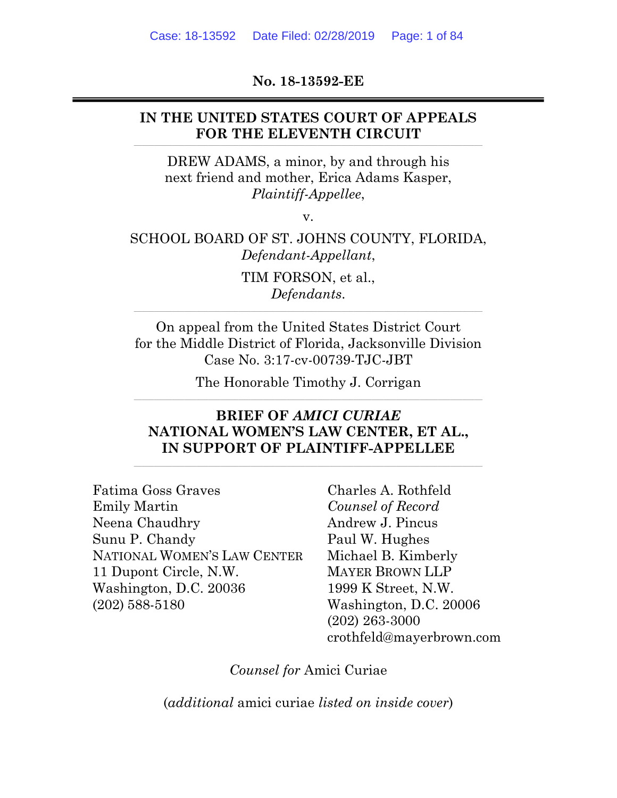**No. 18-13592-EE** 

## **IN THE UNITED STATES COURT OF APPEALS**  FOR THE ELEVENTH CIRCUIT

DREW ADAMS, a minor, by and through his next friend and mother, Erica Adams Kasper, *Plaintiff-Appellee*,

v.

## SCHOOL BOARD OF ST. JOHNS COUNTY, FLORIDA, *Defendant-Appellant*,

TIM FORSON, et al., *Defendants*.

**\_\_\_\_\_\_\_\_\_\_\_\_\_\_\_\_\_\_\_\_\_\_\_\_\_\_\_\_\_\_\_\_\_\_\_\_\_\_\_\_\_\_\_\_\_\_\_\_\_\_\_\_\_\_\_\_\_\_\_\_\_\_\_\_\_\_\_\_\_\_\_\_\_\_\_\_\_\_\_\_\_\_\_\_\_\_\_\_\_\_\_\_\_\_\_\_\_\_\_\_\_\_\_\_\_\_\_\_\_\_\_\_\_\_\_\_\_\_\_\_\_\_\_\_\_\_\_\_\_\_\_\_\_\_\_\_\_\_\_\_\_\_\_\_\_\_\_\_\_\_\_\_\_\_\_\_\_\_\_\_\_\_\_\_\_\_\_\_\_\_\_\_\_** 

On appeal from the United States District Court for the Middle District of Florida, Jacksonville Division Case No. 3:17-cv-00739-TJC-JBT

The Honorable Timothy J. Corrigan **\_\_\_\_\_\_\_\_\_\_\_\_\_\_\_\_\_\_\_\_\_\_\_\_\_\_\_\_\_\_\_\_\_\_\_\_\_\_\_\_\_\_\_\_\_\_\_\_\_\_\_\_\_\_\_\_\_\_\_\_\_\_\_\_\_\_\_\_\_\_\_\_\_\_\_\_\_\_\_\_\_\_\_\_\_\_\_\_\_\_\_\_\_\_\_\_\_\_\_\_\_\_\_\_\_\_\_\_\_\_\_\_\_\_\_\_\_\_\_\_\_\_\_\_\_\_\_\_\_\_\_\_\_\_\_\_\_\_\_\_\_\_\_\_\_\_\_\_\_\_\_\_\_\_\_\_\_\_\_\_\_\_\_\_\_\_\_\_\_\_\_\_\_**

# **BRIEF OF** *AMICI CURIAE* **NATIONAL WOMEN'S LAW CENTER, ET AL., IN SUPPORT OF PLAINTIFF-APPELLEE**

Fatima Goss Graves Emily Martin Neena Chaudhry Sunu P. Chandy NATIONAL WOMEN'S LAW CENTER 11 Dupont Circle, N.W. Washington, D.C. 20036 (202) 588-5180

Charles A. Rothfeld *Counsel of Record*  Andrew J. Pincus Paul W. Hughes Michael B. Kimberly MAYER BROWN LLP 1999 K Street, N.W. Washington, D.C. 20006 (202) 263-3000 crothfeld@mayerbrown.com

*Counsel for* Amici Curiae

(*additional* amici curiae *listed on inside cover*)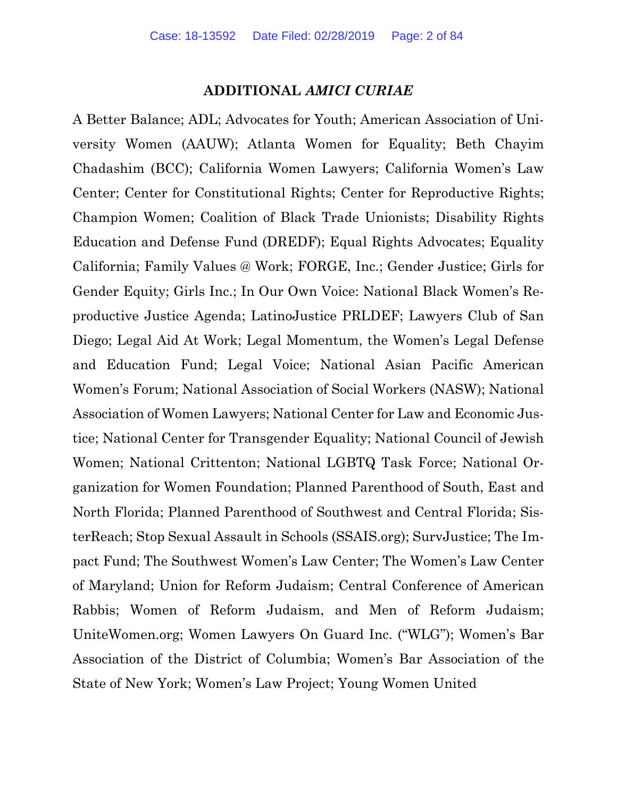#### **ADDITIONAL** *AMICI CURIAE*

A Better Balance; ADL; Advocates for Youth; American Association of University Women (AAUW); Atlanta Women for Equality; Beth Chayim Chadashim (BCC); California Women Lawyers; California Women's Law Center; Center for Constitutional Rights; Center for Reproductive Rights; Champion Women; Coalition of Black Trade Unionists; Disability Rights Education and Defense Fund (DREDF); Equal Rights Advocates; Equality California; Family Values @ Work; FORGE, Inc.; Gender Justice; Girls for Gender Equity; Girls Inc.; In Our Own Voice: National Black Women's Reproductive Justice Agenda; LatinoJustice PRLDEF; Lawyers Club of San Diego; Legal Aid At Work; Legal Momentum, the Women's Legal Defense and Education Fund; Legal Voice; National Asian Pacific American Women's Forum; National Association of Social Workers (NASW); National Association of Women Lawyers; National Center for Law and Economic Justice; National Center for Transgender Equality; National Council of Jewish Women; National Crittenton; National LGBTQ Task Force; National Organization for Women Foundation; Planned Parenthood of South, East and North Florida; Planned Parenthood of Southwest and Central Florida; SisterReach; Stop Sexual Assault in Schools (SSAIS.org); SurvJustice; The Impact Fund; The Southwest Women's Law Center; The Women's Law Center of Maryland; Union for Reform Judaism; Central Conference of American Rabbis; Women of Reform Judaism, and Men of Reform Judaism; UniteWomen.org; Women Lawyers On Guard Inc. ("WLG"); Women's Bar Association of the District of Columbia; Women's Bar Association of the State of New York; Women's Law Project; Young Women United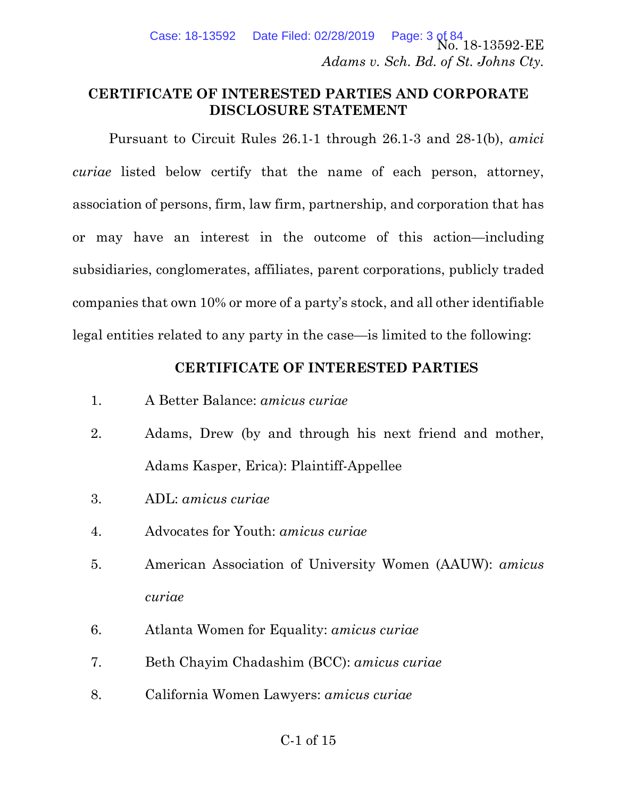Page: 3 of 84<br>No. 18-13592-EE *Adams v. Sch. Bd. of St. Johns Cty.*  Case: 18-13592 Date Filed: 02/28/2019

### **CERTIFICATE OF INTERESTED PARTIES AND CORPORATE DISCLOSURE STATEMENT**

Pursuant to Circuit Rules 26.1-1 through 26.1-3 and 28-1(b), *amici curiae* listed below certify that the name of each person, attorney, association of persons, firm, law firm, partnership, and corporation that has or may have an interest in the outcome of this action—including subsidiaries, conglomerates, affiliates, parent corporations, publicly traded companies that own 10% or more of a party's stock, and all other identifiable legal entities related to any party in the case—is limited to the following:

## **CERTIFICATE OF INTERESTED PARTIES**

- 1. A Better Balance: *amicus curiae*
- 2. Adams, Drew (by and through his next friend and mother, Adams Kasper, Erica): Plaintiff-Appellee
- 3. ADL: *amicus curiae*
- 4. Advocates for Youth: *amicus curiae*
- 5. American Association of University Women (AAUW): *amicus curiae*
- 6. Atlanta Women for Equality: *amicus curiae*
- 7. Beth Chayim Chadashim (BCC): *amicus curiae*
- 8. California Women Lawyers: *amicus curiae*

## C-1 of 15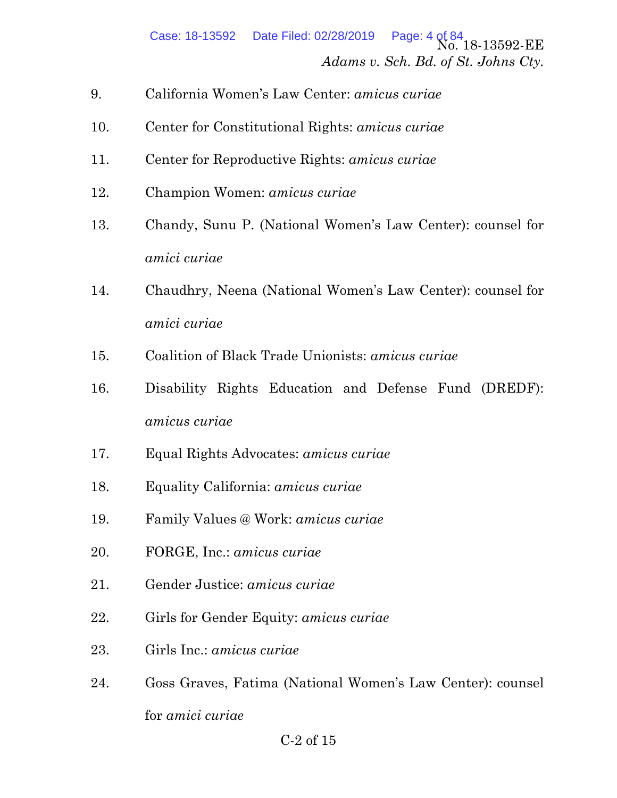Page: 4 of 84<br>No. 18-13592-EE *Adams v. Sch. Bd. of St. Johns Cty.*  Case: 18-13592 Date Filed: 02/28/2019

- 9. California Women's Law Center: *amicus curiae*
- 10. Center for Constitutional Rights: *amicus curiae*
- 11. Center for Reproductive Rights: *amicus curiae*
- 12. Champion Women: *amicus curiae*
- 13. Chandy, Sunu P. (National Women's Law Center): counsel for *amici curiae*
- 14. Chaudhry, Neena (National Women's Law Center): counsel for *amici curiae*
- 15. Coalition of Black Trade Unionists: *amicus curiae*
- 16. Disability Rights Education and Defense Fund (DREDF): *amicus curiae*
- 17. Equal Rights Advocates: *amicus curiae*
- 18. Equality California: *amicus curiae*
- 19. Family Values @ Work: *amicus curiae*
- 20. FORGE, Inc.: *amicus curiae*
- 21. Gender Justice: *amicus curiae*
- 22. Girls for Gender Equity: *amicus curiae*
- 23. Girls Inc.: *amicus curiae*
- 24. Goss Graves, Fatima (National Women's Law Center): counsel for *amici curiae*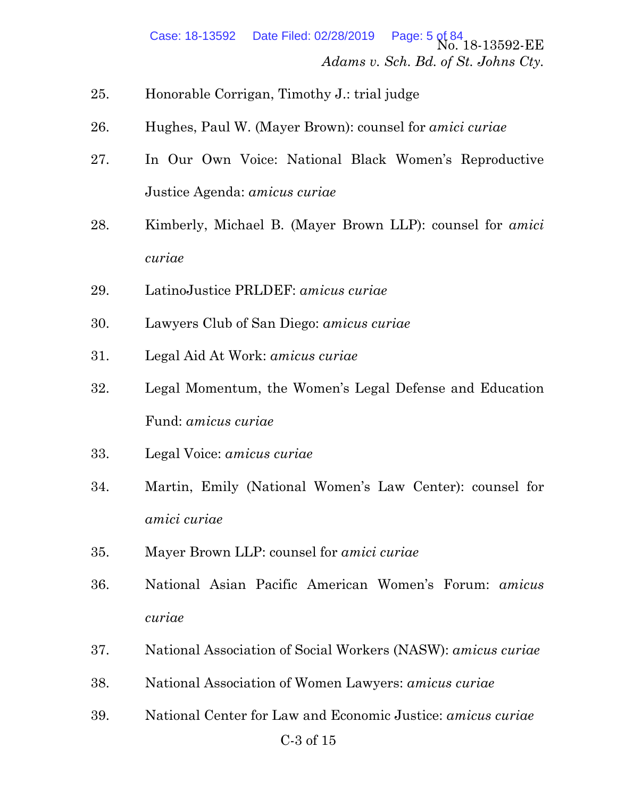- 25. Honorable Corrigan, Timothy J.: trial judge
- 26. Hughes, Paul W. (Mayer Brown): counsel for *amici curiae*
- 27. In Our Own Voice: National Black Women's Reproductive Justice Agenda: *amicus curiae*
- 28. Kimberly, Michael B. (Mayer Brown LLP): counsel for *amici curiae*
- 29. LatinoJustice PRLDEF: *amicus curiae*
- 30. Lawyers Club of San Diego: *amicus curiae*
- 31. Legal Aid At Work: *amicus curiae*
- 32. Legal Momentum, the Women's Legal Defense and Education Fund: *amicus curiae*
- 33. Legal Voice: *amicus curiae*
- 34. Martin, Emily (National Women's Law Center): counsel for *amici curiae*
- 35. Mayer Brown LLP: counsel for *amici curiae*
- 36. National Asian Pacific American Women's Forum: *amicus curiae*
- 37. National Association of Social Workers (NASW): *amicus curiae*
- 38. National Association of Women Lawyers: *amicus curiae*
- 39. National Center for Law and Economic Justice: *amicus curiae*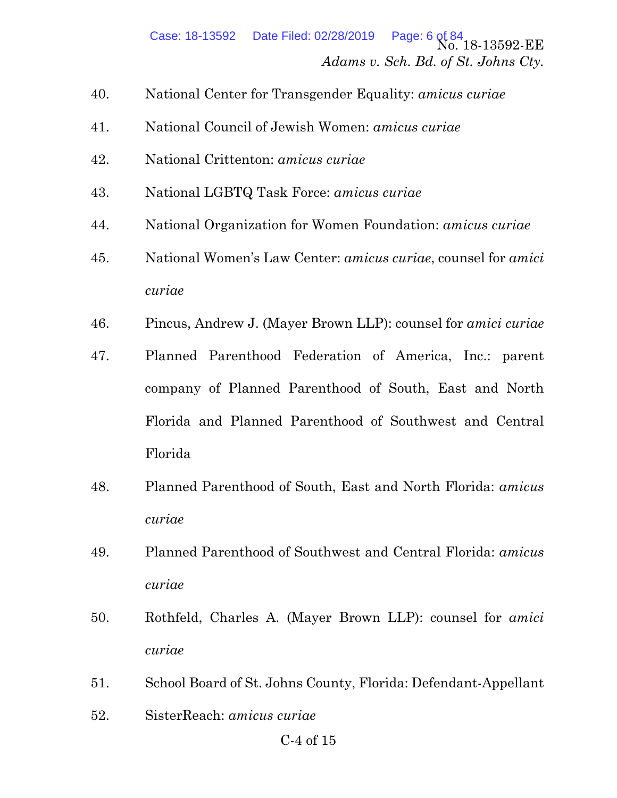- 40. National Center for Transgender Equality: *amicus curiae*
- 41. National Council of Jewish Women: *amicus curiae*
- 42. National Crittenton: *amicus curiae*
- 43. National LGBTQ Task Force: *amicus curiae*
- 44. National Organization for Women Foundation: *amicus curiae*
- 45. National Women's Law Center: *amicus curiae*, counsel for *amici curiae*
- 46. Pincus, Andrew J. (Mayer Brown LLP): counsel for *amici curiae*
- 47. Planned Parenthood Federation of America, Inc.: parent company of Planned Parenthood of South, East and North Florida and Planned Parenthood of Southwest and Central Florida
- 48. Planned Parenthood of South, East and North Florida: *amicus curiae*
- 49. Planned Parenthood of Southwest and Central Florida: *amicus curiae*
- 50. Rothfeld, Charles A. (Mayer Brown LLP): counsel for *amici curiae*
- 51. School Board of St. Johns County, Florida: Defendant-Appellant
- 52. SisterReach: *amicus curiae*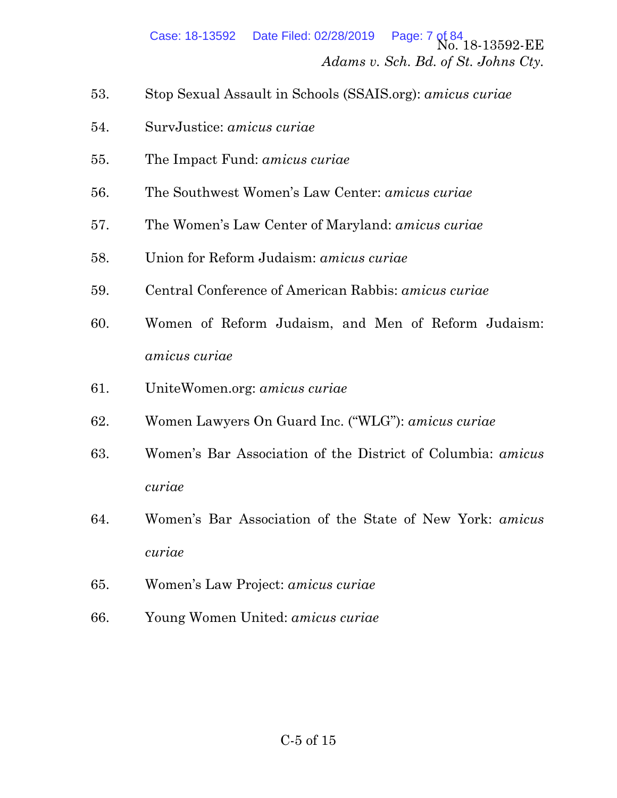- 53. Stop Sexual Assault in Schools (SSAIS.org): *amicus curiae*
- 54. SurvJustice: *amicus curiae*
- 55. The Impact Fund: *amicus curiae*
- 56. The Southwest Women's Law Center: *amicus curiae*
- 57. The Women's Law Center of Maryland: *amicus curiae*
- 58. Union for Reform Judaism: *amicus curiae*
- 59. Central Conference of American Rabbis: *amicus curiae*
- 60. Women of Reform Judaism, and Men of Reform Judaism: *amicus curiae*
- 61. UniteWomen.org: *amicus curiae*
- 62. Women Lawyers On Guard Inc. ("WLG"): *amicus curiae*
- 63. Women's Bar Association of the District of Columbia: *amicus curiae*
- 64. Women's Bar Association of the State of New York: *amicus curiae*
- 65. Women's Law Project: *amicus curiae*
- 66. Young Women United: *amicus curiae*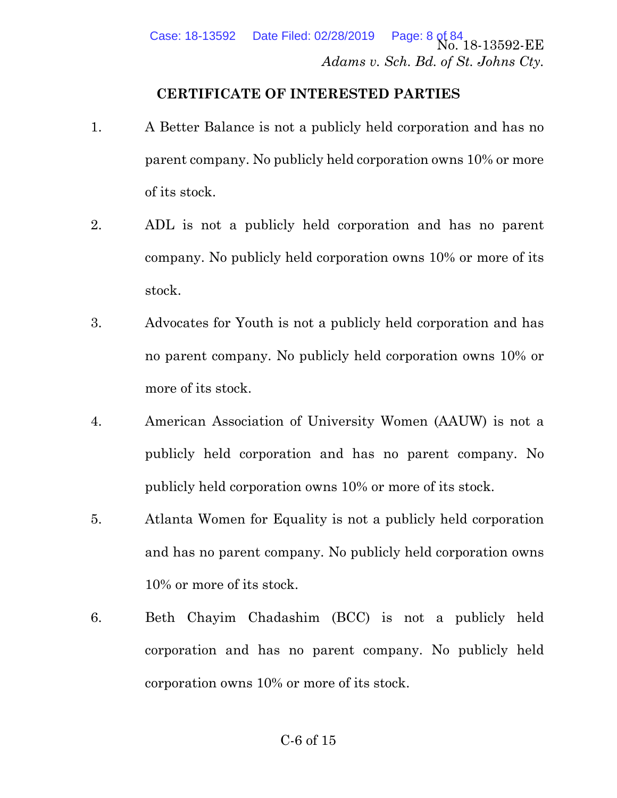#### **CERTIFICATE OF INTERESTED PARTIES**

- 1. A Better Balance is not a publicly held corporation and has no parent company. No publicly held corporation owns 10% or more of its stock.
- 2. ADL is not a publicly held corporation and has no parent company. No publicly held corporation owns 10% or more of its stock.
- 3. Advocates for Youth is not a publicly held corporation and has no parent company. No publicly held corporation owns 10% or more of its stock.
- 4. American Association of University Women (AAUW) is not a publicly held corporation and has no parent company. No publicly held corporation owns 10% or more of its stock.
- 5. Atlanta Women for Equality is not a publicly held corporation and has no parent company. No publicly held corporation owns 10% or more of its stock.
- 6. Beth Chayim Chadashim (BCC) is not a publicly held corporation and has no parent company. No publicly held corporation owns 10% or more of its stock.

#### C-6 of 15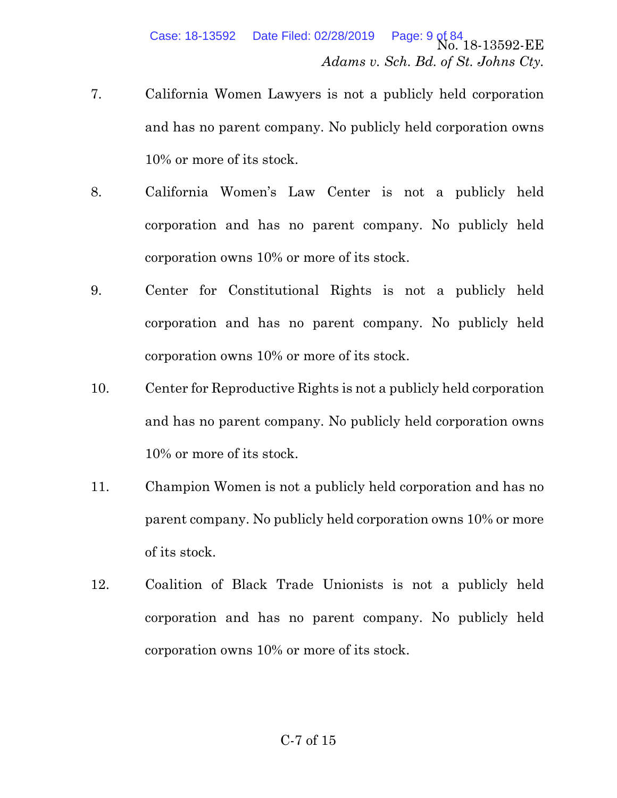- 7. California Women Lawyers is not a publicly held corporation and has no parent company. No publicly held corporation owns 10% or more of its stock.
- 8. California Women's Law Center is not a publicly held corporation and has no parent company. No publicly held corporation owns 10% or more of its stock.
- 9. Center for Constitutional Rights is not a publicly held corporation and has no parent company. No publicly held corporation owns 10% or more of its stock.
- 10. Center for Reproductive Rights is not a publicly held corporation and has no parent company. No publicly held corporation owns 10% or more of its stock.
- 11. Champion Women is not a publicly held corporation and has no parent company. No publicly held corporation owns 10% or more of its stock.
- 12. Coalition of Black Trade Unionists is not a publicly held corporation and has no parent company. No publicly held corporation owns 10% or more of its stock.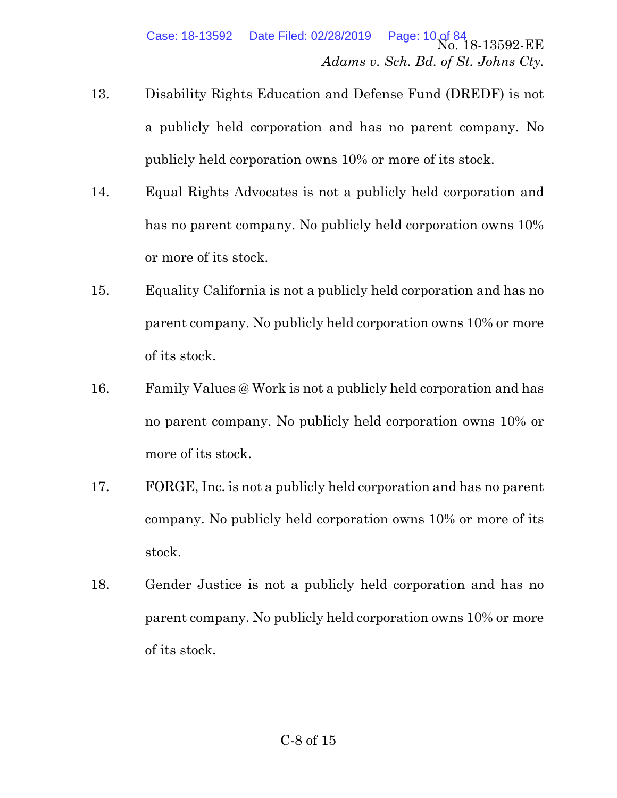- 13. Disability Rights Education and Defense Fund (DREDF) is not a publicly held corporation and has no parent company. No publicly held corporation owns 10% or more of its stock.
- 14. Equal Rights Advocates is not a publicly held corporation and has no parent company. No publicly held corporation owns 10% or more of its stock.
- 15. Equality California is not a publicly held corporation and has no parent company. No publicly held corporation owns 10% or more of its stock.
- 16. Family Values @ Work is not a publicly held corporation and has no parent company. No publicly held corporation owns 10% or more of its stock.
- 17. FORGE, Inc. is not a publicly held corporation and has no parent company. No publicly held corporation owns 10% or more of its stock.
- 18. Gender Justice is not a publicly held corporation and has no parent company. No publicly held corporation owns 10% or more of its stock.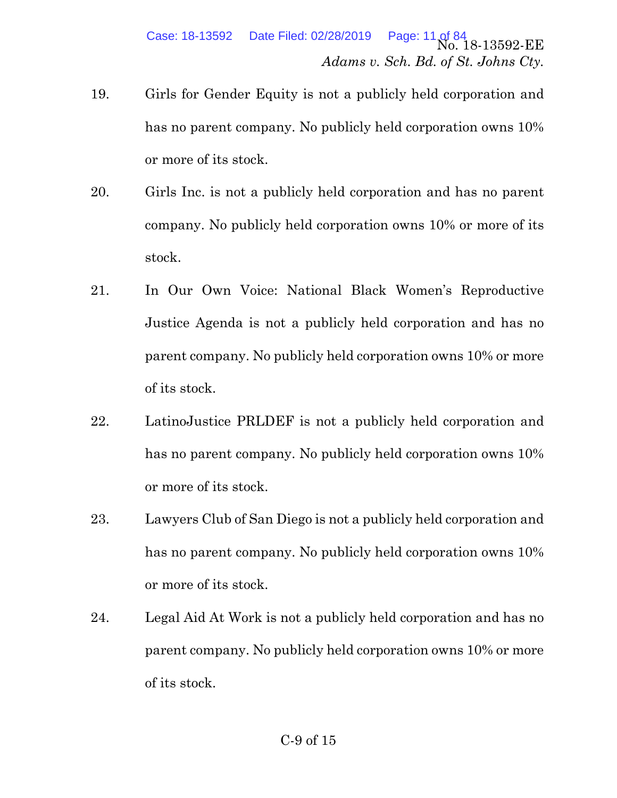- 19. Girls for Gender Equity is not a publicly held corporation and has no parent company. No publicly held corporation owns 10% or more of its stock.
- 20. Girls Inc. is not a publicly held corporation and has no parent company. No publicly held corporation owns 10% or more of its stock.
- 21. In Our Own Voice: National Black Women's Reproductive Justice Agenda is not a publicly held corporation and has no parent company. No publicly held corporation owns 10% or more of its stock.
- 22. LatinoJustice PRLDEF is not a publicly held corporation and has no parent company. No publicly held corporation owns 10% or more of its stock.
- 23. Lawyers Club of San Diego is not a publicly held corporation and has no parent company. No publicly held corporation owns 10% or more of its stock.
- 24. Legal Aid At Work is not a publicly held corporation and has no parent company. No publicly held corporation owns 10% or more of its stock.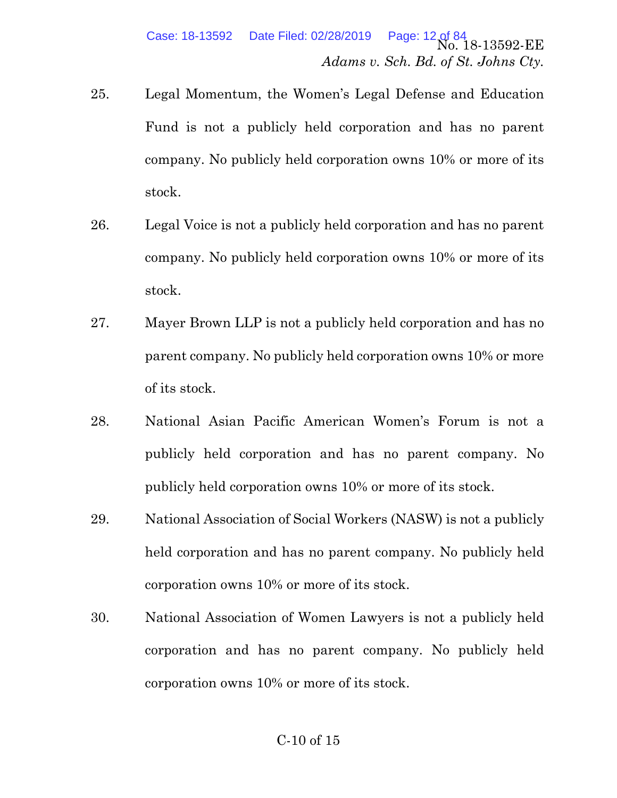- 25. Legal Momentum, the Women's Legal Defense and Education Fund is not a publicly held corporation and has no parent company. No publicly held corporation owns 10% or more of its stock.
- 26. Legal Voice is not a publicly held corporation and has no parent company. No publicly held corporation owns 10% or more of its stock.
- 27. Mayer Brown LLP is not a publicly held corporation and has no parent company. No publicly held corporation owns 10% or more of its stock.
- 28. National Asian Pacific American Women's Forum is not a publicly held corporation and has no parent company. No publicly held corporation owns 10% or more of its stock.
- 29. National Association of Social Workers (NASW) is not a publicly held corporation and has no parent company. No publicly held corporation owns 10% or more of its stock.
- 30. National Association of Women Lawyers is not a publicly held corporation and has no parent company. No publicly held corporation owns 10% or more of its stock.

## C-10 of 15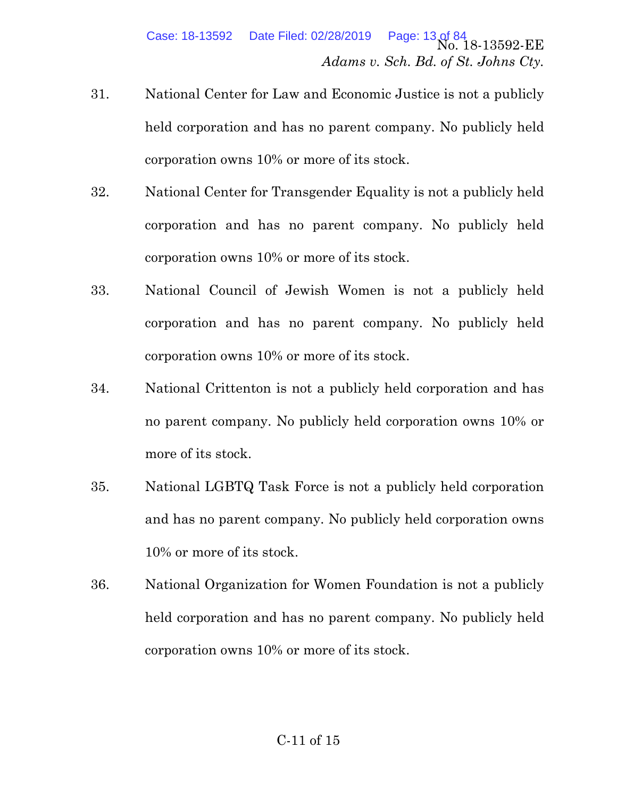- 31. National Center for Law and Economic Justice is not a publicly held corporation and has no parent company. No publicly held corporation owns 10% or more of its stock.
- 32. National Center for Transgender Equality is not a publicly held corporation and has no parent company. No publicly held corporation owns 10% or more of its stock.
- 33. National Council of Jewish Women is not a publicly held corporation and has no parent company. No publicly held corporation owns 10% or more of its stock.
- 34. National Crittenton is not a publicly held corporation and has no parent company. No publicly held corporation owns 10% or more of its stock.
- 35. National LGBTQ Task Force is not a publicly held corporation and has no parent company. No publicly held corporation owns 10% or more of its stock.
- 36. National Organization for Women Foundation is not a publicly held corporation and has no parent company. No publicly held corporation owns 10% or more of its stock.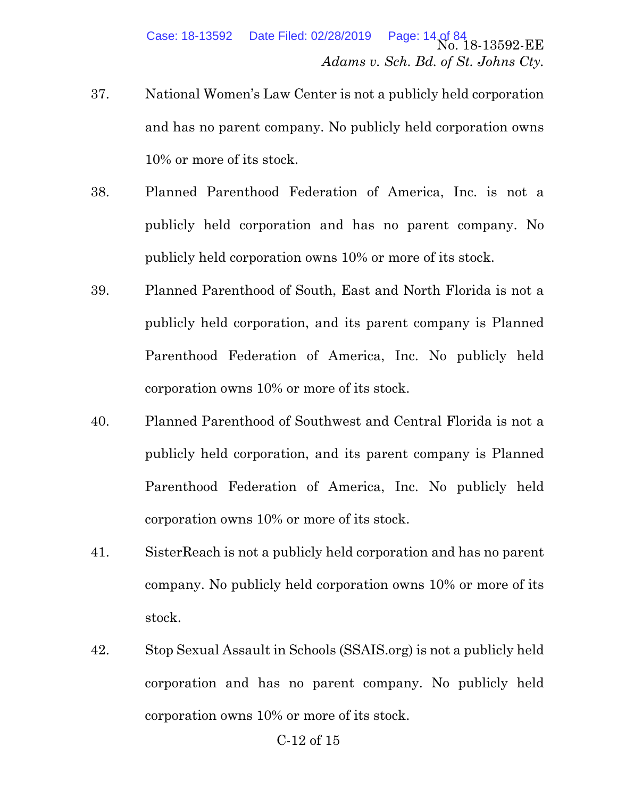- 37. National Women's Law Center is not a publicly held corporation and has no parent company. No publicly held corporation owns 10% or more of its stock.
- 38. Planned Parenthood Federation of America, Inc. is not a publicly held corporation and has no parent company. No publicly held corporation owns 10% or more of its stock.
- 39. Planned Parenthood of South, East and North Florida is not a publicly held corporation, and its parent company is Planned Parenthood Federation of America, Inc. No publicly held corporation owns 10% or more of its stock.
- 40. Planned Parenthood of Southwest and Central Florida is not a publicly held corporation, and its parent company is Planned Parenthood Federation of America, Inc. No publicly held corporation owns 10% or more of its stock.
- 41. SisterReach is not a publicly held corporation and has no parent company. No publicly held corporation owns 10% or more of its stock.
- 42. Stop Sexual Assault in Schools (SSAIS.org) is not a publicly held corporation and has no parent company. No publicly held corporation owns 10% or more of its stock.

#### C-12 of 15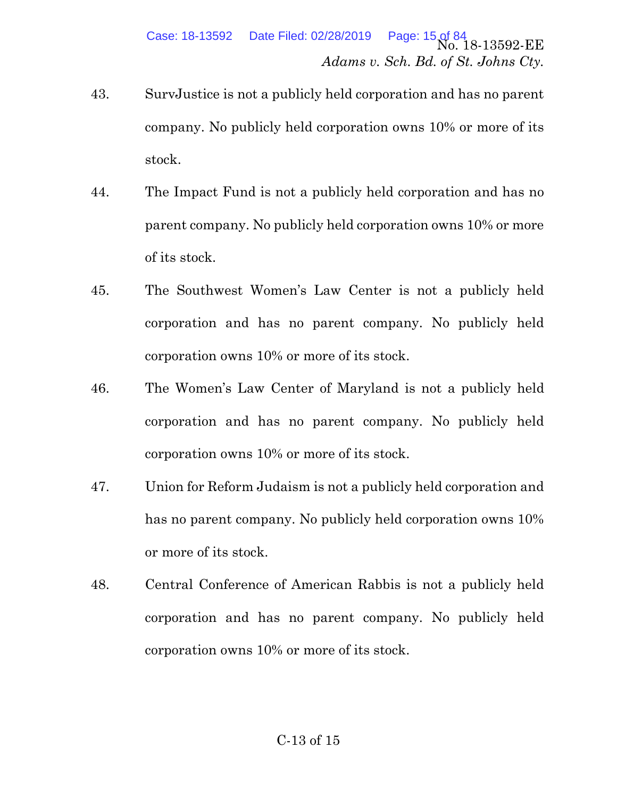- 43. SurvJustice is not a publicly held corporation and has no parent company. No publicly held corporation owns 10% or more of its stock.
- 44. The Impact Fund is not a publicly held corporation and has no parent company. No publicly held corporation owns 10% or more of its stock.
- 45. The Southwest Women's Law Center is not a publicly held corporation and has no parent company. No publicly held corporation owns 10% or more of its stock.
- 46. The Women's Law Center of Maryland is not a publicly held corporation and has no parent company. No publicly held corporation owns 10% or more of its stock.
- 47. Union for Reform Judaism is not a publicly held corporation and has no parent company. No publicly held corporation owns 10% or more of its stock.
- 48. Central Conference of American Rabbis is not a publicly held corporation and has no parent company. No publicly held corporation owns 10% or more of its stock.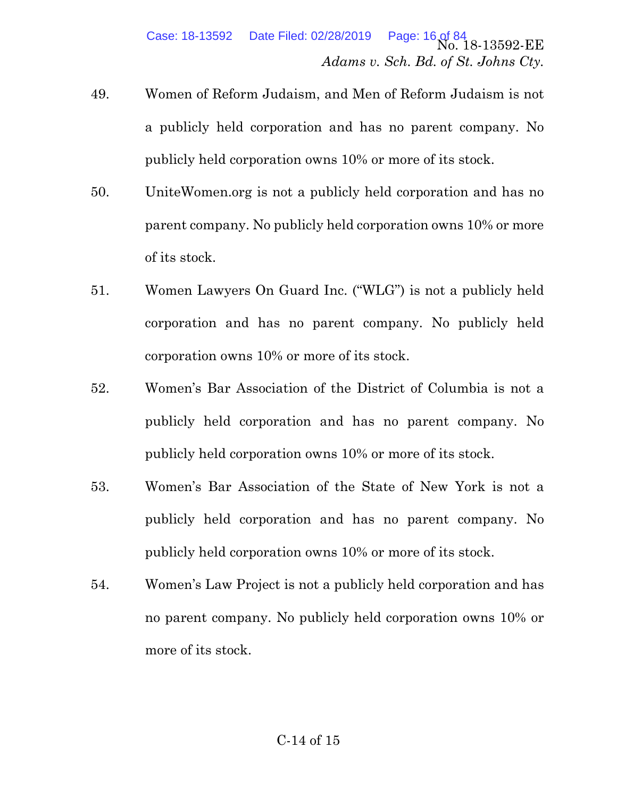- 49. Women of Reform Judaism, and Men of Reform Judaism is not a publicly held corporation and has no parent company. No publicly held corporation owns 10% or more of its stock.
- 50. UniteWomen.org is not a publicly held corporation and has no parent company. No publicly held corporation owns 10% or more of its stock.
- 51. Women Lawyers On Guard Inc. ("WLG") is not a publicly held corporation and has no parent company. No publicly held corporation owns 10% or more of its stock.
- 52. Women's Bar Association of the District of Columbia is not a publicly held corporation and has no parent company. No publicly held corporation owns 10% or more of its stock.
- 53. Women's Bar Association of the State of New York is not a publicly held corporation and has no parent company. No publicly held corporation owns 10% or more of its stock.
- 54. Women's Law Project is not a publicly held corporation and has no parent company. No publicly held corporation owns 10% or more of its stock.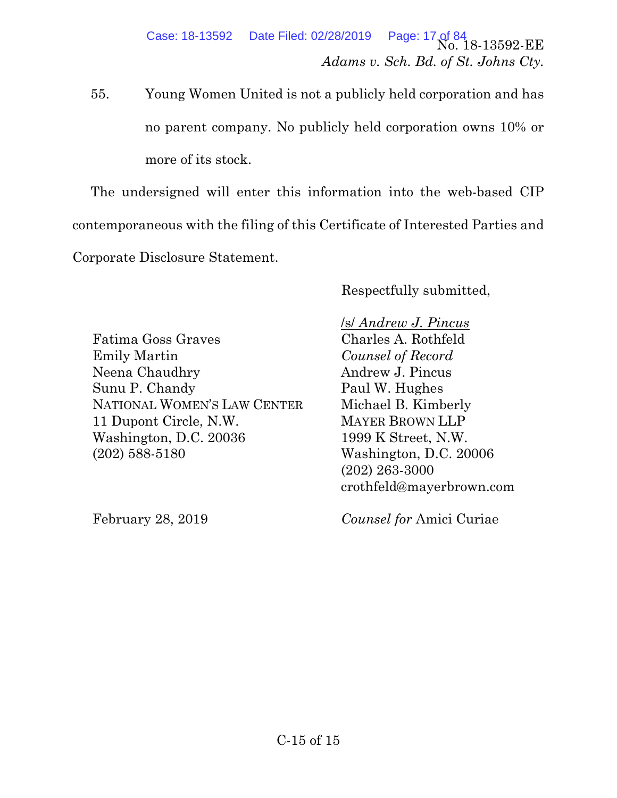55. Young Women United is not a publicly held corporation and has no parent company. No publicly held corporation owns 10% or more of its stock.

The undersigned will enter this information into the web-based CIP contemporaneous with the filing of this Certificate of Interested Parties and Corporate Disclosure Statement.

Respectfully submitted,

Fatima Goss Graves Emily Martin Neena Chaudhry Sunu P. Chandy NATIONAL WOMEN'S LAW CENTER 11 Dupont Circle, N.W. Washington, D.C. 20036 (202) 588-5180

February 28, 2019

 /s/ *Andrew J. Pincus*  Charles A. Rothfeld *Counsel of Record*  Andrew J. Pincus Paul W. Hughes Michael B. Kimberly MAYER BROWN LLP 1999 K Street, N.W. Washington, D.C. 20006 (202) 263-3000 crothfeld@mayerbrown.com

*Counsel for* Amici Curiae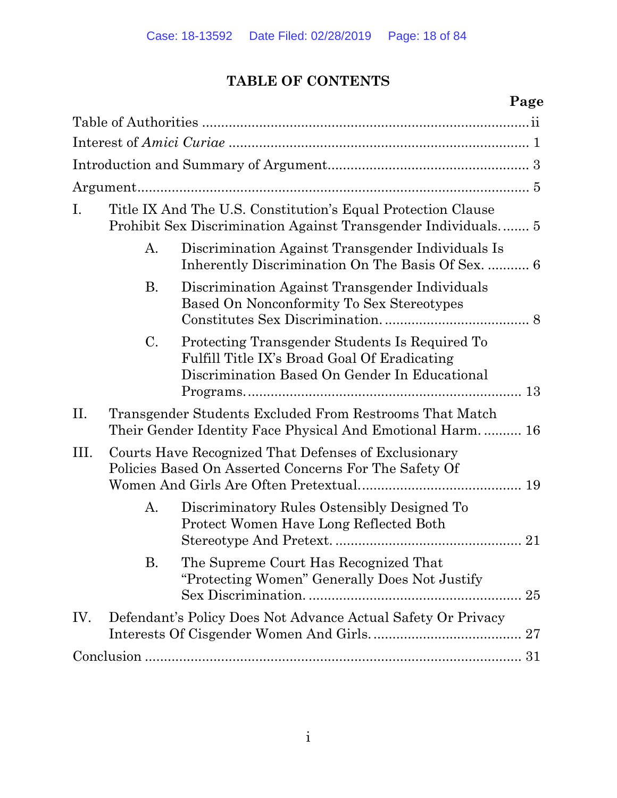# **TABLE OF CONTENTS**

# **Page**

| $\mathbf{I}$ . | Title IX And The U.S. Constitution's Equal Protection Clause |                                                                                                                                                       |
|----------------|--------------------------------------------------------------|-------------------------------------------------------------------------------------------------------------------------------------------------------|
|                | A.                                                           | Discrimination Against Transgender Individuals Is                                                                                                     |
|                | Β.                                                           | Discrimination Against Transgender Individuals<br>Based On Nonconformity To Sex Stereotypes                                                           |
|                | C.                                                           | Protecting Transgender Students Is Required To<br>Fulfill Title IX's Broad Goal Of Eradicating<br>Discrimination Based On Gender In Educational<br>13 |
| II.            |                                                              | Transgender Students Excluded From Restrooms That Match<br>Their Gender Identity Face Physical And Emotional Harm 16                                  |
| III.           |                                                              | Courts Have Recognized That Defenses of Exclusionary<br>Policies Based On Asserted Concerns For The Safety Of<br>19                                   |
|                | А.                                                           | Discriminatory Rules Ostensibly Designed To<br>Protect Women Have Long Reflected Both                                                                 |
|                | В.                                                           | The Supreme Court Has Recognized That<br>"Protecting Women" Generally Does Not Justify                                                                |
| IV.            |                                                              | Defendant's Policy Does Not Advance Actual Safety Or Privacy                                                                                          |
|                |                                                              |                                                                                                                                                       |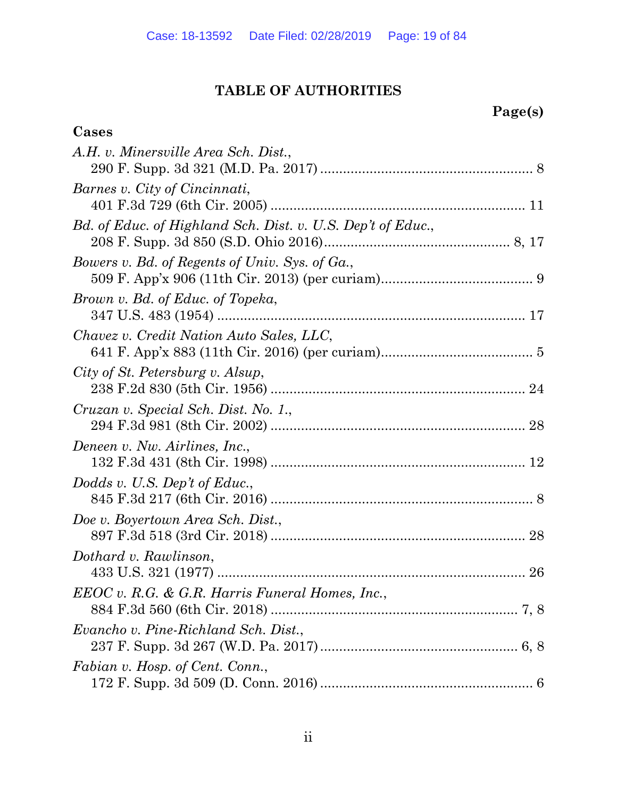# **TABLE OF AUTHORITIES**

**Cases** 

# **Page(s)**

| A.H. v. Minersville Area Sch. Dist.,                        |
|-------------------------------------------------------------|
| Barnes v. City of Cincinnati,                               |
| Bd. of Educ. of Highland Sch. Dist. v. U.S. Dep't of Educ., |
| Bowers v. Bd. of Regents of Univ. Sys. of Ga.,              |
| Brown v. Bd. of Educ. of Topeka,                            |
| Chavez v. Credit Nation Auto Sales, LLC,                    |
| City of St. Petersburg v. Alsup,                            |
| Cruzan v. Special Sch. Dist. No. 1.,                        |
| Deneen v. Nw. Airlines, Inc.,                               |
| Dodds v. U.S. Dep't of Educ.,                               |
| Doe v. Boyertown Area Sch. Dist.,                           |
| Dothard v. Rawlinson,                                       |
| EEOC v. R.G. & G.R. Harris Funeral Homes, Inc.,             |
| Evancho v. Pine-Richland Sch. Dist.,                        |
| Fabian v. Hosp. of Cent. Conn.,                             |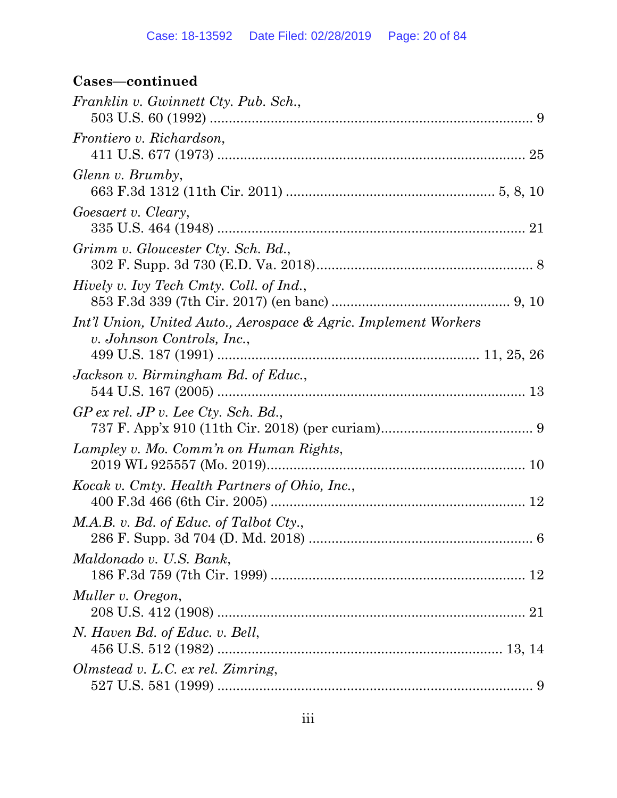# **Cases—continued**

| Franklin v. Gwinnett Cty. Pub. Sch.,                                                          |  |
|-----------------------------------------------------------------------------------------------|--|
| <i>Frontiero v. Richardson,</i>                                                               |  |
| Glenn v. Brumby,                                                                              |  |
| Goesaert v. Cleary,                                                                           |  |
| Grimm v. Gloucester Cty. Sch. Bd.,                                                            |  |
| Hively v. Ivy Tech Cmty. Coll. of Ind.,                                                       |  |
| Int'l Union, United Auto., Aerospace & Agric. Implement Workers<br>v. Johnson Controls, Inc., |  |
| Jackson v. Birmingham Bd. of Educ.,                                                           |  |
| $GP$ ex rel. JP v. Lee Cty. Sch. Bd.,                                                         |  |
| Lampley v. Mo. Comm'n on Human Rights,                                                        |  |
| Kocak v. Cmty. Health Partners of Ohio, Inc.,                                                 |  |
| M.A.B. v. Bd. of Educ. of Talbot Cty.,                                                        |  |
| Maldonado v. U.S. Bank,                                                                       |  |
| Muller v. Oregon,                                                                             |  |
| N. Haven Bd. of Educ. v. Bell,                                                                |  |
| Olmstead v. L.C. ex rel. Zimring,                                                             |  |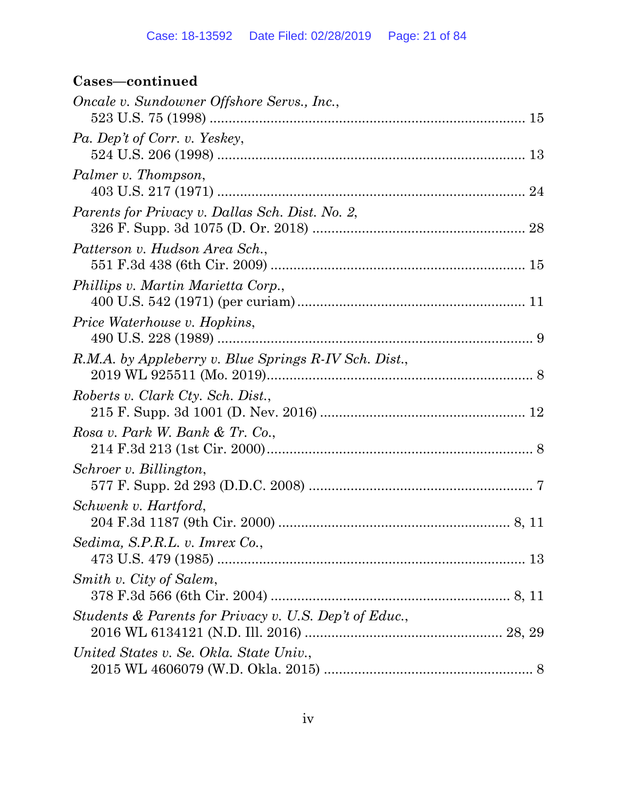# **Cases—continued**

| Oncale v. Sundowner Offshore Servs., Inc.,             |  |
|--------------------------------------------------------|--|
| Pa. Dep't of Corr. v. Yeskey,                          |  |
| Palmer v. Thompson,                                    |  |
| Parents for Privacy v. Dallas Sch. Dist. No. 2,        |  |
| Patterson v. Hudson Area Sch.,                         |  |
| Phillips v. Martin Marietta Corp.,                     |  |
| Price Waterhouse v. Hopkins,                           |  |
| R.M.A. by Appleberry v. Blue Springs R-IV Sch. Dist.,  |  |
| Roberts v. Clark Cty. Sch. Dist.,                      |  |
| Rosa v. Park W. Bank & Tr. Co.,                        |  |
| Schroer v. Billington,                                 |  |
| Schwenk v. Hartford,                                   |  |
| Sedima, S.P.R.L. v. Imrex Co.,                         |  |
| Smith v. City of Salem,                                |  |
| Students & Parents for Privacy v. U.S. Dep't of Educ., |  |
| United States v. Se. Okla. State Univ.,                |  |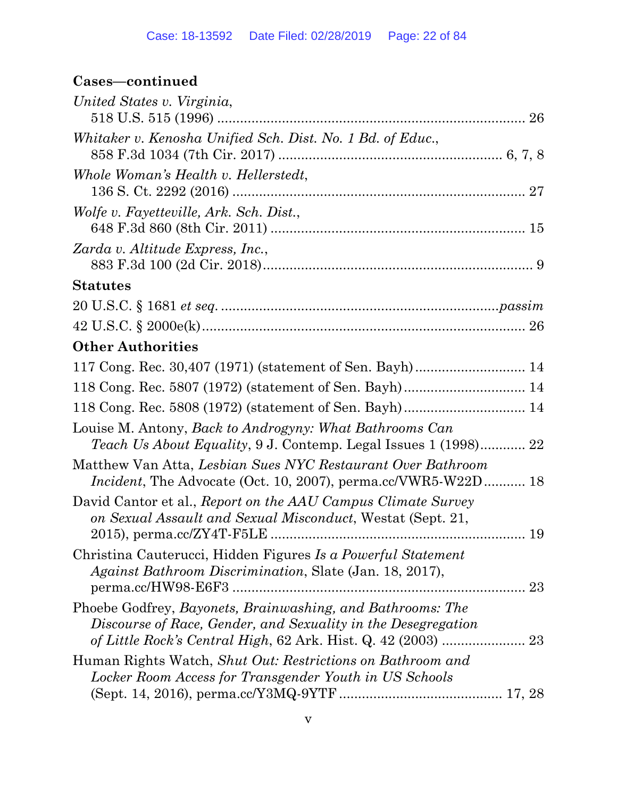# **Cases—continued**

| United States v. Virginia,                                                                                                               |
|------------------------------------------------------------------------------------------------------------------------------------------|
| Whitaker v. Kenosha Unified Sch. Dist. No. 1 Bd. of Educ.,                                                                               |
| Whole Woman's Health v. Hellerstedt,<br>27                                                                                               |
| Wolfe v. Fayetteville, Ark. Sch. Dist.,                                                                                                  |
| Zarda v. Altitude Express, Inc.,                                                                                                         |
| <b>Statutes</b>                                                                                                                          |
|                                                                                                                                          |
|                                                                                                                                          |
| <b>Other Authorities</b>                                                                                                                 |
| 117 Cong. Rec. 30,407 (1971) (statement of Sen. Bayh) 14                                                                                 |
| 118 Cong. Rec. 5807 (1972) (statement of Sen. Bayh) 14                                                                                   |
|                                                                                                                                          |
| Louise M. Antony, <i>Back to Androgyny: What Bathrooms Can</i><br><i>Teach Us About Equality, 9 J. Contemp. Legal Issues 1 (1998) 22</i> |
| Matthew Van Atta, Lesbian Sues NYC Restaurant Over Bathroom<br><i>Incident</i> , The Advocate (Oct. 10, 2007), perma.cc/VWR5-W22D 18     |
| David Cantor et al., Report on the AAU Campus Climate Survey<br>on Sexual Assault and Sexual Misconduct, Westat (Sept. 21,               |
| Christina Cauterucci, Hidden Figures Is a Powerful Statement<br>Against Bathroom Discrimination, Slate (Jan. 18, 2017),<br>23            |
| Phoebe Godfrey, Bayonets, Brainwashing, and Bathrooms: The<br>Discourse of Race, Gender, and Sexuality in the Desegregation              |
| Human Rights Watch, Shut Out: Restrictions on Bathroom and<br>Locker Room Access for Transgender Youth in US Schools                     |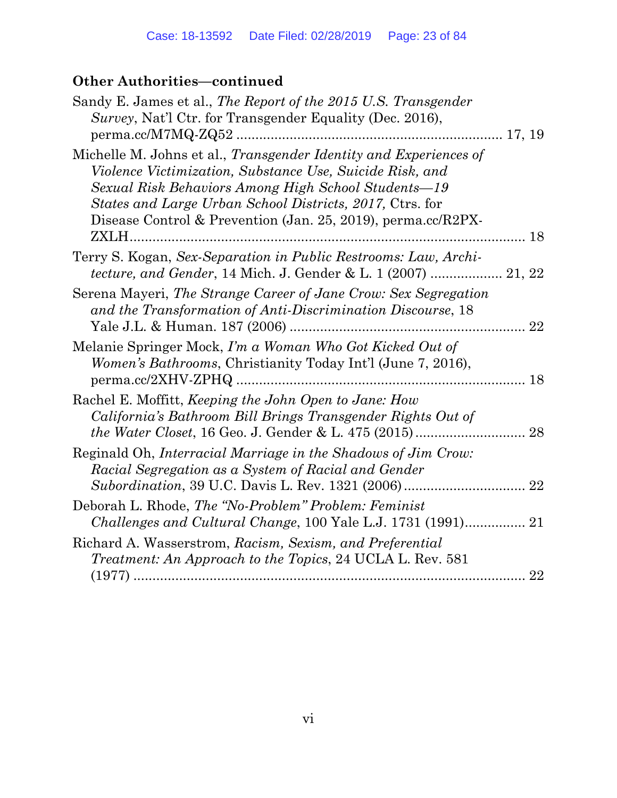# **Other Authorities—continued**

| Sandy E. James et al., The Report of the 2015 U.S. Transgender<br>Survey, Nat'l Ctr. for Transgender Equality (Dec. 2016),                                                                                                                                                                                       |    |
|------------------------------------------------------------------------------------------------------------------------------------------------------------------------------------------------------------------------------------------------------------------------------------------------------------------|----|
| Michelle M. Johns et al., Transgender Identity and Experiences of<br>Violence Victimization, Substance Use, Suicide Risk, and<br>Sexual Risk Behaviors Among High School Students-19<br>States and Large Urban School Districts, 2017, Ctrs. for<br>Disease Control & Prevention (Jan. 25, 2019), perma.cc/R2PX- |    |
| Terry S. Kogan, Sex-Separation in Public Restrooms: Law, Archi-<br><i>tecture, and Gender, 14 Mich. J. Gender &amp; L. 1 (2007)  21, 22</i>                                                                                                                                                                      |    |
| Serena Mayeri, The Strange Career of Jane Crow: Sex Segregation<br>and the Transformation of Anti-Discrimination Discourse, 18                                                                                                                                                                                   |    |
| Melanie Springer Mock, I'm a Woman Who Got Kicked Out of<br><i>Women's Bathrooms, Christianity Today Int'l (June 7, 2016),</i>                                                                                                                                                                                   |    |
| Rachel E. Moffitt, <i>Keeping the John Open to Jane: How</i><br>California's Bathroom Bill Brings Transgender Rights Out of                                                                                                                                                                                      |    |
| Reginald Oh, Interracial Marriage in the Shadows of Jim Crow:<br>Racial Segregation as a System of Racial and Gender                                                                                                                                                                                             |    |
| Deborah L. Rhode, The "No-Problem" Problem: Feminist                                                                                                                                                                                                                                                             |    |
| Richard A. Wasserstrom, Racism, Sexism, and Preferential<br><i>Treatment: An Approach to the Topics, 24 UCLA L. Rev. 581</i>                                                                                                                                                                                     |    |
|                                                                                                                                                                                                                                                                                                                  | 22 |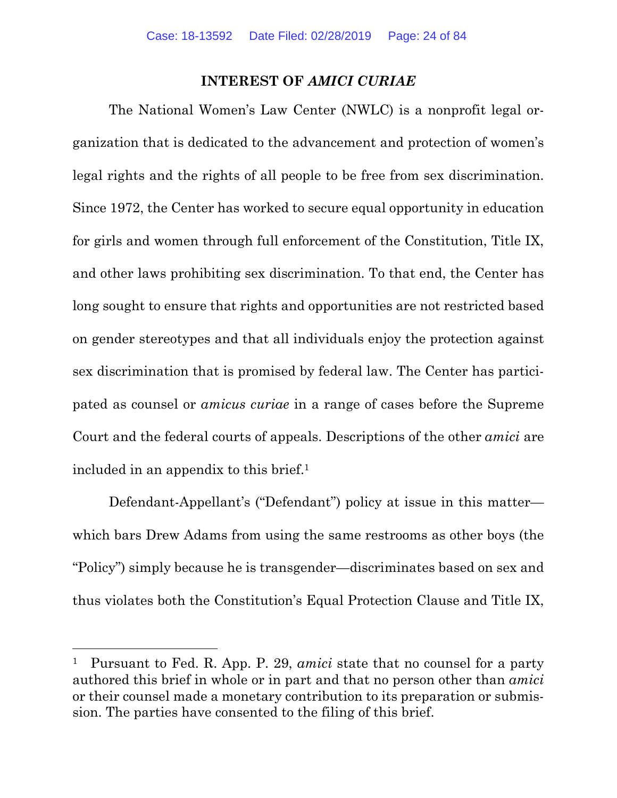#### **INTEREST OF** *AMICI CURIAE*

The National Women's Law Center (NWLC) is a nonprofit legal organization that is dedicated to the advancement and protection of women's legal rights and the rights of all people to be free from sex discrimination. Since 1972, the Center has worked to secure equal opportunity in education for girls and women through full enforcement of the Constitution, Title IX, and other laws prohibiting sex discrimination. To that end, the Center has long sought to ensure that rights and opportunities are not restricted based on gender stereotypes and that all individuals enjoy the protection against sex discrimination that is promised by federal law. The Center has participated as counsel or *amicus curiae* in a range of cases before the Supreme Court and the federal courts of appeals. Descriptions of the other *amici* are included in an appendix to this brief.1

Defendant-Appellant's ("Defendant") policy at issue in this matter which bars Drew Adams from using the same restrooms as other boys (the "Policy") simply because he is transgender—discriminates based on sex and thus violates both the Constitution's Equal Protection Clause and Title IX,

 $\overline{a}$ 

<sup>1</sup> Pursuant to Fed. R. App. P. 29, *amici* state that no counsel for a party authored this brief in whole or in part and that no person other than *amici* or their counsel made a monetary contribution to its preparation or submission. The parties have consented to the filing of this brief.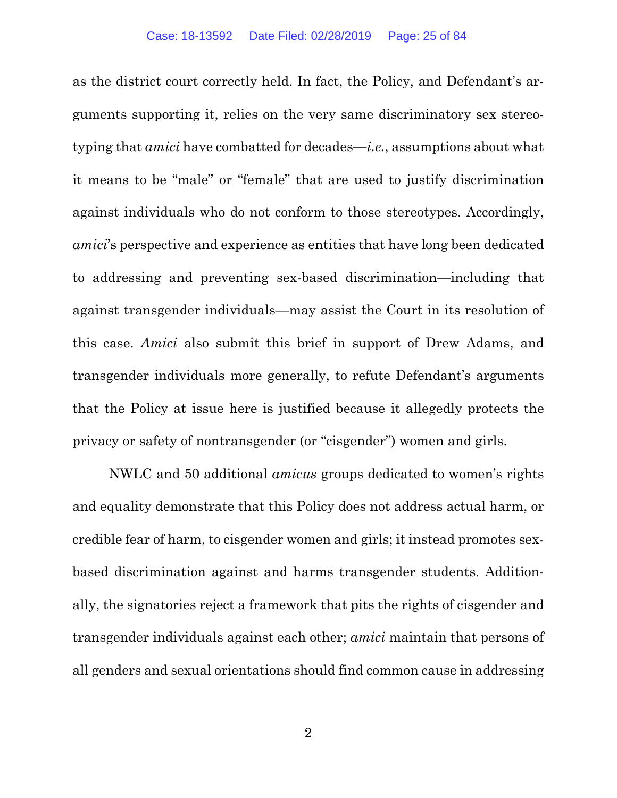as the district court correctly held. In fact, the Policy, and Defendant's arguments supporting it, relies on the very same discriminatory sex stereotyping that *amici* have combatted for decades—*i.e.*, assumptions about what it means to be "male" or "female" that are used to justify discrimination against individuals who do not conform to those stereotypes. Accordingly, *amici*'s perspective and experience as entities that have long been dedicated to addressing and preventing sex-based discrimination—including that against transgender individuals—may assist the Court in its resolution of this case. *Amici* also submit this brief in support of Drew Adams, and transgender individuals more generally, to refute Defendant's arguments that the Policy at issue here is justified because it allegedly protects the privacy or safety of nontransgender (or "cisgender") women and girls.

NWLC and 50 additional *amicus* groups dedicated to women's rights and equality demonstrate that this Policy does not address actual harm, or credible fear of harm, to cisgender women and girls; it instead promotes sexbased discrimination against and harms transgender students. Additionally, the signatories reject a framework that pits the rights of cisgender and transgender individuals against each other; *amici* maintain that persons of all genders and sexual orientations should find common cause in addressing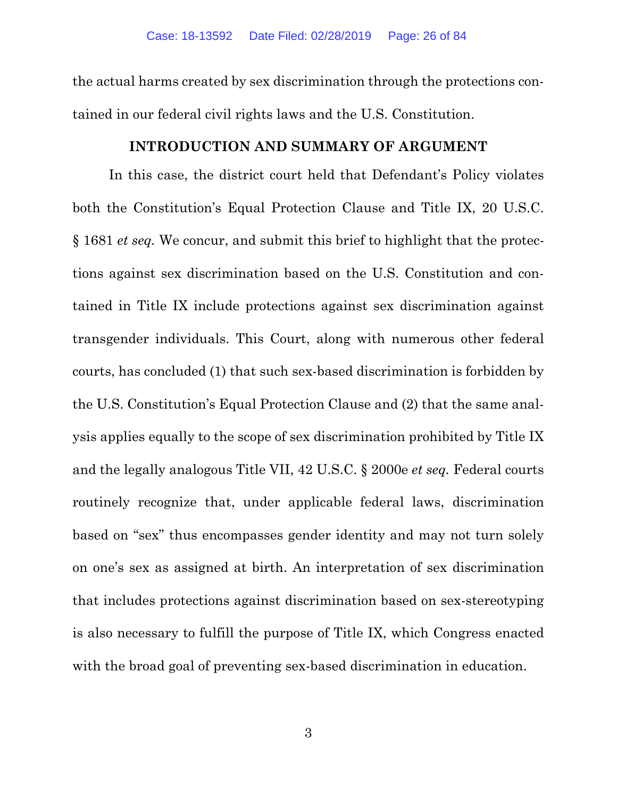the actual harms created by sex discrimination through the protections contained in our federal civil rights laws and the U.S. Constitution.

#### **INTRODUCTION AND SUMMARY OF ARGUMENT**

In this case, the district court held that Defendant's Policy violates both the Constitution's Equal Protection Clause and Title IX, 20 U.S.C. § 1681 *et seq.* We concur, and submit this brief to highlight that the protections against sex discrimination based on the U.S. Constitution and contained in Title IX include protections against sex discrimination against transgender individuals. This Court, along with numerous other federal courts, has concluded (1) that such sex-based discrimination is forbidden by the U.S. Constitution's Equal Protection Clause and (2) that the same analysis applies equally to the scope of sex discrimination prohibited by Title IX and the legally analogous Title VII, 42 U.S.C. § 2000e *et seq.* Federal courts routinely recognize that, under applicable federal laws, discrimination based on "sex" thus encompasses gender identity and may not turn solely on one's sex as assigned at birth. An interpretation of sex discrimination that includes protections against discrimination based on sex-stereotyping is also necessary to fulfill the purpose of Title IX, which Congress enacted with the broad goal of preventing sex-based discrimination in education.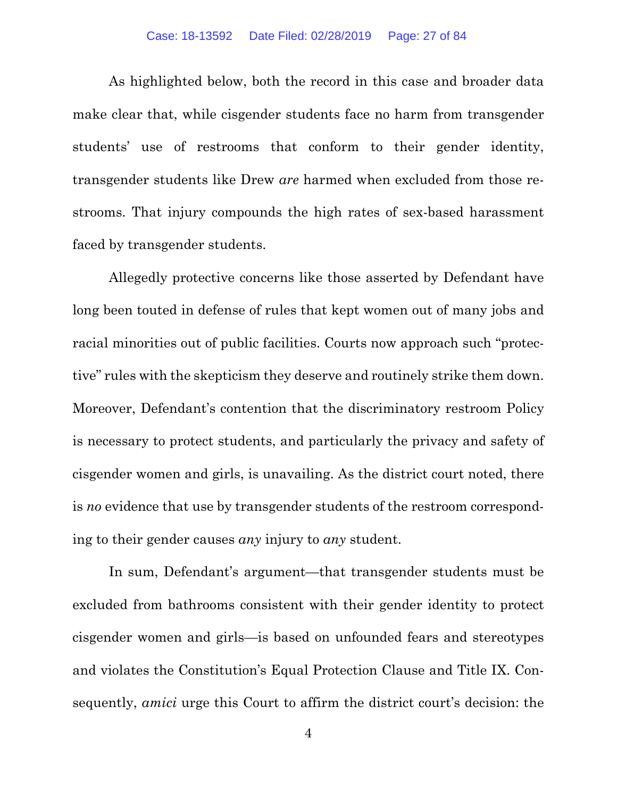As highlighted below, both the record in this case and broader data make clear that, while cisgender students face no harm from transgender students' use of restrooms that conform to their gender identity, transgender students like Drew *are* harmed when excluded from those restrooms. That injury compounds the high rates of sex-based harassment faced by transgender students.

Allegedly protective concerns like those asserted by Defendant have long been touted in defense of rules that kept women out of many jobs and racial minorities out of public facilities. Courts now approach such "protective" rules with the skepticism they deserve and routinely strike them down. Moreover, Defendant's contention that the discriminatory restroom Policy is necessary to protect students, and particularly the privacy and safety of cisgender women and girls, is unavailing. As the district court noted, there is *no* evidence that use by transgender students of the restroom corresponding to their gender causes *any* injury to *any* student.

In sum, Defendant's argument—that transgender students must be excluded from bathrooms consistent with their gender identity to protect cisgender women and girls—is based on unfounded fears and stereotypes and violates the Constitution's Equal Protection Clause and Title IX. Consequently, *amici* urge this Court to affirm the district court's decision: the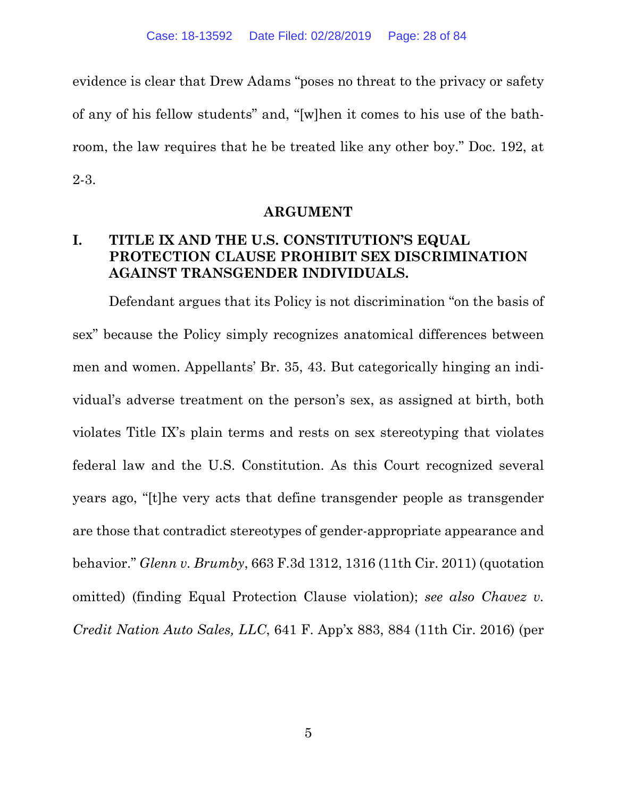evidence is clear that Drew Adams "poses no threat to the privacy or safety of any of his fellow students" and, "[w]hen it comes to his use of the bathroom, the law requires that he be treated like any other boy." Doc. 192, at 2-3.

#### **ARGUMENT**

# **I. TITLE IX AND THE U.S. CONSTITUTION'S EQUAL PROTECTION CLAUSE PROHIBIT SEX DISCRIMINATION AGAINST TRANSGENDER INDIVIDUALS.**

Defendant argues that its Policy is not discrimination "on the basis of sex" because the Policy simply recognizes anatomical differences between men and women. Appellants' Br. 35, 43. But categorically hinging an individual's adverse treatment on the person's sex, as assigned at birth, both violates Title IX's plain terms and rests on sex stereotyping that violates federal law and the U.S. Constitution. As this Court recognized several years ago, "[t]he very acts that define transgender people as transgender are those that contradict stereotypes of gender-appropriate appearance and behavior." *Glenn v. Brumby*, 663 F.3d 1312, 1316 (11th Cir. 2011) (quotation omitted) (finding Equal Protection Clause violation); *see also Chavez v. Credit Nation Auto Sales, LLC*, 641 F. App'x 883, 884 (11th Cir. 2016) (per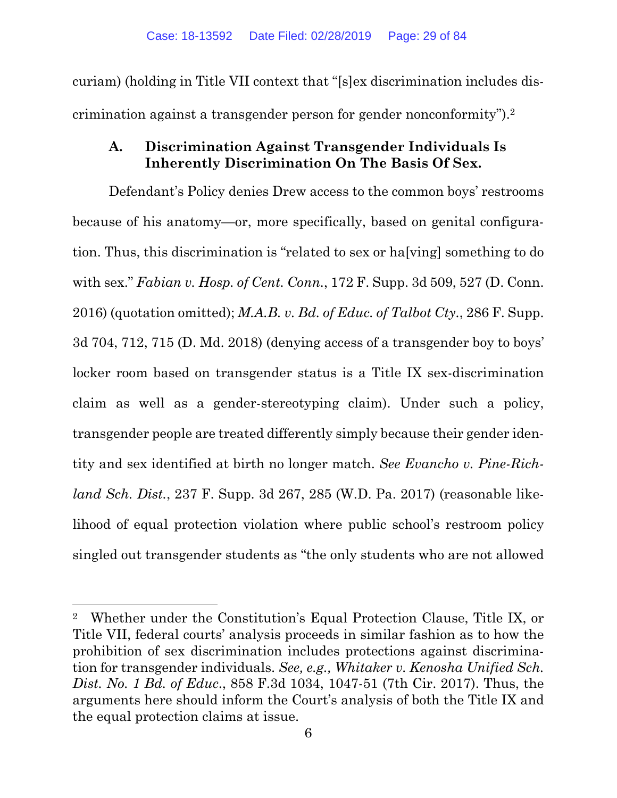curiam) (holding in Title VII context that "[s]ex discrimination includes discrimination against a transgender person for gender nonconformity").2

# **A. Discrimination Against Transgender Individuals Is Inherently Discrimination On The Basis Of Sex.**

Defendant's Policy denies Drew access to the common boys' restrooms because of his anatomy—or, more specifically, based on genital configuration. Thus, this discrimination is "related to sex or ha[ving] something to do with sex." *Fabian v. Hosp. of Cent. Conn.*, 172 F. Supp. 3d 509, 527 (D. Conn. 2016) (quotation omitted); *M.A.B. v. Bd. of Educ. of Talbot Cty.*, 286 F. Supp. 3d 704, 712, 715 (D. Md. 2018) (denying access of a transgender boy to boys' locker room based on transgender status is a Title IX sex-discrimination claim as well as a gender-stereotyping claim). Under such a policy, transgender people are treated differently simply because their gender identity and sex identified at birth no longer match. *See Evancho v. Pine-Richland Sch. Dist.*, 237 F. Supp. 3d 267, 285 (W.D. Pa. 2017) (reasonable likelihood of equal protection violation where public school's restroom policy singled out transgender students as "the only students who are not allowed

 $\overline{a}$ 

<sup>2</sup> Whether under the Constitution's Equal Protection Clause, Title IX, or Title VII, federal courts' analysis proceeds in similar fashion as to how the prohibition of sex discrimination includes protections against discrimination for transgender individuals. *See, e.g., Whitaker v. Kenosha Unified Sch. Dist. No. 1 Bd. of Educ*., 858 F.3d 1034, 1047-51 (7th Cir. 2017). Thus, the arguments here should inform the Court's analysis of both the Title IX and the equal protection claims at issue.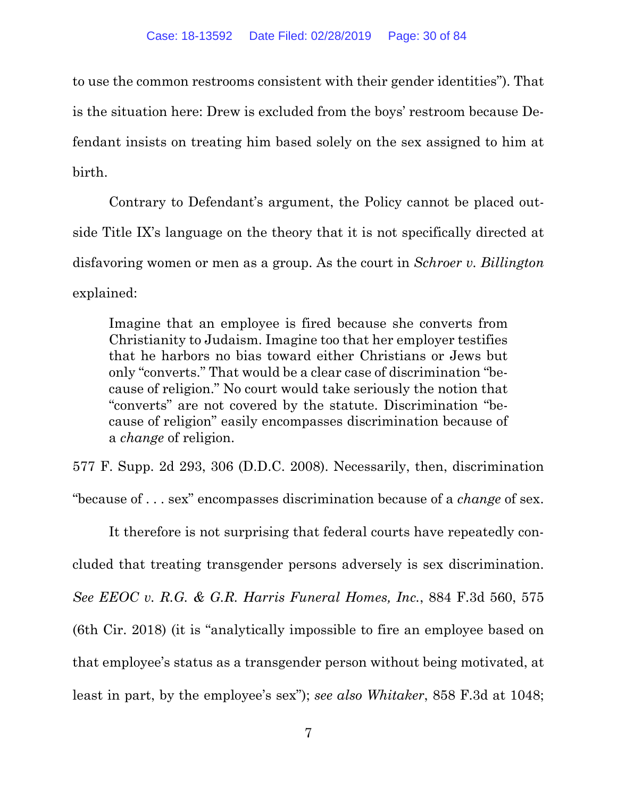to use the common restrooms consistent with their gender identities"). That is the situation here: Drew is excluded from the boys' restroom because Defendant insists on treating him based solely on the sex assigned to him at birth.

Contrary to Defendant's argument, the Policy cannot be placed outside Title IX's language on the theory that it is not specifically directed at disfavoring women or men as a group. As the court in *Schroer v. Billington* explained:

Imagine that an employee is fired because she converts from Christianity to Judaism. Imagine too that her employer testifies that he harbors no bias toward either Christians or Jews but only "converts." That would be a clear case of discrimination "because of religion." No court would take seriously the notion that "converts" are not covered by the statute. Discrimination "because of religion" easily encompasses discrimination because of a *change* of religion.

577 F. Supp. 2d 293, 306 (D.D.C. 2008). Necessarily, then, discrimination "because of . . . sex" encompasses discrimination because of a *change* of sex.

It therefore is not surprising that federal courts have repeatedly concluded that treating transgender persons adversely is sex discrimination. *See EEOC v. R.G. & G.R. Harris Funeral Homes, Inc.*, 884 F.3d 560, 575 (6th Cir. 2018) (it is "analytically impossible to fire an employee based on that employee's status as a transgender person without being motivated, at least in part, by the employee's sex"); *see also Whitaker*, 858 F.3d at 1048;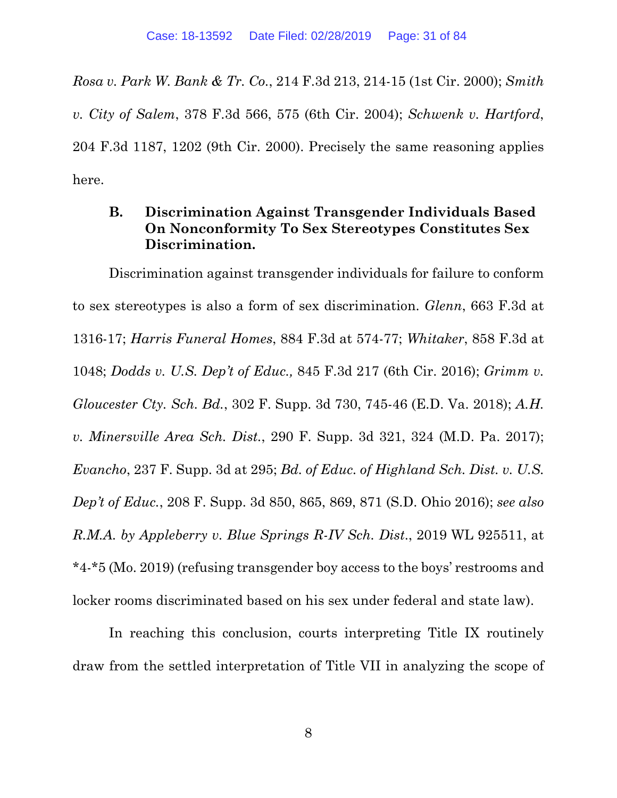*Rosa v. Park W. Bank & Tr. Co.*, 214 F.3d 213, 214-15 (1st Cir. 2000); *Smith v. City of Salem*, 378 F.3d 566, 575 (6th Cir. 2004); *Schwenk v. Hartford*, 204 F.3d 1187, 1202 (9th Cir. 2000). Precisely the same reasoning applies here.

### **B. Discrimination Against Transgender Individuals Based On Nonconformity To Sex Stereotypes Constitutes Sex Discrimination.**

Discrimination against transgender individuals for failure to conform to sex stereotypes is also a form of sex discrimination. *Glenn*, 663 F.3d at 1316-17; *Harris Funeral Homes*, 884 F.3d at 574-77; *Whitaker*, 858 F.3d at 1048; *Dodds v. U.S. Dep't of Educ.,* 845 F.3d 217 (6th Cir. 2016); *Grimm v. Gloucester Cty. Sch. Bd.*, 302 F. Supp. 3d 730, 745-46 (E.D. Va. 2018); *A.H. v. Minersville Area Sch. Dist.*, 290 F. Supp. 3d 321, 324 (M.D. Pa. 2017); *Evancho*, 237 F. Supp. 3d at 295; *Bd. of Educ. of Highland Sch. Dist. v. U.S. Dep't of Educ.*, 208 F. Supp. 3d 850, 865, 869, 871 (S.D. Ohio 2016); *see also R.M.A. by Appleberry v. Blue Springs R-IV Sch. Dist*., 2019 WL 925511, at \*4-\*5 (Mo. 2019) (refusing transgender boy access to the boys' restrooms and locker rooms discriminated based on his sex under federal and state law).

In reaching this conclusion, courts interpreting Title IX routinely draw from the settled interpretation of Title VII in analyzing the scope of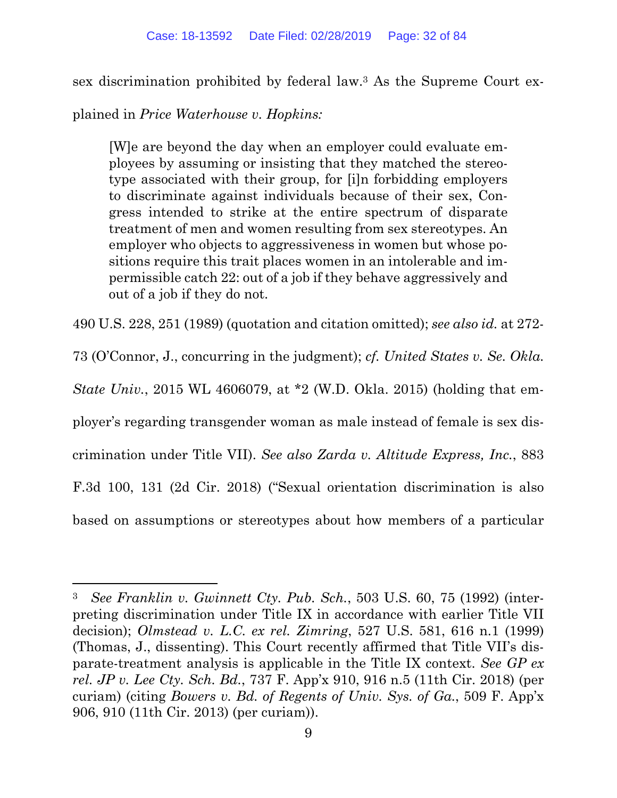sex discrimination prohibited by federal law.3 As the Supreme Court ex-

plained in *Price Waterhouse v. Hopkins:* 

 $\overline{a}$ 

[W]e are beyond the day when an employer could evaluate employees by assuming or insisting that they matched the stereotype associated with their group, for [i]n forbidding employers to discriminate against individuals because of their sex, Congress intended to strike at the entire spectrum of disparate treatment of men and women resulting from sex stereotypes. An employer who objects to aggressiveness in women but whose positions require this trait places women in an intolerable and impermissible catch 22: out of a job if they behave aggressively and out of a job if they do not.

490 U.S. 228, 251 (1989) (quotation and citation omitted); *see also id.* at 272-

73 (O'Connor, J., concurring in the judgment); *cf. United States v. Se. Okla.* 

*State Univ.*, 2015 WL 4606079, at \*2 (W.D. Okla. 2015) (holding that em-

ployer's regarding transgender woman as male instead of female is sex dis-

crimination under Title VII). *See also Zarda v. Altitude Express, Inc.*, 883

F.3d 100, 131 (2d Cir. 2018) ("Sexual orientation discrimination is also

based on assumptions or stereotypes about how members of a particular

<sup>3</sup> *See Franklin v. Gwinnett Cty. Pub. Sch.*, 503 U.S. 60, 75 (1992) (interpreting discrimination under Title IX in accordance with earlier Title VII decision); *Olmstead v. L.C. ex rel. Zimring*, 527 U.S. 581, 616 n.1 (1999) (Thomas, J., dissenting). This Court recently affirmed that Title VII's disparate-treatment analysis is applicable in the Title IX context. *See GP ex rel. JP v. Lee Cty. Sch. Bd.*, 737 F. App'x 910, 916 n.5 (11th Cir. 2018) (per curiam) (citing *Bowers v. Bd. of Regents of Univ. Sys. of Ga.*, 509 F. App'x 906, 910 (11th Cir. 2013) (per curiam)).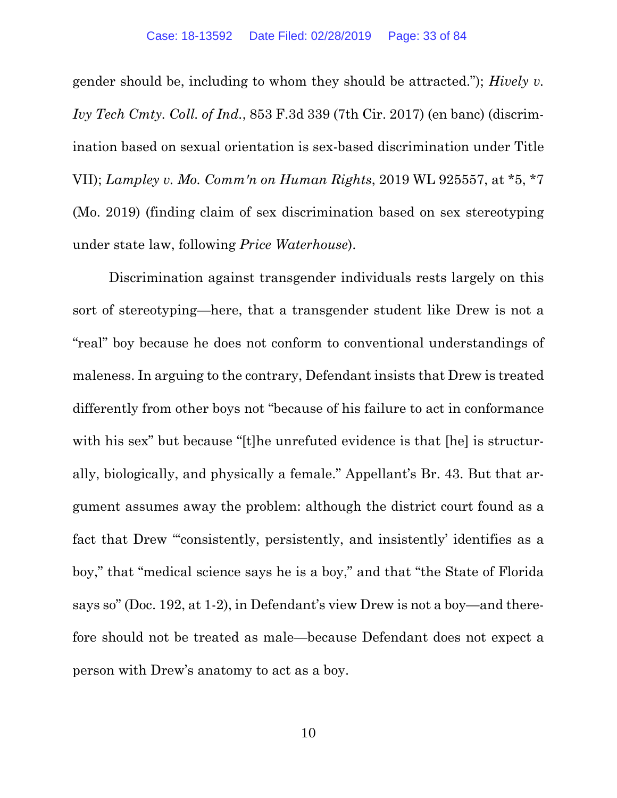gender should be, including to whom they should be attracted."); *Hively v. Ivy Tech Cmty. Coll. of Ind.*, 853 F.3d 339 (7th Cir. 2017) (en banc) (discrimination based on sexual orientation is sex-based discrimination under Title VII); *Lampley v. Mo. Comm'n on Human Rights*, 2019 WL 925557, at \*5, \*7 (Mo. 2019) (finding claim of sex discrimination based on sex stereotyping under state law, following *Price Waterhouse*).

Discrimination against transgender individuals rests largely on this sort of stereotyping—here, that a transgender student like Drew is not a "real" boy because he does not conform to conventional understandings of maleness. In arguing to the contrary, Defendant insists that Drew is treated differently from other boys not "because of his failure to act in conformance with his sex" but because "[t]he unrefuted evidence is that [he] is structurally, biologically, and physically a female." Appellant's Br. 43. But that argument assumes away the problem: although the district court found as a fact that Drew "consistently, persistently, and insistently' identifies as a boy," that "medical science says he is a boy," and that "the State of Florida says so" (Doc. 192, at 1-2), in Defendant's view Drew is not a boy—and therefore should not be treated as male—because Defendant does not expect a person with Drew's anatomy to act as a boy.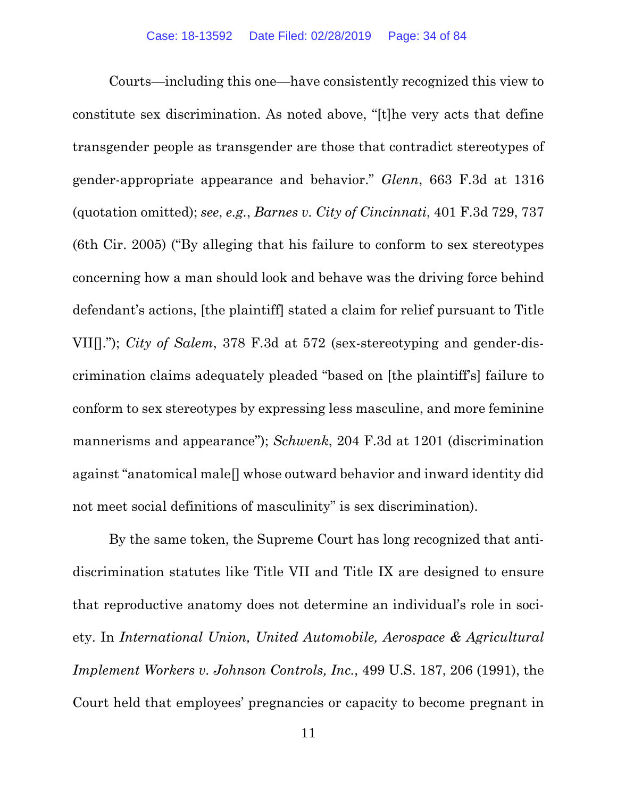Courts—including this one—have consistently recognized this view to constitute sex discrimination. As noted above, "[t]he very acts that define transgender people as transgender are those that contradict stereotypes of gender-appropriate appearance and behavior." *Glenn*, 663 F.3d at 1316 (quotation omitted); *see*, *e.g.*, *Barnes v. City of Cincinnati*, 401 F.3d 729, 737 (6th Cir. 2005) ("By alleging that his failure to conform to sex stereotypes concerning how a man should look and behave was the driving force behind defendant's actions, [the plaintiff] stated a claim for relief pursuant to Title VII[]."); *City of Salem*, 378 F.3d at 572 (sex-stereotyping and gender-discrimination claims adequately pleaded "based on [the plaintiff's] failure to conform to sex stereotypes by expressing less masculine, and more feminine mannerisms and appearance"); *Schwenk*, 204 F.3d at 1201 (discrimination against "anatomical male[] whose outward behavior and inward identity did not meet social definitions of masculinity" is sex discrimination).

By the same token, the Supreme Court has long recognized that antidiscrimination statutes like Title VII and Title IX are designed to ensure that reproductive anatomy does not determine an individual's role in society. In *International Union, United Automobile, Aerospace & Agricultural Implement Workers v. Johnson Controls, Inc.*, 499 U.S. 187, 206 (1991), the Court held that employees' pregnancies or capacity to become pregnant in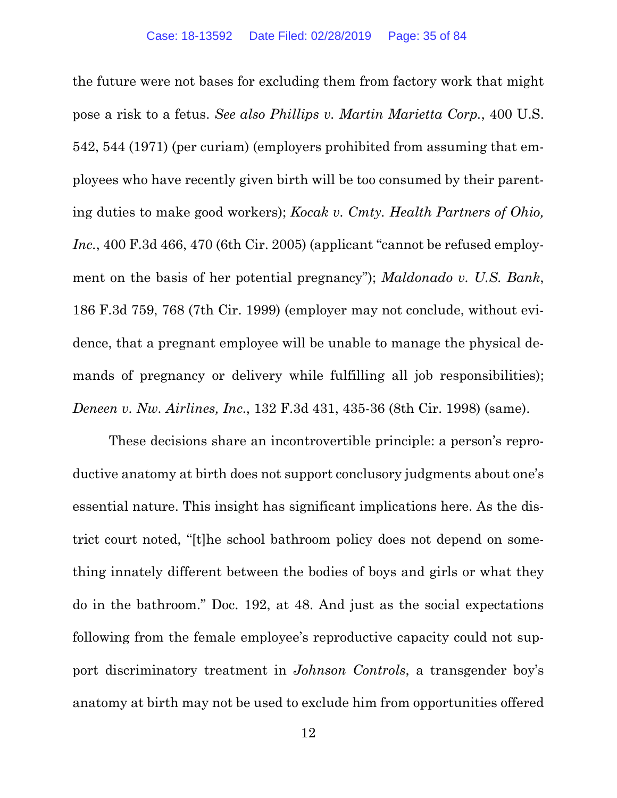the future were not bases for excluding them from factory work that might pose a risk to a fetus. *See also Phillips v. Martin Marietta Corp.*, 400 U.S. 542, 544 (1971) (per curiam) (employers prohibited from assuming that employees who have recently given birth will be too consumed by their parenting duties to make good workers); *Kocak v. Cmty. Health Partners of Ohio, Inc.*, 400 F.3d 466, 470 (6th Cir. 2005) (applicant "cannot be refused employment on the basis of her potential pregnancy"); *Maldonado v. U.S. Bank*, 186 F.3d 759, 768 (7th Cir. 1999) (employer may not conclude, without evidence, that a pregnant employee will be unable to manage the physical demands of pregnancy or delivery while fulfilling all job responsibilities); *Deneen v. Nw. Airlines, Inc*., 132 F.3d 431, 435-36 (8th Cir. 1998) (same).

These decisions share an incontrovertible principle: a person's reproductive anatomy at birth does not support conclusory judgments about one's essential nature. This insight has significant implications here. As the district court noted, "[t]he school bathroom policy does not depend on something innately different between the bodies of boys and girls or what they do in the bathroom." Doc. 192, at 48. And just as the social expectations following from the female employee's reproductive capacity could not support discriminatory treatment in *Johnson Controls*, a transgender boy's anatomy at birth may not be used to exclude him from opportunities offered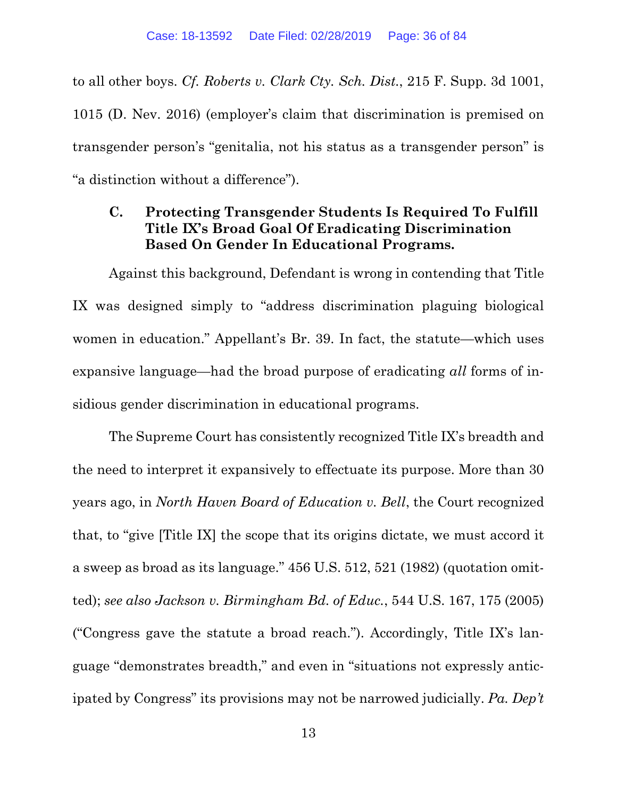to all other boys. *Cf. Roberts v. Clark Cty. Sch. Dist.*, 215 F. Supp. 3d 1001, 1015 (D. Nev. 2016) (employer's claim that discrimination is premised on transgender person's "genitalia, not his status as a transgender person" is "a distinction without a difference").

### **C. Protecting Transgender Students Is Required To Fulfill Title IX's Broad Goal Of Eradicating Discrimination Based On Gender In Educational Programs.**

Against this background, Defendant is wrong in contending that Title IX was designed simply to "address discrimination plaguing biological women in education." Appellant's Br. 39. In fact, the statute—which uses expansive language—had the broad purpose of eradicating *all* forms of insidious gender discrimination in educational programs.

The Supreme Court has consistently recognized Title IX's breadth and the need to interpret it expansively to effectuate its purpose. More than 30 years ago, in *North Haven Board of Education v. Bell*, the Court recognized that, to "give [Title IX] the scope that its origins dictate, we must accord it a sweep as broad as its language." 456 U.S. 512, 521 (1982) (quotation omitted); *see also Jackson v. Birmingham Bd. of Educ.*, 544 U.S. 167, 175 (2005) ("Congress gave the statute a broad reach."). Accordingly, Title IX's language "demonstrates breadth," and even in "situations not expressly anticipated by Congress" its provisions may not be narrowed judicially. *Pa. Dep't*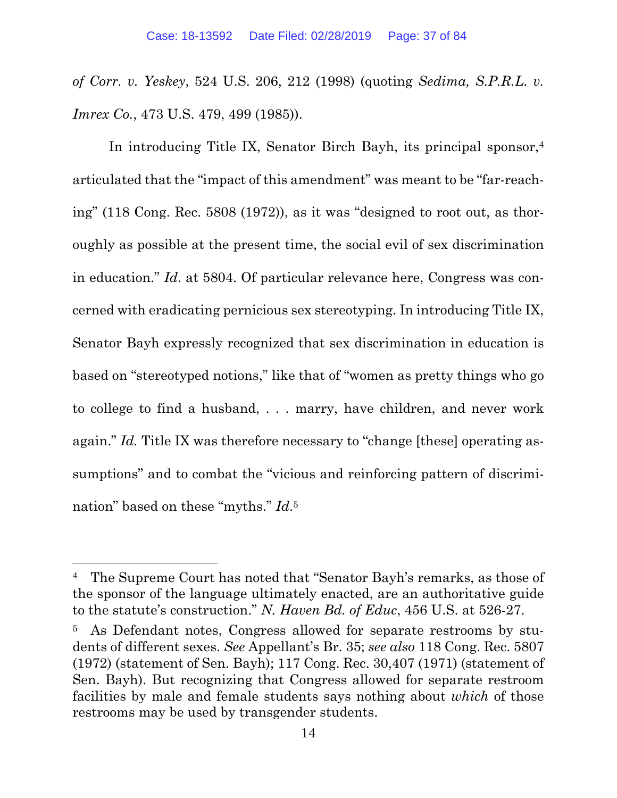*of Corr. v. Yeskey*, 524 U.S. 206, 212 (1998) (quoting *Sedima, S.P.R.L. v. Imrex Co.*, 473 U.S. 479, 499 (1985)).

In introducing Title IX, Senator Birch Bayh, its principal sponsor,<sup>4</sup> articulated that the "impact of this amendment" was meant to be "far-reaching" (118 Cong. Rec. 5808 (1972)), as it was "designed to root out, as thoroughly as possible at the present time, the social evil of sex discrimination in education." *Id*. at 5804. Of particular relevance here, Congress was concerned with eradicating pernicious sex stereotyping. In introducing Title IX, Senator Bayh expressly recognized that sex discrimination in education is based on "stereotyped notions," like that of "women as pretty things who go to college to find a husband, . . . marry, have children, and never work again." *Id.* Title IX was therefore necessary to "change [these] operating assumptions" and to combat the "vicious and reinforcing pattern of discrimination" based on these "myths." *Id*.5

 $\overline{a}$ 

<sup>4</sup> The Supreme Court has noted that "Senator Bayh's remarks, as those of the sponsor of the language ultimately enacted, are an authoritative guide to the statute's construction." *N. Haven Bd. of Educ*, 456 U.S. at 526-27.

As Defendant notes, Congress allowed for separate restrooms by students of different sexes. *See* Appellant's Br. 35; *see also* 118 Cong. Rec. 5807 (1972) (statement of Sen. Bayh); 117 Cong. Rec. 30,407 (1971) (statement of Sen. Bayh). But recognizing that Congress allowed for separate restroom facilities by male and female students says nothing about *which* of those restrooms may be used by transgender students.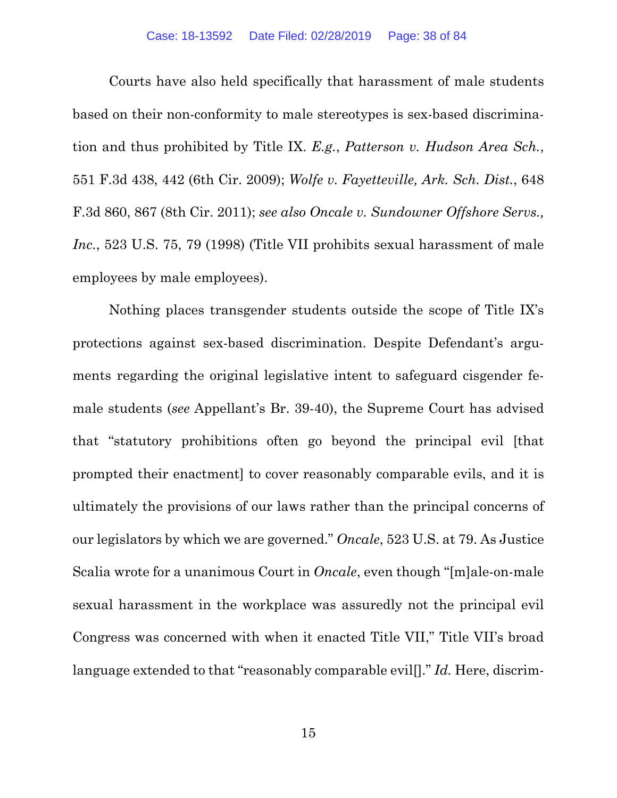Courts have also held specifically that harassment of male students based on their non-conformity to male stereotypes is sex-based discrimination and thus prohibited by Title IX. *E.g.*, *Patterson v. Hudson Area Sch.*, 551 F.3d 438, 442 (6th Cir. 2009); *Wolfe v. Fayetteville, Ark. Sch. Dist.*, 648 F.3d 860, 867 (8th Cir. 2011); *see also Oncale v. Sundowner Offshore Servs., Inc.*, 523 U.S. 75, 79 (1998) (Title VII prohibits sexual harassment of male employees by male employees).

Nothing places transgender students outside the scope of Title IX's protections against sex-based discrimination. Despite Defendant's arguments regarding the original legislative intent to safeguard cisgender female students (*see* Appellant's Br. 39-40), the Supreme Court has advised that "statutory prohibitions often go beyond the principal evil [that prompted their enactment] to cover reasonably comparable evils, and it is ultimately the provisions of our laws rather than the principal concerns of our legislators by which we are governed." *Oncale*, 523 U.S. at 79. As Justice Scalia wrote for a unanimous Court in *Oncale*, even though "[m]ale-on-male sexual harassment in the workplace was assuredly not the principal evil Congress was concerned with when it enacted Title VII," Title VII's broad language extended to that "reasonably comparable evil[]." *Id.* Here, discrim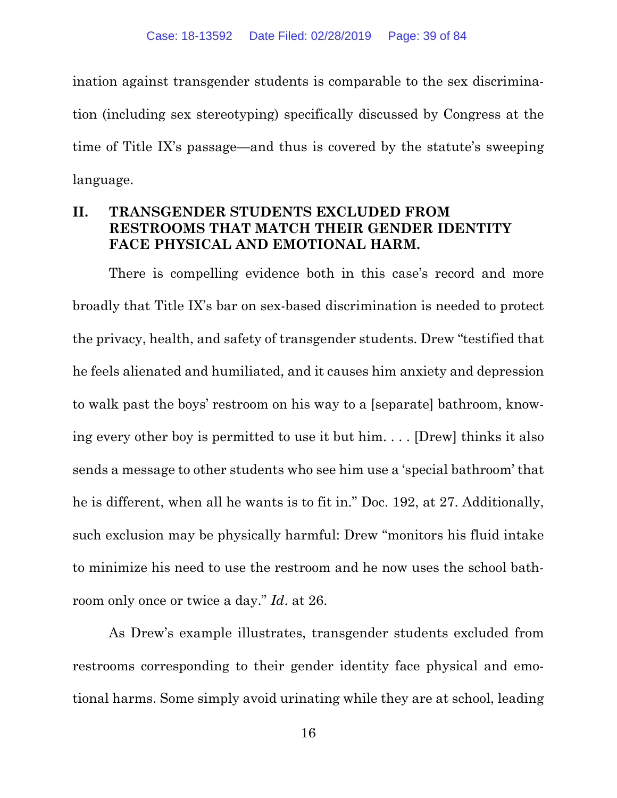ination against transgender students is comparable to the sex discrimination (including sex stereotyping) specifically discussed by Congress at the time of Title IX's passage—and thus is covered by the statute's sweeping language.

# **II. TRANSGENDER STUDENTS EXCLUDED FROM RESTROOMS THAT MATCH THEIR GENDER IDENTITY FACE PHYSICAL AND EMOTIONAL HARM.**

There is compelling evidence both in this case's record and more broadly that Title IX's bar on sex-based discrimination is needed to protect the privacy, health, and safety of transgender students. Drew "testified that he feels alienated and humiliated, and it causes him anxiety and depression to walk past the boys' restroom on his way to a [separate] bathroom, knowing every other boy is permitted to use it but him. . . . [Drew] thinks it also sends a message to other students who see him use a 'special bathroom' that he is different, when all he wants is to fit in." Doc. 192, at 27. Additionally, such exclusion may be physically harmful: Drew "monitors his fluid intake to minimize his need to use the restroom and he now uses the school bathroom only once or twice a day." *Id*. at 26.

As Drew's example illustrates, transgender students excluded from restrooms corresponding to their gender identity face physical and emotional harms. Some simply avoid urinating while they are at school, leading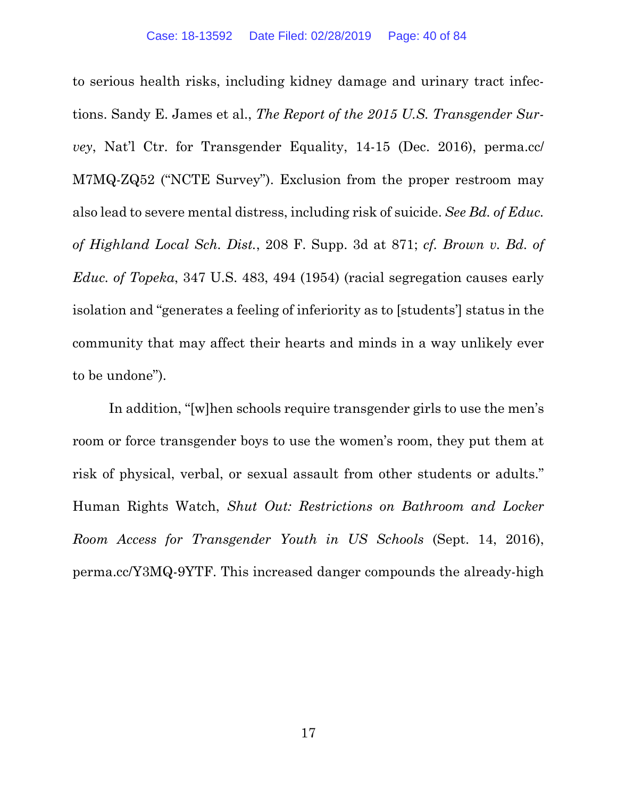to serious health risks, including kidney damage and urinary tract infections. Sandy E. James et al., *The Report of the 2015 U.S. Transgender Survey*, Nat'l Ctr. for Transgender Equality, 14-15 (Dec. 2016), perma.cc/ M7MQ-ZQ52 ("NCTE Survey"). Exclusion from the proper restroom may also lead to severe mental distress, including risk of suicide. *See Bd. of Educ. of Highland Local Sch. Dist.*, 208 F. Supp. 3d at 871; *cf. Brown v. Bd. of Educ. of Topeka*, 347 U.S. 483, 494 (1954) (racial segregation causes early isolation and "generates a feeling of inferiority as to [students'] status in the community that may affect their hearts and minds in a way unlikely ever to be undone").

In addition, "[w]hen schools require transgender girls to use the men's room or force transgender boys to use the women's room, they put them at risk of physical, verbal, or sexual assault from other students or adults." Human Rights Watch, *Shut Out: Restrictions on Bathroom and Locker Room Access for Transgender Youth in US Schools* (Sept. 14, 2016), perma.cc/Y3MQ-9YTF. This increased danger compounds the already-high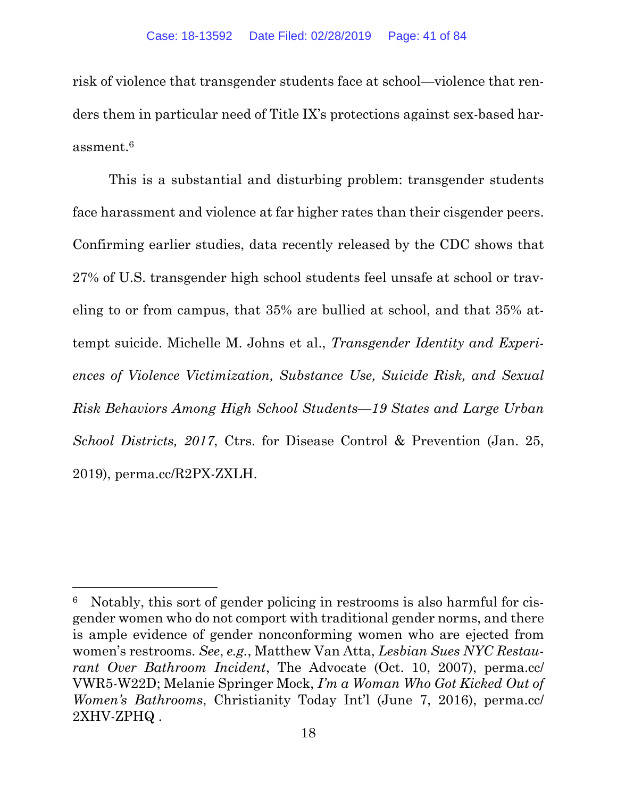risk of violence that transgender students face at school—violence that renders them in particular need of Title IX's protections against sex-based harassment.6

This is a substantial and disturbing problem: transgender students face harassment and violence at far higher rates than their cisgender peers. Confirming earlier studies, data recently released by the CDC shows that 27% of U.S. transgender high school students feel unsafe at school or traveling to or from campus, that 35% are bullied at school, and that 35% attempt suicide. Michelle M. Johns et al., *Transgender Identity and Experiences of Violence Victimization, Substance Use, Suicide Risk, and Sexual Risk Behaviors Among High School Students—19 States and Large Urban School Districts, 2017*, Ctrs. for Disease Control & Prevention (Jan. 25, 2019), perma.cc/R2PX-ZXLH.

 $\overline{a}$ 

Notably, this sort of gender policing in restrooms is also harmful for cisgender women who do not comport with traditional gender norms, and there is ample evidence of gender nonconforming women who are ejected from women's restrooms. *See*, *e.g.*, Matthew Van Atta, *Lesbian Sues NYC Restaurant Over Bathroom Incident*, The Advocate (Oct. 10, 2007), perma.cc/ VWR5-W22D; Melanie Springer Mock, *I'm a Woman Who Got Kicked Out of Women's Bathrooms*, Christianity Today Int'l (June 7, 2016), perma.cc/ 2XHV-ZPHQ .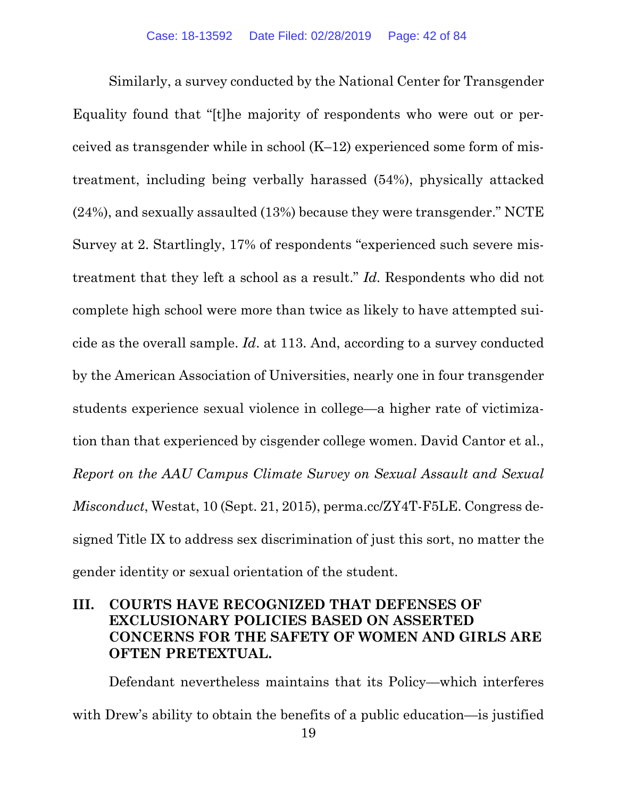Similarly, a survey conducted by the National Center for Transgender Equality found that "[t]he majority of respondents who were out or perceived as transgender while in school  $(K-12)$  experienced some form of mistreatment, including being verbally harassed (54%), physically attacked (24%), and sexually assaulted (13%) because they were transgender." NCTE Survey at 2. Startlingly, 17% of respondents "experienced such severe mistreatment that they left a school as a result." *Id.* Respondents who did not complete high school were more than twice as likely to have attempted suicide as the overall sample. *Id*. at 113. And, according to a survey conducted by the American Association of Universities, nearly one in four transgender students experience sexual violence in college—a higher rate of victimization than that experienced by cisgender college women. David Cantor et al., *Report on the AAU Campus Climate Survey on Sexual Assault and Sexual Misconduct*, Westat, 10 (Sept. 21, 2015), perma.cc/ZY4T-F5LE. Congress designed Title IX to address sex discrimination of just this sort, no matter the gender identity or sexual orientation of the student.

# **III. COURTS HAVE RECOGNIZED THAT DEFENSES OF EXCLUSIONARY POLICIES BASED ON ASSERTED CONCERNS FOR THE SAFETY OF WOMEN AND GIRLS ARE OFTEN PRETEXTUAL.**

Defendant nevertheless maintains that its Policy—which interferes with Drew's ability to obtain the benefits of a public education—is justified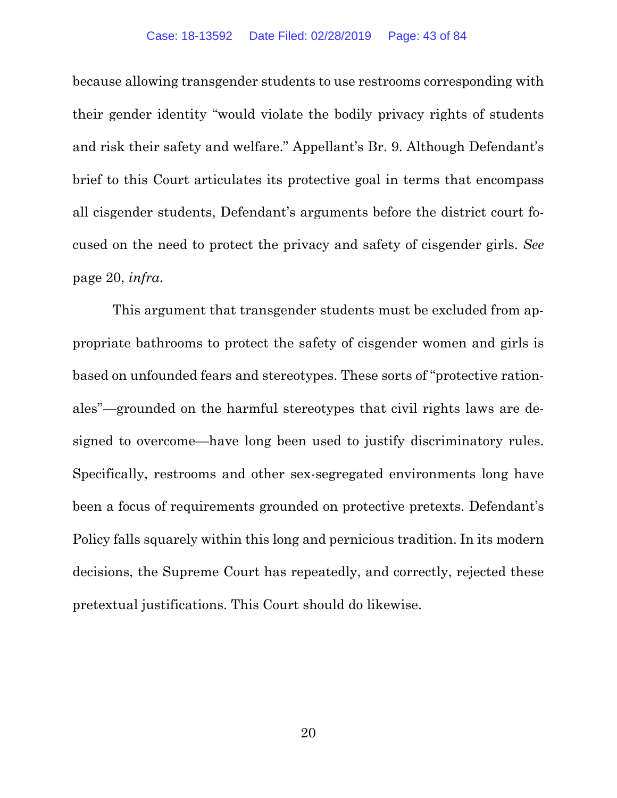#### Case: 18-13592 Date Filed: 02/28/2019 Page: 43 of 84

because allowing transgender students to use restrooms corresponding with their gender identity "would violate the bodily privacy rights of students and risk their safety and welfare." Appellant's Br. 9. Although Defendant's brief to this Court articulates its protective goal in terms that encompass all cisgender students, Defendant's arguments before the district court focused on the need to protect the privacy and safety of cisgender girls. *See* page 20, *infra*.

 This argument that transgender students must be excluded from appropriate bathrooms to protect the safety of cisgender women and girls is based on unfounded fears and stereotypes. These sorts of "protective rationales"—grounded on the harmful stereotypes that civil rights laws are designed to overcome—have long been used to justify discriminatory rules. Specifically, restrooms and other sex-segregated environments long have been a focus of requirements grounded on protective pretexts. Defendant's Policy falls squarely within this long and pernicious tradition. In its modern decisions, the Supreme Court has repeatedly, and correctly, rejected these pretextual justifications. This Court should do likewise.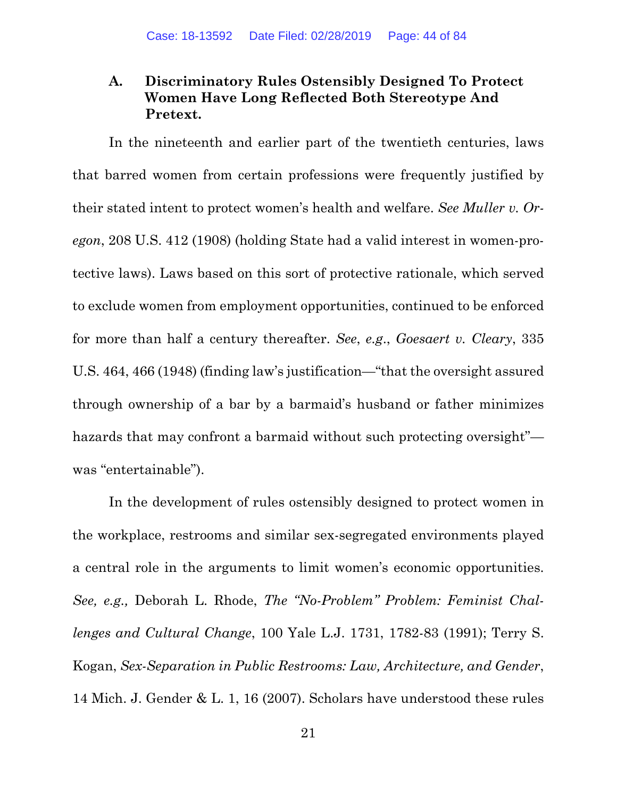# **A. Discriminatory Rules Ostensibly Designed To Protect Women Have Long Reflected Both Stereotype And Pretext.**

In the nineteenth and earlier part of the twentieth centuries, laws that barred women from certain professions were frequently justified by their stated intent to protect women's health and welfare. *See Muller v. Oregon*, 208 U.S. 412 (1908) (holding State had a valid interest in women-protective laws). Laws based on this sort of protective rationale, which served to exclude women from employment opportunities, continued to be enforced for more than half a century thereafter. *See*, *e.g*., *Goesaert v. Cleary*, 335 U.S. 464, 466 (1948) (finding law's justification—"that the oversight assured through ownership of a bar by a barmaid's husband or father minimizes hazards that may confront a barmaid without such protecting oversight" was "entertainable").

In the development of rules ostensibly designed to protect women in the workplace, restrooms and similar sex-segregated environments played a central role in the arguments to limit women's economic opportunities. *See, e.g.,* Deborah L. Rhode, *The "No-Problem" Problem: Feminist Challenges and Cultural Change*, 100 Yale L.J. 1731, 1782-83 (1991); Terry S. Kogan, *Sex-Separation in Public Restrooms: Law, Architecture, and Gender*, 14 Mich. J. Gender & L. 1, 16 (2007). Scholars have understood these rules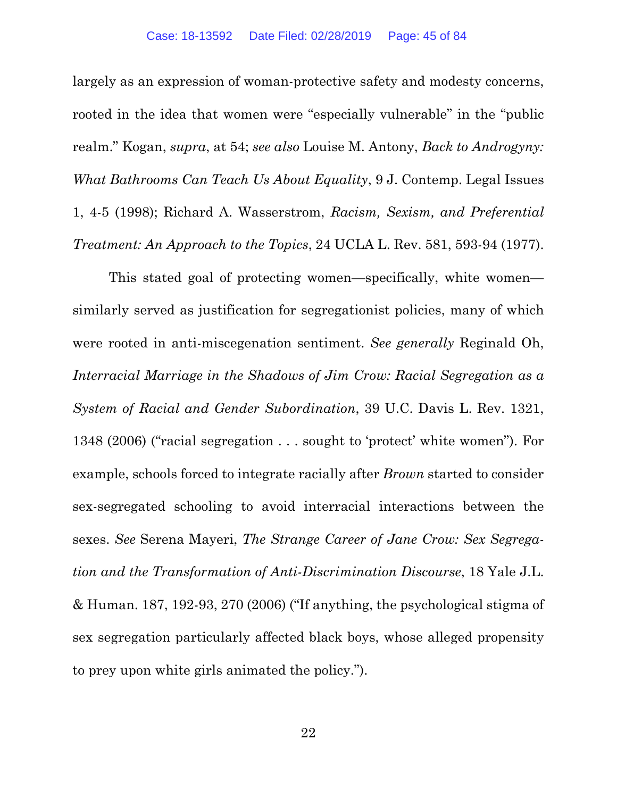largely as an expression of woman-protective safety and modesty concerns, rooted in the idea that women were "especially vulnerable" in the "public realm." Kogan, *supra*, at 54; *see also* Louise M. Antony, *Back to Androgyny: What Bathrooms Can Teach Us About Equality*, 9 J. Contemp. Legal Issues 1, 4-5 (1998); Richard A. Wasserstrom, *Racism, Sexism, and Preferential Treatment: An Approach to the Topics*, 24 UCLA L. Rev. 581, 593-94 (1977).

This stated goal of protecting women—specifically, white women similarly served as justification for segregationist policies, many of which were rooted in anti-miscegenation sentiment. *See generally* Reginald Oh, *Interracial Marriage in the Shadows of Jim Crow: Racial Segregation as a System of Racial and Gender Subordination*, 39 U.C. Davis L. Rev. 1321, 1348 (2006) ("racial segregation . . . sought to 'protect' white women"). For example, schools forced to integrate racially after *Brown* started to consider sex-segregated schooling to avoid interracial interactions between the sexes. *See* Serena Mayeri, *The Strange Career of Jane Crow: Sex Segregation and the Transformation of Anti-Discrimination Discourse*, 18 Yale J.L. & Human. 187, 192-93, 270 (2006) ("If anything, the psychological stigma of sex segregation particularly affected black boys, whose alleged propensity to prey upon white girls animated the policy.").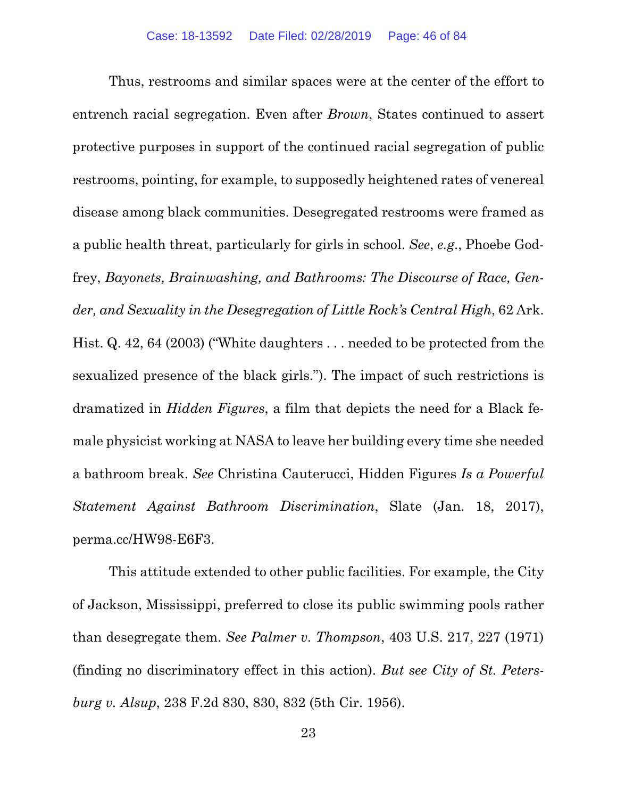Thus, restrooms and similar spaces were at the center of the effort to entrench racial segregation. Even after *Brown*, States continued to assert protective purposes in support of the continued racial segregation of public restrooms, pointing, for example, to supposedly heightened rates of venereal disease among black communities. Desegregated restrooms were framed as a public health threat, particularly for girls in school. *See*, *e.g*., Phoebe Godfrey, *Bayonets, Brainwashing, and Bathrooms: The Discourse of Race, Gender, and Sexuality in the Desegregation of Little Rock's Central High*, 62 Ark. Hist. Q. 42, 64 (2003) ("White daughters . . . needed to be protected from the sexualized presence of the black girls."). The impact of such restrictions is dramatized in *Hidden Figures*, a film that depicts the need for a Black female physicist working at NASA to leave her building every time she needed a bathroom break. *See* Christina Cauterucci, Hidden Figures *Is a Powerful Statement Against Bathroom Discrimination*, Slate (Jan. 18, 2017), perma.cc/HW98-E6F3.

This attitude extended to other public facilities. For example, the City of Jackson, Mississippi, preferred to close its public swimming pools rather than desegregate them. *See Palmer v. Thompson*, 403 U.S. 217, 227 (1971) (finding no discriminatory effect in this action). *But see City of St. Petersburg v. Alsup*, 238 F.2d 830, 830, 832 (5th Cir. 1956).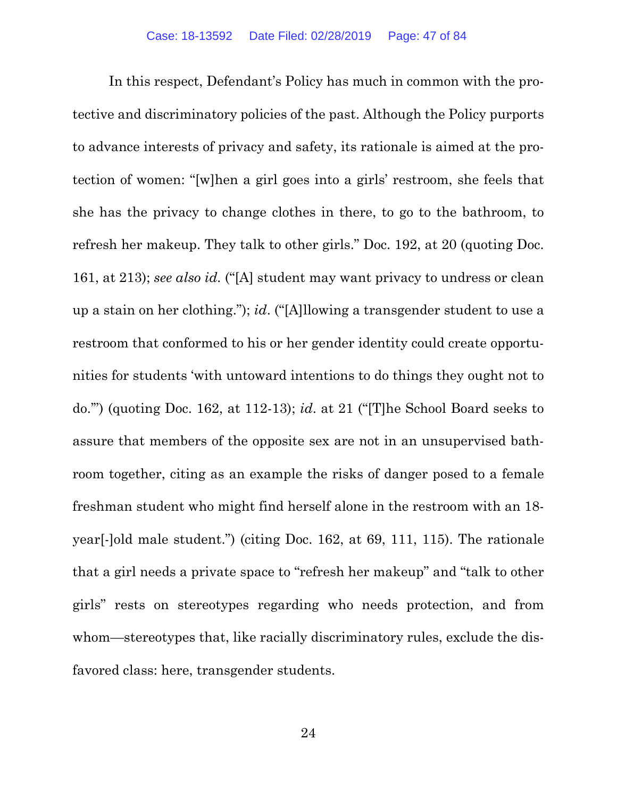In this respect, Defendant's Policy has much in common with the protective and discriminatory policies of the past. Although the Policy purports to advance interests of privacy and safety, its rationale is aimed at the protection of women: "[w]hen a girl goes into a girls' restroom, she feels that she has the privacy to change clothes in there, to go to the bathroom, to refresh her makeup. They talk to other girls." Doc. 192, at 20 (quoting Doc. 161, at 213); *see also id.* ("[A] student may want privacy to undress or clean up a stain on her clothing."); *id*. ("[A]llowing a transgender student to use a restroom that conformed to his or her gender identity could create opportunities for students 'with untoward intentions to do things they ought not to do.'") (quoting Doc. 162, at 112-13); *id*. at 21 ("[T]he School Board seeks to assure that members of the opposite sex are not in an unsupervised bathroom together, citing as an example the risks of danger posed to a female freshman student who might find herself alone in the restroom with an 18 year[-]old male student.") (citing Doc. 162, at 69, 111, 115). The rationale that a girl needs a private space to "refresh her makeup" and "talk to other girls" rests on stereotypes regarding who needs protection, and from whom—stereotypes that, like racially discriminatory rules, exclude the disfavored class: here, transgender students.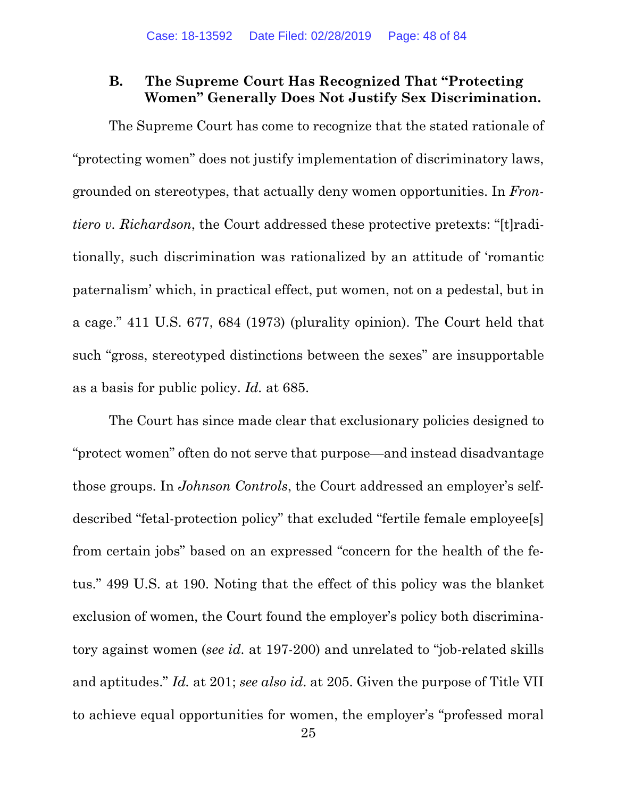# **B. The Supreme Court Has Recognized That "Protecting Women" Generally Does Not Justify Sex Discrimination.**

The Supreme Court has come to recognize that the stated rationale of "protecting women" does not justify implementation of discriminatory laws, grounded on stereotypes, that actually deny women opportunities. In *Frontiero v. Richardson*, the Court addressed these protective pretexts: "[t]raditionally, such discrimination was rationalized by an attitude of 'romantic paternalism' which, in practical effect, put women, not on a pedestal, but in a cage." 411 U.S. 677, 684 (1973) (plurality opinion). The Court held that such "gross, stereotyped distinctions between the sexes" are insupportable as a basis for public policy. *Id.* at 685.

The Court has since made clear that exclusionary policies designed to "protect women" often do not serve that purpose—and instead disadvantage those groups. In *Johnson Controls*, the Court addressed an employer's selfdescribed "fetal-protection policy" that excluded "fertile female employee[s] from certain jobs" based on an expressed "concern for the health of the fetus." 499 U.S. at 190. Noting that the effect of this policy was the blanket exclusion of women, the Court found the employer's policy both discriminatory against women (*see id.* at 197-200) and unrelated to "job-related skills and aptitudes." *Id.* at 201; *see also id*. at 205. Given the purpose of Title VII to achieve equal opportunities for women, the employer's "professed moral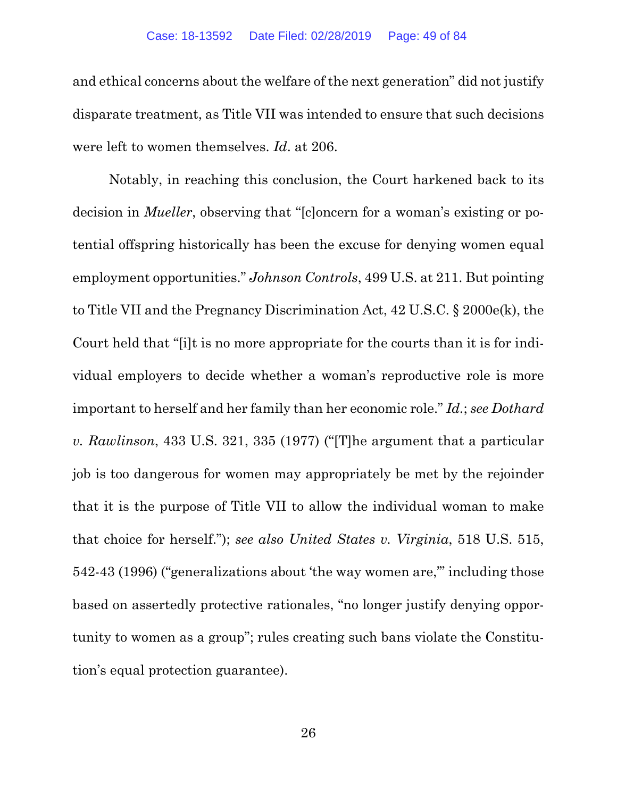and ethical concerns about the welfare of the next generation" did not justify disparate treatment, as Title VII was intended to ensure that such decisions were left to women themselves. *Id*. at 206.

Notably, in reaching this conclusion, the Court harkened back to its decision in *Mueller*, observing that "[c]oncern for a woman's existing or potential offspring historically has been the excuse for denying women equal employment opportunities." *Johnson Controls*, 499 U.S. at 211. But pointing to Title VII and the Pregnancy Discrimination Act, 42 U.S.C. § 2000e(k), the Court held that "[i]t is no more appropriate for the courts than it is for individual employers to decide whether a woman's reproductive role is more important to herself and her family than her economic role." *Id.*; *see Dothard v. Rawlinson*, 433 U.S. 321, 335 (1977) ("[T]he argument that a particular job is too dangerous for women may appropriately be met by the rejoinder that it is the purpose of Title VII to allow the individual woman to make that choice for herself."); *see also United States v. Virginia*, 518 U.S. 515, 542-43 (1996) ("generalizations about 'the way women are,'" including those based on assertedly protective rationales, "no longer justify denying opportunity to women as a group"; rules creating such bans violate the Constitution's equal protection guarantee).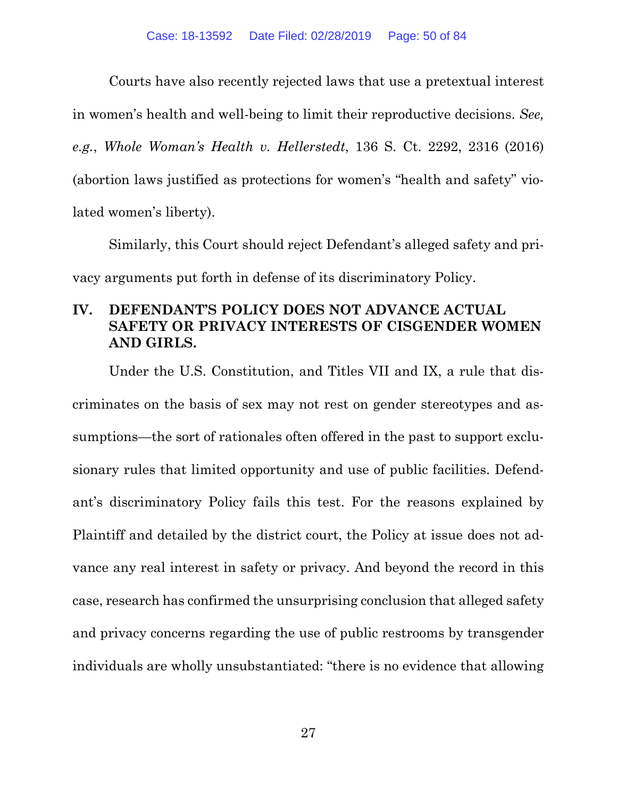Courts have also recently rejected laws that use a pretextual interest in women's health and well-being to limit their reproductive decisions. *See, e.g.*, *Whole Woman's Health v. Hellerstedt*, 136 S. Ct. 2292, 2316 (2016) (abortion laws justified as protections for women's "health and safety" violated women's liberty).

Similarly, this Court should reject Defendant's alleged safety and privacy arguments put forth in defense of its discriminatory Policy.

# **IV. DEFENDANT'S POLICY DOES NOT ADVANCE ACTUAL SAFETY OR PRIVACY INTERESTS OF CISGENDER WOMEN AND GIRLS.**

Under the U.S. Constitution, and Titles VII and IX, a rule that discriminates on the basis of sex may not rest on gender stereotypes and assumptions—the sort of rationales often offered in the past to support exclusionary rules that limited opportunity and use of public facilities. Defendant's discriminatory Policy fails this test. For the reasons explained by Plaintiff and detailed by the district court, the Policy at issue does not advance any real interest in safety or privacy. And beyond the record in this case, research has confirmed the unsurprising conclusion that alleged safety and privacy concerns regarding the use of public restrooms by transgender individuals are wholly unsubstantiated: "there is no evidence that allowing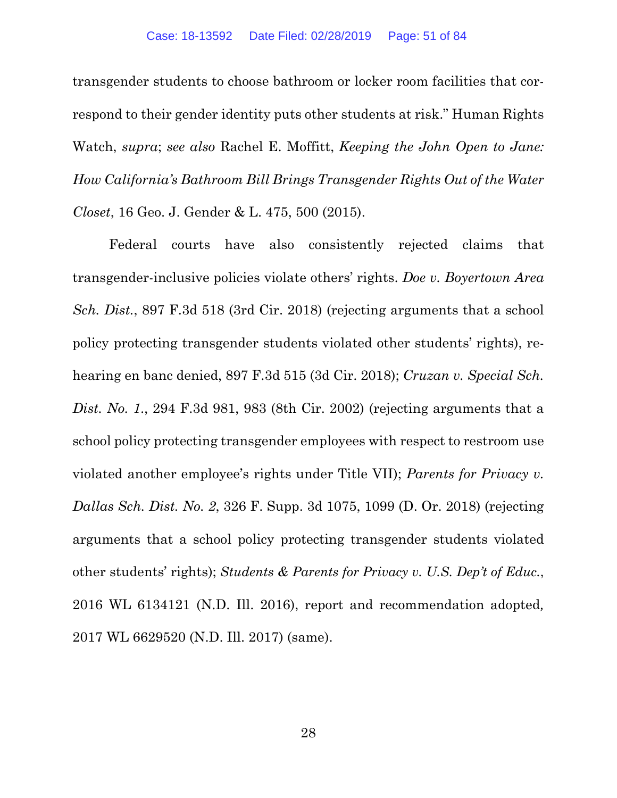transgender students to choose bathroom or locker room facilities that correspond to their gender identity puts other students at risk." Human Rights Watch, *supra*; *see also* Rachel E. Moffitt, *Keeping the John Open to Jane: How California's Bathroom Bill Brings Transgender Rights Out of the Water Closet*, 16 Geo. J. Gender & L. 475, 500 (2015).

Federal courts have also consistently rejected claims that transgender-inclusive policies violate others' rights. *Doe v. Boyertown Area Sch. Dist.*, 897 F.3d 518 (3rd Cir. 2018) (rejecting arguments that a school policy protecting transgender students violated other students' rights), rehearing en banc denied, 897 F.3d 515 (3d Cir. 2018); *Cruzan v. Special Sch. Dist. No. 1*., 294 F.3d 981, 983 (8th Cir. 2002) (rejecting arguments that a school policy protecting transgender employees with respect to restroom use violated another employee's rights under Title VII); *Parents for Privacy v. Dallas Sch. Dist. No. 2*, 326 F. Supp. 3d 1075, 1099 (D. Or. 2018) (rejecting arguments that a school policy protecting transgender students violated other students' rights); *Students & Parents for Privacy v. U.S. Dep't of Educ.*, 2016 WL 6134121 (N.D. Ill. 2016), report and recommendation adopted*,*  2017 WL 6629520 (N.D. Ill. 2017) (same).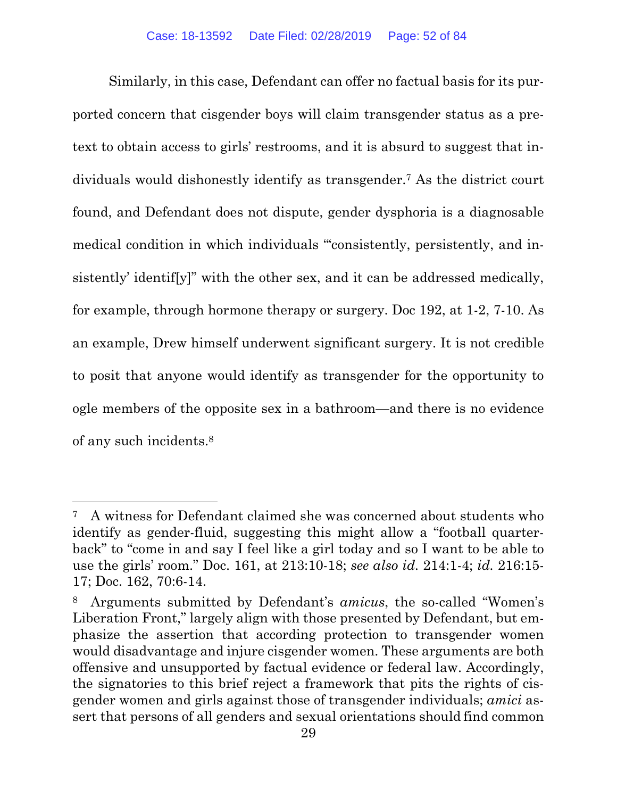Similarly, in this case, Defendant can offer no factual basis for its purported concern that cisgender boys will claim transgender status as a pretext to obtain access to girls' restrooms, and it is absurd to suggest that individuals would dishonestly identify as transgender.7 As the district court found, and Defendant does not dispute, gender dysphoria is a diagnosable medical condition in which individuals "'consistently, persistently, and insistently' identif[y]" with the other sex, and it can be addressed medically, for example, through hormone therapy or surgery. Doc 192, at 1-2, 7-10. As an example, Drew himself underwent significant surgery. It is not credible to posit that anyone would identify as transgender for the opportunity to ogle members of the opposite sex in a bathroom—and there is no evidence of any such incidents.8

1

<sup>7</sup> A witness for Defendant claimed she was concerned about students who identify as gender-fluid, suggesting this might allow a "football quarterback" to "come in and say I feel like a girl today and so I want to be able to use the girls' room." Doc. 161, at 213:10-18; *see also id.* 214:1-4; *id.* 216:15- 17; Doc. 162, 70:6-14.

<sup>8</sup> Arguments submitted by Defendant's *amicus*, the so-called "Women's Liberation Front," largely align with those presented by Defendant, but emphasize the assertion that according protection to transgender women would disadvantage and injure cisgender women. These arguments are both offensive and unsupported by factual evidence or federal law. Accordingly, the signatories to this brief reject a framework that pits the rights of cisgender women and girls against those of transgender individuals; *amici* assert that persons of all genders and sexual orientations should find common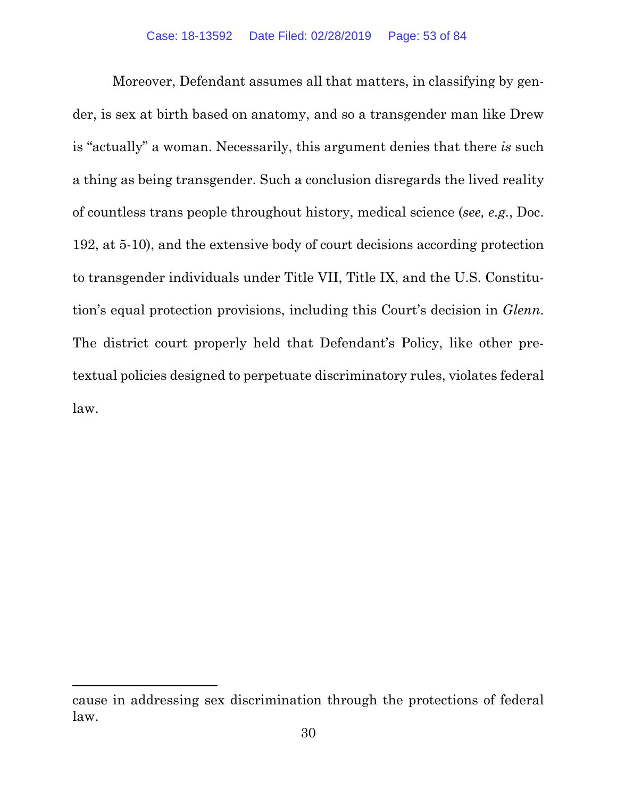Moreover, Defendant assumes all that matters, in classifying by gender, is sex at birth based on anatomy, and so a transgender man like Drew is "actually" a woman. Necessarily, this argument denies that there *is* such a thing as being transgender. Such a conclusion disregards the lived reality of countless trans people throughout history, medical science (*see, e.g.*, Doc. 192, at 5-10), and the extensive body of court decisions according protection to transgender individuals under Title VII, Title IX, and the U.S. Constitution's equal protection provisions, including this Court's decision in *Glenn*. The district court properly held that Defendant's Policy, like other pretextual policies designed to perpetuate discriminatory rules, violates federal law.

 $\overline{a}$ 

cause in addressing sex discrimination through the protections of federal law.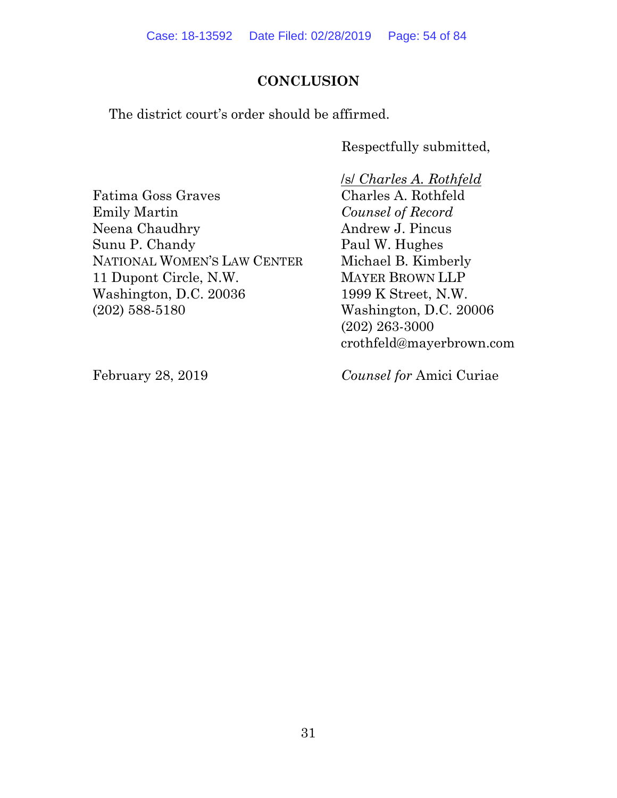# **CONCLUSION**

The district court's order should be affirmed.

Respectfully submitted,

Fatima Goss Graves Emily Martin Neena Chaudhry Sunu P. Chandy NATIONAL WOMEN'S LAW CENTER 11 Dupont Circle, N.W. Washington, D.C. 20036 (202) 588-5180

 /s/ *Charles A. Rothfeld*  Charles A. Rothfeld *Counsel of Record*  Andrew J. Pincus Paul W. Hughes Michael B. Kimberly MAYER BROWN LLP 1999 K Street, N.W. Washington, D.C. 20006 (202) 263-3000 crothfeld@mayerbrown.com

February 28, 2019

*Counsel for* Amici Curiae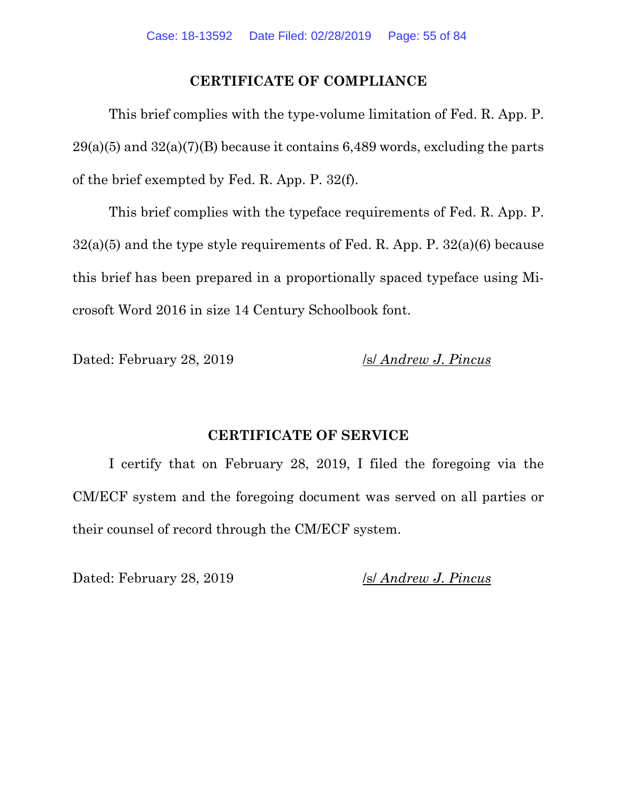# **CERTIFICATE OF COMPLIANCE**

This brief complies with the type-volume limitation of Fed. R. App. P.  $29(a)(5)$  and  $32(a)(7)(B)$  because it contains 6,489 words, excluding the parts of the brief exempted by Fed. R. App. P. 32(f).

This brief complies with the typeface requirements of Fed. R. App. P.  $32(a)(5)$  and the type style requirements of Fed. R. App. P.  $32(a)(6)$  because this brief has been prepared in a proportionally spaced typeface using Microsoft Word 2016 in size 14 Century Schoolbook font.

Dated: February 28, 2019 *Isl Andrew J. Pincus* 

# **CERTIFICATE OF SERVICE**

I certify that on February 28, 2019, I filed the foregoing via the CM/ECF system and the foregoing document was served on all parties or their counsel of record through the CM/ECF system.

Dated: February 28, 2019 /s/ *Andrew J. Pincus*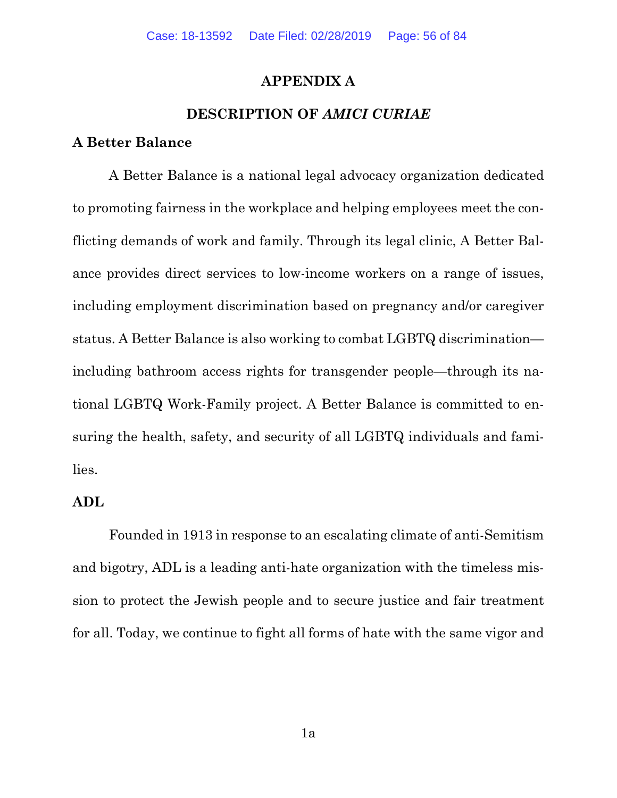# **APPENDIX A**

# **DESCRIPTION OF** *AMICI CURIAE*

# **A Better Balance**

A Better Balance is a national legal advocacy organization dedicated to promoting fairness in the workplace and helping employees meet the conflicting demands of work and family. Through its legal clinic, A Better Balance provides direct services to low-income workers on a range of issues, including employment discrimination based on pregnancy and/or caregiver status. A Better Balance is also working to combat LGBTQ discrimination including bathroom access rights for transgender people—through its national LGBTQ Work-Family project. A Better Balance is committed to ensuring the health, safety, and security of all LGBTQ individuals and families.

## **ADL**

Founded in 1913 in response to an escalating climate of anti-Semitism and bigotry, ADL is a leading anti-hate organization with the timeless mission to protect the Jewish people and to secure justice and fair treatment for all. Today, we continue to fight all forms of hate with the same vigor and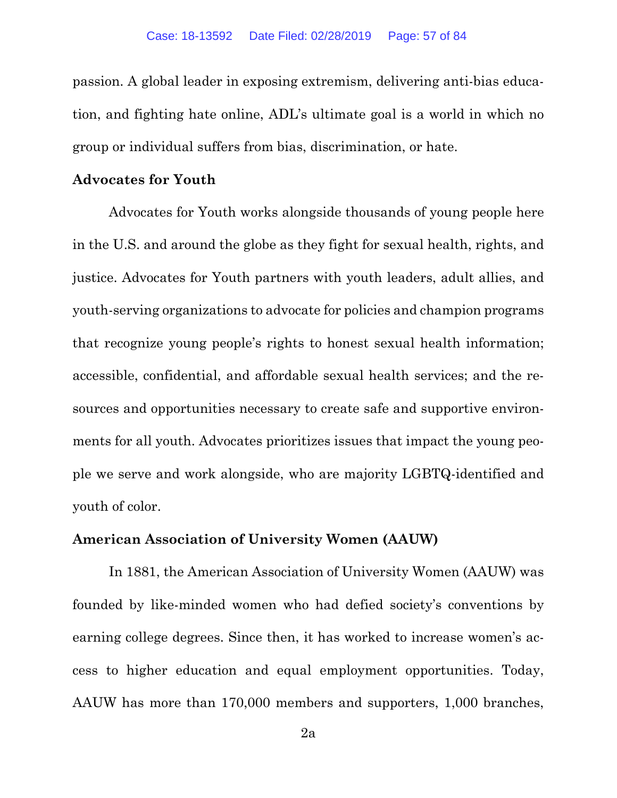passion. A global leader in exposing extremism, delivering anti-bias education, and fighting hate online, ADL's ultimate goal is a world in which no group or individual suffers from bias, discrimination, or hate.

# **Advocates for Youth**

Advocates for Youth works alongside thousands of young people here in the U.S. and around the globe as they fight for sexual health, rights, and justice. Advocates for Youth partners with youth leaders, adult allies, and youth-serving organizations to advocate for policies and champion programs that recognize young people's rights to honest sexual health information; accessible, confidential, and affordable sexual health services; and the resources and opportunities necessary to create safe and supportive environments for all youth. Advocates prioritizes issues that impact the young people we serve and work alongside, who are majority LGBTQ-identified and youth of color.

#### **American Association of University Women (AAUW)**

In 1881, the American Association of University Women (AAUW) was founded by like-minded women who had defied society's conventions by earning college degrees. Since then, it has worked to increase women's access to higher education and equal employment opportunities. Today, AAUW has more than 170,000 members and supporters, 1,000 branches,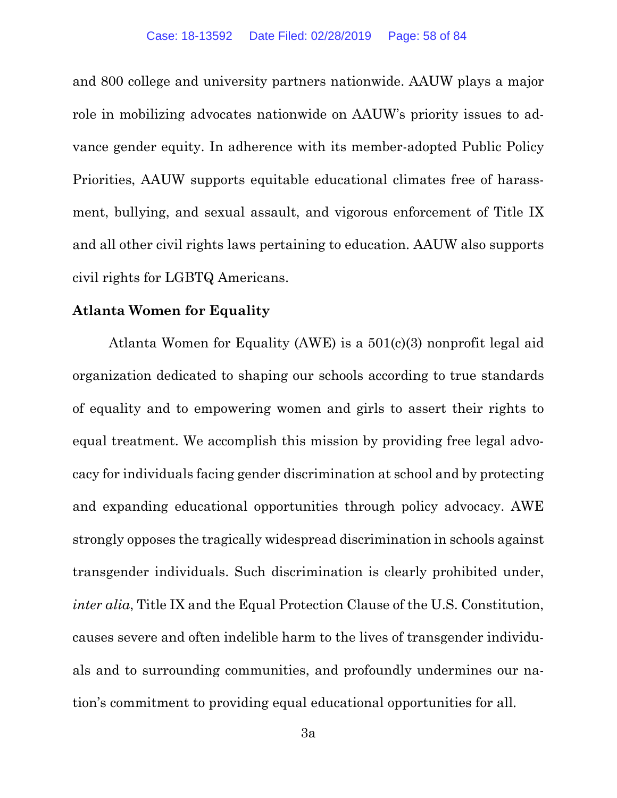and 800 college and university partners nationwide. AAUW plays a major role in mobilizing advocates nationwide on AAUW's priority issues to advance gender equity. In adherence with its member-adopted Public Policy Priorities, AAUW supports equitable educational climates free of harassment, bullying, and sexual assault, and vigorous enforcement of Title IX and all other civil rights laws pertaining to education. AAUW also supports civil rights for LGBTQ Americans.

## **Atlanta Women for Equality**

Atlanta Women for Equality (AWE) is a 501(c)(3) nonprofit legal aid organization dedicated to shaping our schools according to true standards of equality and to empowering women and girls to assert their rights to equal treatment. We accomplish this mission by providing free legal advocacy for individuals facing gender discrimination at school and by protecting and expanding educational opportunities through policy advocacy. AWE strongly opposes the tragically widespread discrimination in schools against transgender individuals. Such discrimination is clearly prohibited under, *inter alia*, Title IX and the Equal Protection Clause of the U.S. Constitution, causes severe and often indelible harm to the lives of transgender individuals and to surrounding communities, and profoundly undermines our nation's commitment to providing equal educational opportunities for all.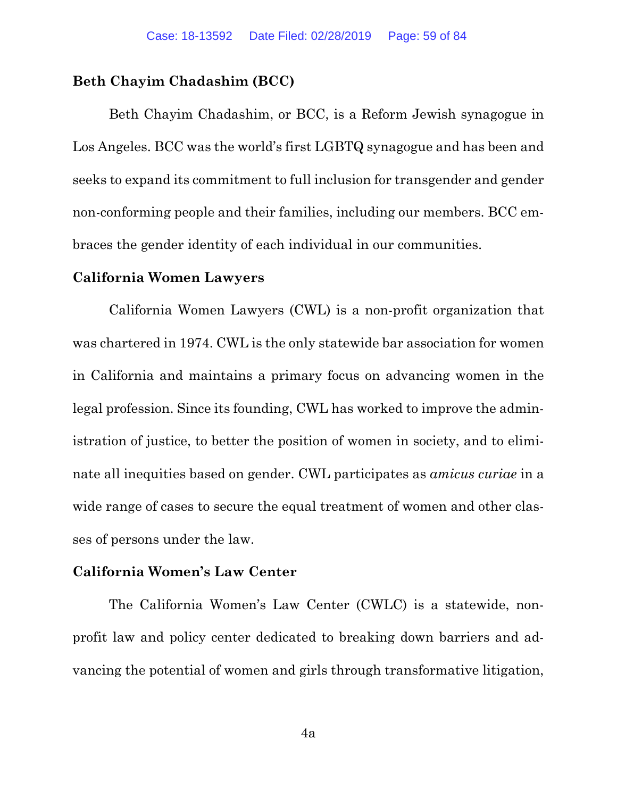#### **Beth Chayim Chadashim (BCC)**

Beth Chayim Chadashim, or BCC, is a Reform Jewish synagogue in Los Angeles. BCC was the world's first LGBTQ synagogue and has been and seeks to expand its commitment to full inclusion for transgender and gender non-conforming people and their families, including our members. BCC embraces the gender identity of each individual in our communities.

#### **California Women Lawyers**

California Women Lawyers (CWL) is a non-profit organization that was chartered in 1974. CWL is the only statewide bar association for women in California and maintains a primary focus on advancing women in the legal profession. Since its founding, CWL has worked to improve the administration of justice, to better the position of women in society, and to eliminate all inequities based on gender. CWL participates as *amicus curiae* in a wide range of cases to secure the equal treatment of women and other classes of persons under the law.

# **California Women's Law Center**

The California Women's Law Center (CWLC) is a statewide, nonprofit law and policy center dedicated to breaking down barriers and advancing the potential of women and girls through transformative litigation,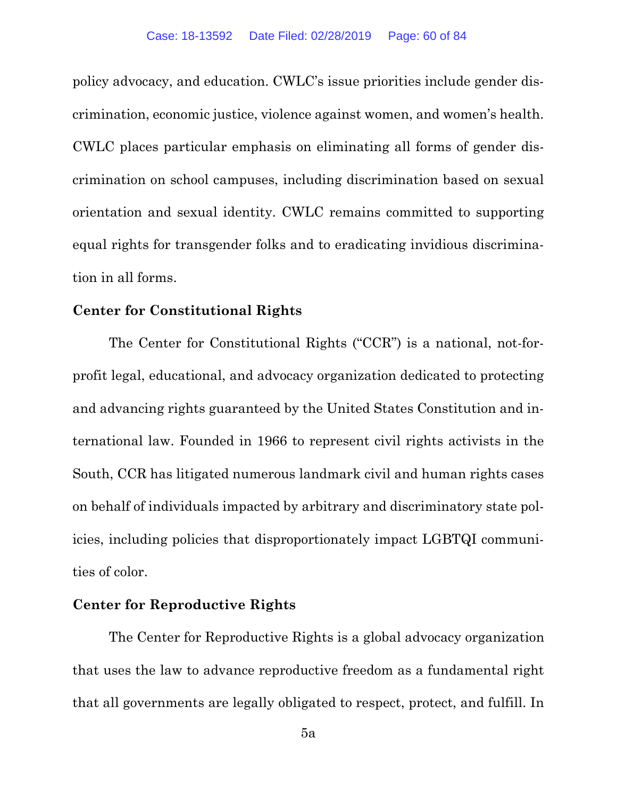policy advocacy, and education. CWLC's issue priorities include gender discrimination, economic justice, violence against women, and women's health. CWLC places particular emphasis on eliminating all forms of gender discrimination on school campuses, including discrimination based on sexual orientation and sexual identity. CWLC remains committed to supporting equal rights for transgender folks and to eradicating invidious discrimination in all forms.

## **Center for Constitutional Rights**

The Center for Constitutional Rights ("CCR") is a national, not-forprofit legal, educational, and advocacy organization dedicated to protecting and advancing rights guaranteed by the United States Constitution and international law. Founded in 1966 to represent civil rights activists in the South, CCR has litigated numerous landmark civil and human rights cases on behalf of individuals impacted by arbitrary and discriminatory state policies, including policies that disproportionately impact LGBTQI communities of color.

# **Center for Reproductive Rights**

The Center for Reproductive Rights is a global advocacy organization that uses the law to advance reproductive freedom as a fundamental right that all governments are legally obligated to respect, protect, and fulfill. In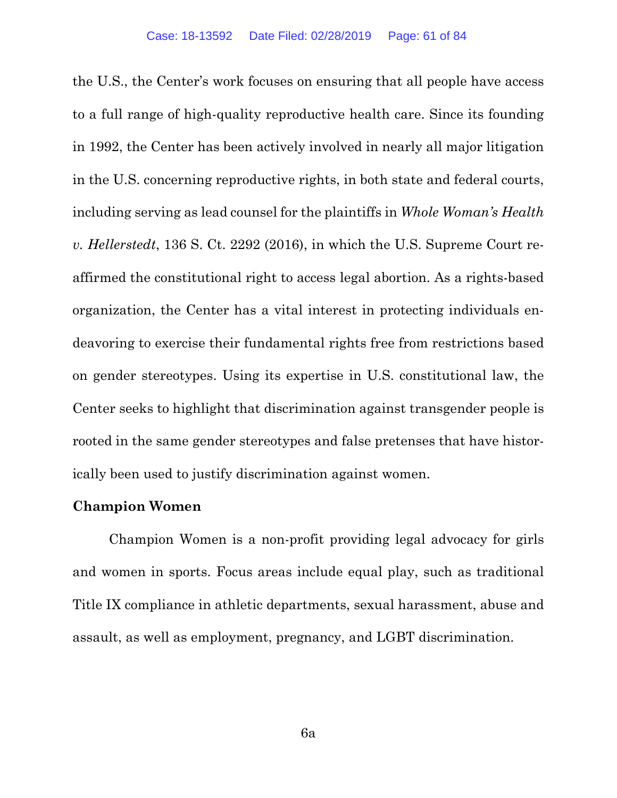the U.S., the Center's work focuses on ensuring that all people have access to a full range of high-quality reproductive health care. Since its founding in 1992, the Center has been actively involved in nearly all major litigation in the U.S. concerning reproductive rights, in both state and federal courts, including serving as lead counsel for the plaintiffs in *Whole Woman's Health v. Hellerstedt*, 136 S. Ct. 2292 (2016), in which the U.S. Supreme Court reaffirmed the constitutional right to access legal abortion. As a rights-based organization, the Center has a vital interest in protecting individuals endeavoring to exercise their fundamental rights free from restrictions based on gender stereotypes. Using its expertise in U.S. constitutional law, the Center seeks to highlight that discrimination against transgender people is rooted in the same gender stereotypes and false pretenses that have historically been used to justify discrimination against women.

#### **Champion Women**

Champion Women is a non-profit providing legal advocacy for girls and women in sports. Focus areas include equal play, such as traditional Title IX compliance in athletic departments, sexual harassment, abuse and assault, as well as employment, pregnancy, and LGBT discrimination.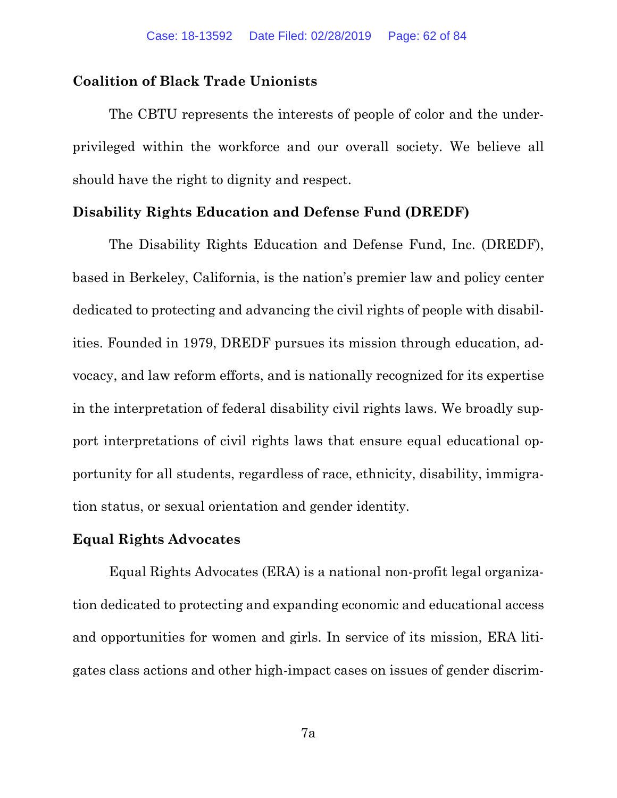#### **Coalition of Black Trade Unionists**

The CBTU represents the interests of people of color and the underprivileged within the workforce and our overall society. We believe all should have the right to dignity and respect.

#### **Disability Rights Education and Defense Fund (DREDF)**

The Disability Rights Education and Defense Fund, Inc. (DREDF), based in Berkeley, California, is the nation's premier law and policy center dedicated to protecting and advancing the civil rights of people with disabilities. Founded in 1979, DREDF pursues its mission through education, advocacy, and law reform efforts, and is nationally recognized for its expertise in the interpretation of federal disability civil rights laws. We broadly support interpretations of civil rights laws that ensure equal educational opportunity for all students, regardless of race, ethnicity, disability, immigration status, or sexual orientation and gender identity.

#### **Equal Rights Advocates**

Equal Rights Advocates (ERA) is a national non-profit legal organization dedicated to protecting and expanding economic and educational access and opportunities for women and girls. In service of its mission, ERA litigates class actions and other high-impact cases on issues of gender discrim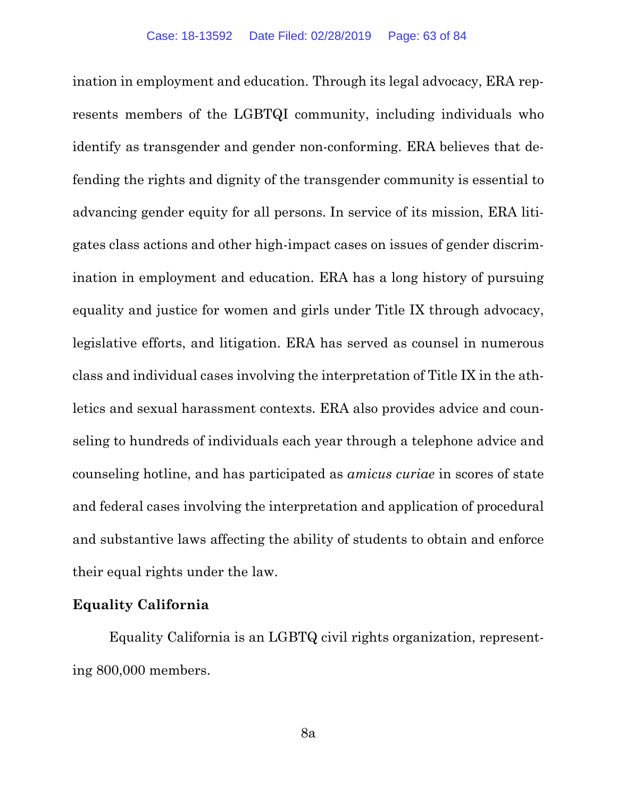ination in employment and education. Through its legal advocacy, ERA represents members of the LGBTQI community, including individuals who identify as transgender and gender non-conforming. ERA believes that defending the rights and dignity of the transgender community is essential to advancing gender equity for all persons. In service of its mission, ERA litigates class actions and other high-impact cases on issues of gender discrimination in employment and education. ERA has a long history of pursuing equality and justice for women and girls under Title IX through advocacy, legislative efforts, and litigation. ERA has served as counsel in numerous class and individual cases involving the interpretation of Title IX in the athletics and sexual harassment contexts. ERA also provides advice and counseling to hundreds of individuals each year through a telephone advice and counseling hotline, and has participated as *amicus curiae* in scores of state and federal cases involving the interpretation and application of procedural and substantive laws affecting the ability of students to obtain and enforce their equal rights under the law.

# **Equality California**

Equality California is an LGBTQ civil rights organization, representing 800,000 members.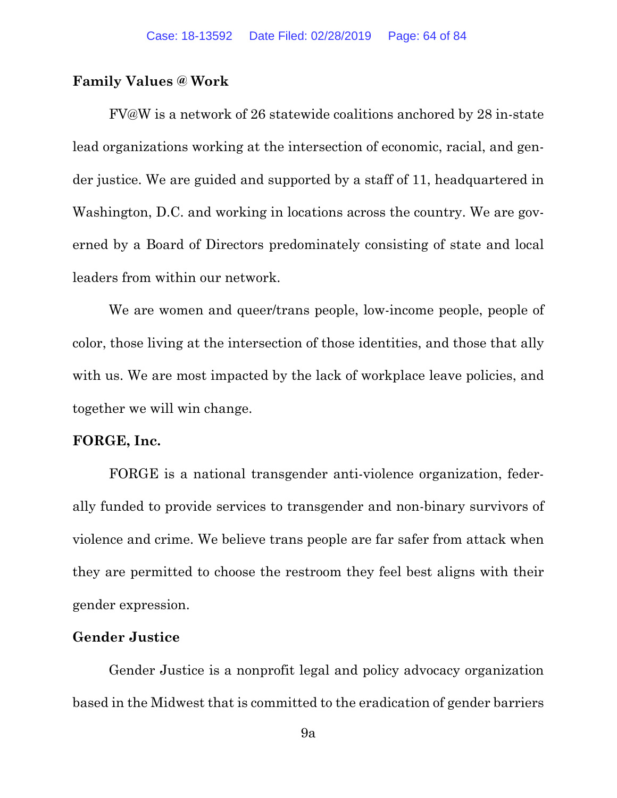#### **Family Values @ Work**

FV@W is a network of 26 statewide coalitions anchored by 28 in-state lead organizations working at the intersection of economic, racial, and gender justice. We are guided and supported by a staff of 11, headquartered in Washington, D.C. and working in locations across the country. We are governed by a Board of Directors predominately consisting of state and local leaders from within our network.

We are women and queer/trans people, low-income people, people of color, those living at the intersection of those identities, and those that ally with us. We are most impacted by the lack of workplace leave policies, and together we will win change.

# **FORGE, Inc.**

FORGE is a national transgender anti-violence organization, federally funded to provide services to transgender and non-binary survivors of violence and crime. We believe trans people are far safer from attack when they are permitted to choose the restroom they feel best aligns with their gender expression.

# **Gender Justice**

Gender Justice is a nonprofit legal and policy advocacy organization based in the Midwest that is committed to the eradication of gender barriers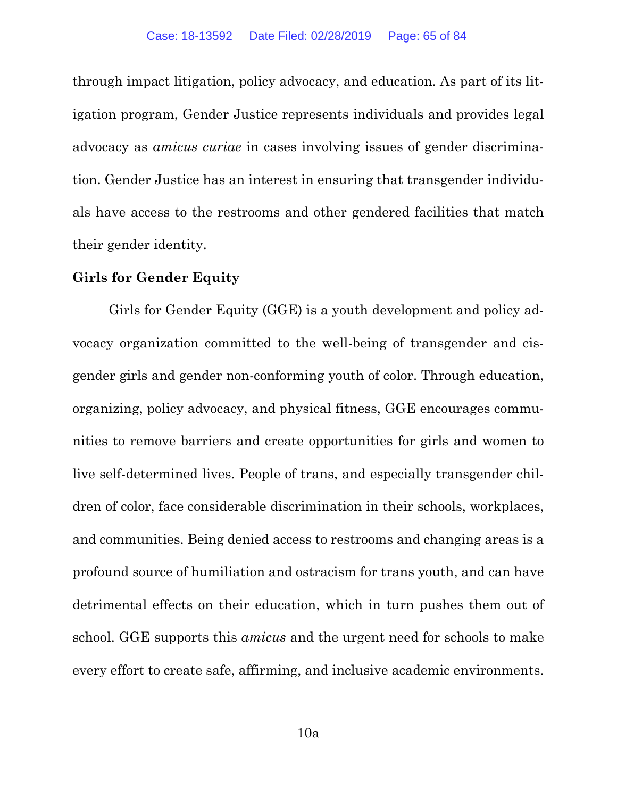through impact litigation, policy advocacy, and education. As part of its litigation program, Gender Justice represents individuals and provides legal advocacy as *amicus curiae* in cases involving issues of gender discrimination. Gender Justice has an interest in ensuring that transgender individuals have access to the restrooms and other gendered facilities that match their gender identity.

## **Girls for Gender Equity**

Girls for Gender Equity (GGE) is a youth development and policy advocacy organization committed to the well-being of transgender and cisgender girls and gender non-conforming youth of color. Through education, organizing, policy advocacy, and physical fitness, GGE encourages communities to remove barriers and create opportunities for girls and women to live self-determined lives. People of trans, and especially transgender children of color, face considerable discrimination in their schools, workplaces, and communities. Being denied access to restrooms and changing areas is a profound source of humiliation and ostracism for trans youth, and can have detrimental effects on their education, which in turn pushes them out of school. GGE supports this *amicus* and the urgent need for schools to make every effort to create safe, affirming, and inclusive academic environments.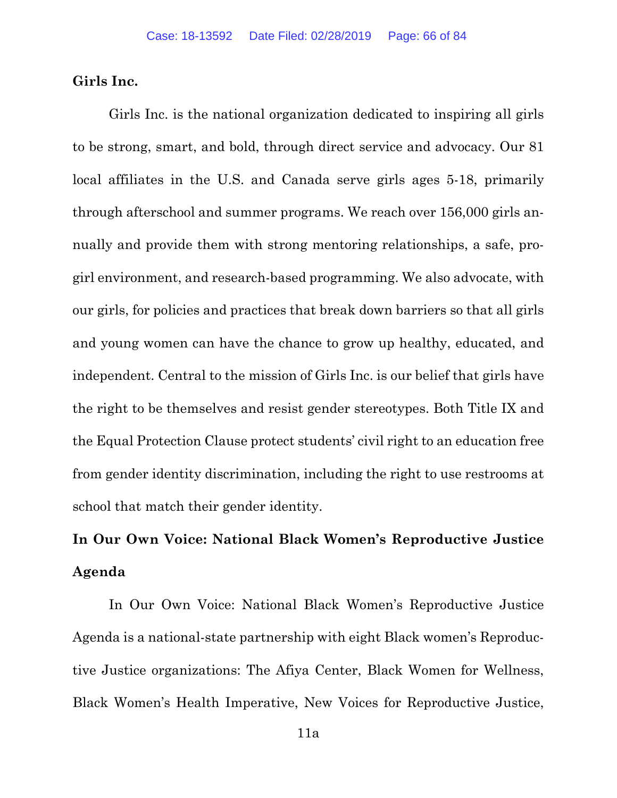#### **Girls Inc.**

Girls Inc. is the national organization dedicated to inspiring all girls to be strong, smart, and bold, through direct service and advocacy. Our 81 local affiliates in the U.S. and Canada serve girls ages 5-18, primarily through afterschool and summer programs. We reach over 156,000 girls annually and provide them with strong mentoring relationships, a safe, progirl environment, and research-based programming. We also advocate, with our girls, for policies and practices that break down barriers so that all girls and young women can have the chance to grow up healthy, educated, and independent. Central to the mission of Girls Inc. is our belief that girls have the right to be themselves and resist gender stereotypes. Both Title IX and the Equal Protection Clause protect students' civil right to an education free from gender identity discrimination, including the right to use restrooms at school that match their gender identity.

# **In Our Own Voice: National Black Women's Reproductive Justice Agenda**

In Our Own Voice: National Black Women's Reproductive Justice Agenda is a national-state partnership with eight Black women's Reproductive Justice organizations: The Afiya Center, Black Women for Wellness, Black Women's Health Imperative, New Voices for Reproductive Justice,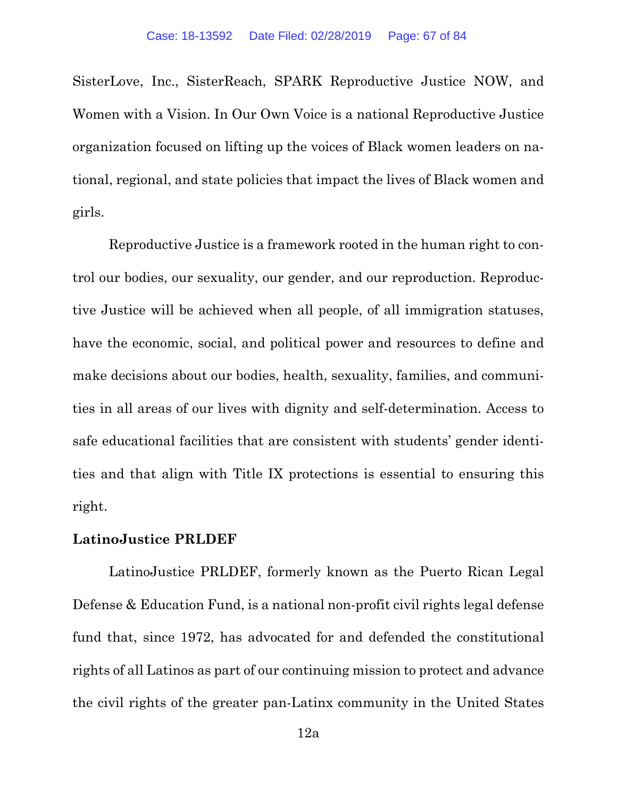SisterLove, Inc., SisterReach, SPARK Reproductive Justice NOW, and Women with a Vision. In Our Own Voice is a national Reproductive Justice organization focused on lifting up the voices of Black women leaders on national, regional, and state policies that impact the lives of Black women and girls.

Reproductive Justice is a framework rooted in the human right to control our bodies, our sexuality, our gender, and our reproduction. Reproductive Justice will be achieved when all people, of all immigration statuses, have the economic, social, and political power and resources to define and make decisions about our bodies, health, sexuality, families, and communities in all areas of our lives with dignity and self-determination. Access to safe educational facilities that are consistent with students' gender identities and that align with Title IX protections is essential to ensuring this right.

#### **LatinoJustice PRLDEF**

LatinoJustice PRLDEF, formerly known as the Puerto Rican Legal Defense & Education Fund, is a national non-profit civil rights legal defense fund that, since 1972, has advocated for and defended the constitutional rights of all Latinos as part of our continuing mission to protect and advance the civil rights of the greater pan-Latinx community in the United States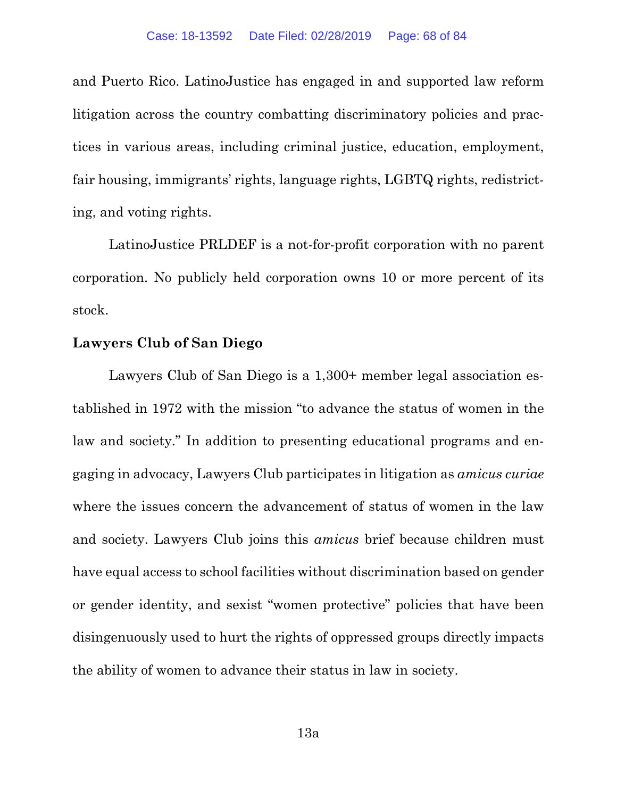and Puerto Rico. LatinoJustice has engaged in and supported law reform litigation across the country combatting discriminatory policies and practices in various areas, including criminal justice, education, employment, fair housing, immigrants' rights, language rights, LGBTQ rights, redistricting, and voting rights.

LatinoJustice PRLDEF is a not-for-profit corporation with no parent corporation. No publicly held corporation owns 10 or more percent of its stock.

#### **Lawyers Club of San Diego**

Lawyers Club of San Diego is a 1,300+ member legal association established in 1972 with the mission "to advance the status of women in the law and society." In addition to presenting educational programs and engaging in advocacy, Lawyers Club participates in litigation as *amicus curiae* where the issues concern the advancement of status of women in the law and society. Lawyers Club joins this *amicus* brief because children must have equal access to school facilities without discrimination based on gender or gender identity, and sexist "women protective" policies that have been disingenuously used to hurt the rights of oppressed groups directly impacts the ability of women to advance their status in law in society.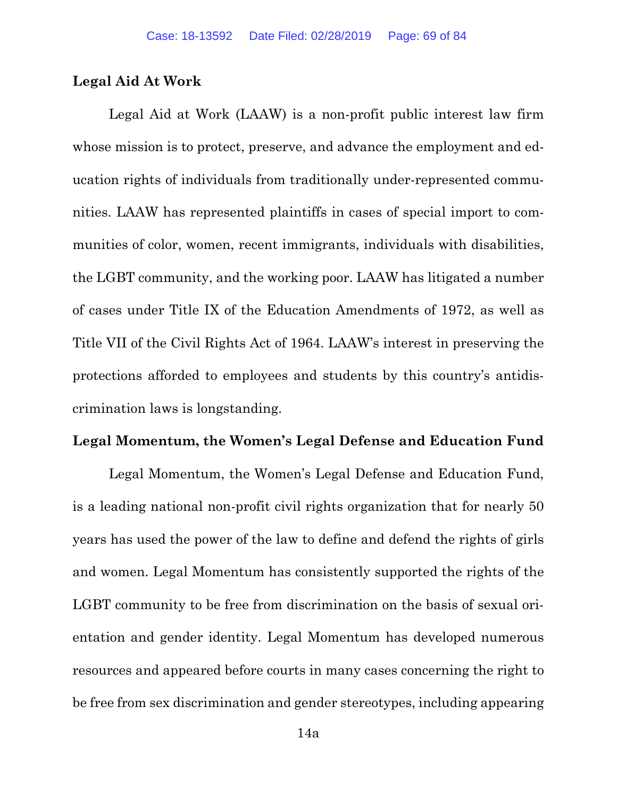## **Legal Aid At Work**

Legal Aid at Work (LAAW) is a non-profit public interest law firm whose mission is to protect, preserve, and advance the employment and education rights of individuals from traditionally under-represented communities. LAAW has represented plaintiffs in cases of special import to communities of color, women, recent immigrants, individuals with disabilities, the LGBT community, and the working poor. LAAW has litigated a number of cases under Title IX of the Education Amendments of 1972, as well as Title VII of the Civil Rights Act of 1964. LAAW's interest in preserving the protections afforded to employees and students by this country's antidiscrimination laws is longstanding.

#### **Legal Momentum, the Women's Legal Defense and Education Fund**

Legal Momentum, the Women's Legal Defense and Education Fund, is a leading national non-profit civil rights organization that for nearly 50 years has used the power of the law to define and defend the rights of girls and women. Legal Momentum has consistently supported the rights of the LGBT community to be free from discrimination on the basis of sexual orientation and gender identity. Legal Momentum has developed numerous resources and appeared before courts in many cases concerning the right to be free from sex discrimination and gender stereotypes, including appearing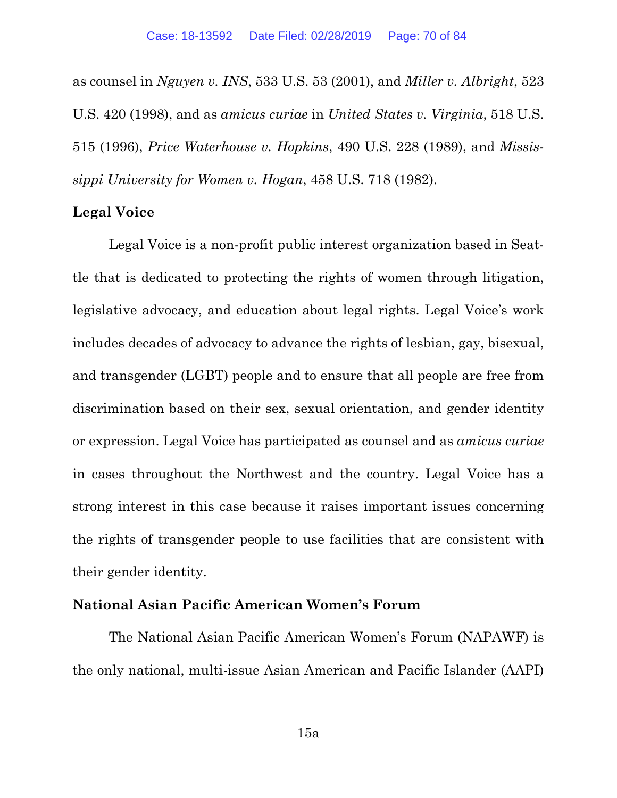as counsel in *Nguyen v. INS*, 533 U.S. 53 (2001), and *Miller v. Albright*, 523 U.S. 420 (1998), and as *amicus curiae* in *United States v. Virginia*, 518 U.S. 515 (1996), *Price Waterhouse v. Hopkins*, 490 U.S. 228 (1989), and *Mississippi University for Women v. Hogan*, 458 U.S. 718 (1982).

#### **Legal Voice**

Legal Voice is a non-profit public interest organization based in Seattle that is dedicated to protecting the rights of women through litigation, legislative advocacy, and education about legal rights. Legal Voice's work includes decades of advocacy to advance the rights of lesbian, gay, bisexual, and transgender (LGBT) people and to ensure that all people are free from discrimination based on their sex, sexual orientation, and gender identity or expression. Legal Voice has participated as counsel and as *amicus curiae* in cases throughout the Northwest and the country. Legal Voice has a strong interest in this case because it raises important issues concerning the rights of transgender people to use facilities that are consistent with their gender identity.

# **National Asian Pacific American Women's Forum**

The National Asian Pacific American Women's Forum (NAPAWF) is the only national, multi-issue Asian American and Pacific Islander (AAPI)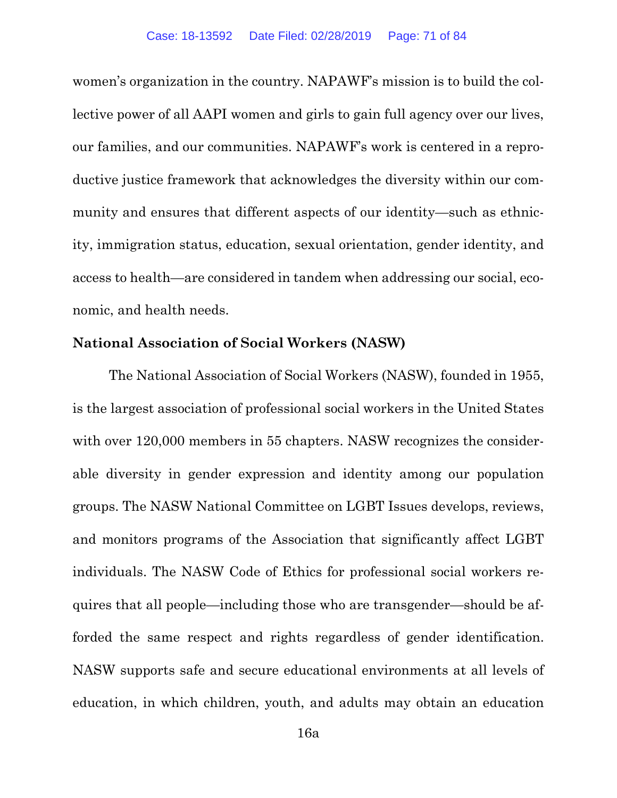women's organization in the country. NAPAWF's mission is to build the collective power of all AAPI women and girls to gain full agency over our lives, our families, and our communities. NAPAWF's work is centered in a reproductive justice framework that acknowledges the diversity within our community and ensures that different aspects of our identity—such as ethnicity, immigration status, education, sexual orientation, gender identity, and access to health—are considered in tandem when addressing our social, economic, and health needs.

#### **National Association of Social Workers (NASW)**

The National Association of Social Workers (NASW), founded in 1955, is the largest association of professional social workers in the United States with over 120,000 members in 55 chapters. NASW recognizes the considerable diversity in gender expression and identity among our population groups. The NASW National Committee on LGBT Issues develops, reviews, and monitors programs of the Association that significantly affect LGBT individuals. The NASW Code of Ethics for professional social workers requires that all people—including those who are transgender—should be afforded the same respect and rights regardless of gender identification. NASW supports safe and secure educational environments at all levels of education, in which children, youth, and adults may obtain an education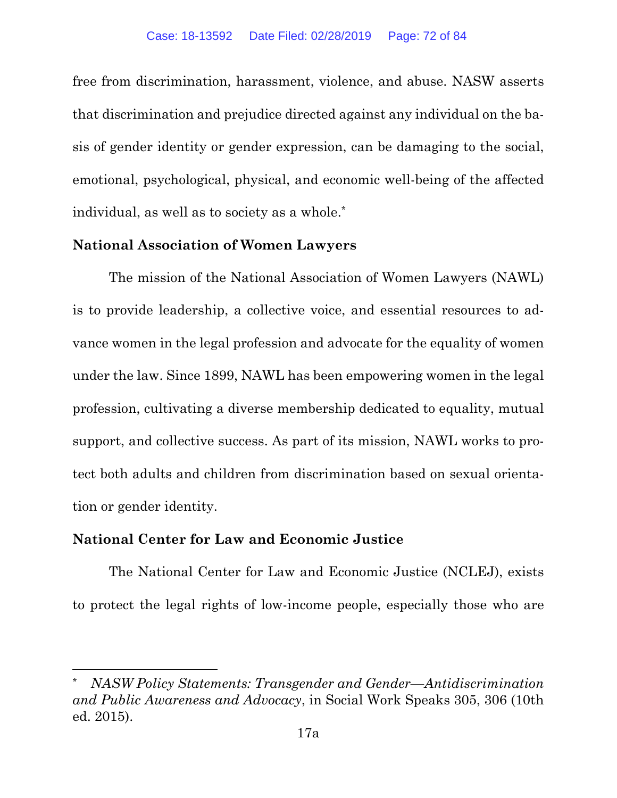free from discrimination, harassment, violence, and abuse. NASW asserts that discrimination and prejudice directed against any individual on the basis of gender identity or gender expression, can be damaging to the social, emotional, psychological, physical, and economic well-being of the affected individual, as well as to society as a whole.\*

# **National Association of Women Lawyers**

The mission of the National Association of Women Lawyers (NAWL) is to provide leadership, a collective voice, and essential resources to advance women in the legal profession and advocate for the equality of women under the law. Since 1899, NAWL has been empowering women in the legal profession, cultivating a diverse membership dedicated to equality, mutual support, and collective success. As part of its mission, NAWL works to protect both adults and children from discrimination based on sexual orientation or gender identity.

# **National Center for Law and Economic Justice**

 $\overline{a}$ 

The National Center for Law and Economic Justice (NCLEJ), exists to protect the legal rights of low-income people, especially those who are

<sup>\*</sup> *NASW Policy Statements: Transgender and Gender—Antidiscrimination and Public Awareness and Advocacy*, in Social Work Speaks 305, 306 (10th ed. 2015).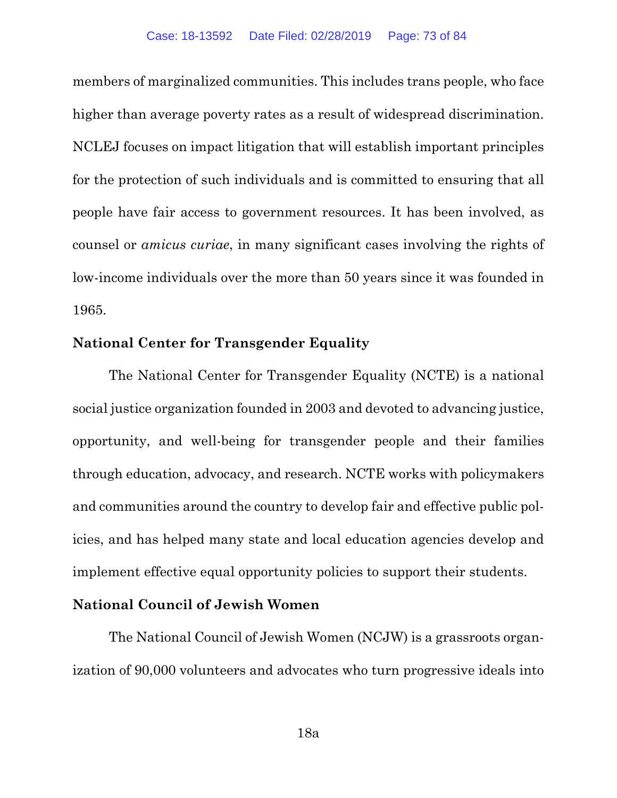members of marginalized communities. This includes trans people, who face higher than average poverty rates as a result of widespread discrimination. NCLEJ focuses on impact litigation that will establish important principles for the protection of such individuals and is committed to ensuring that all people have fair access to government resources. It has been involved, as counsel or *amicus curiae*, in many significant cases involving the rights of low-income individuals over the more than 50 years since it was founded in 1965.

## **National Center for Transgender Equality**

The National Center for Transgender Equality (NCTE) is a national social justice organization founded in 2003 and devoted to advancing justice, opportunity, and well-being for transgender people and their families through education, advocacy, and research. NCTE works with policymakers and communities around the country to develop fair and effective public policies, and has helped many state and local education agencies develop and implement effective equal opportunity policies to support their students.

## **National Council of Jewish Women**

The National Council of Jewish Women (NCJW) is a grassroots organization of 90,000 volunteers and advocates who turn progressive ideals into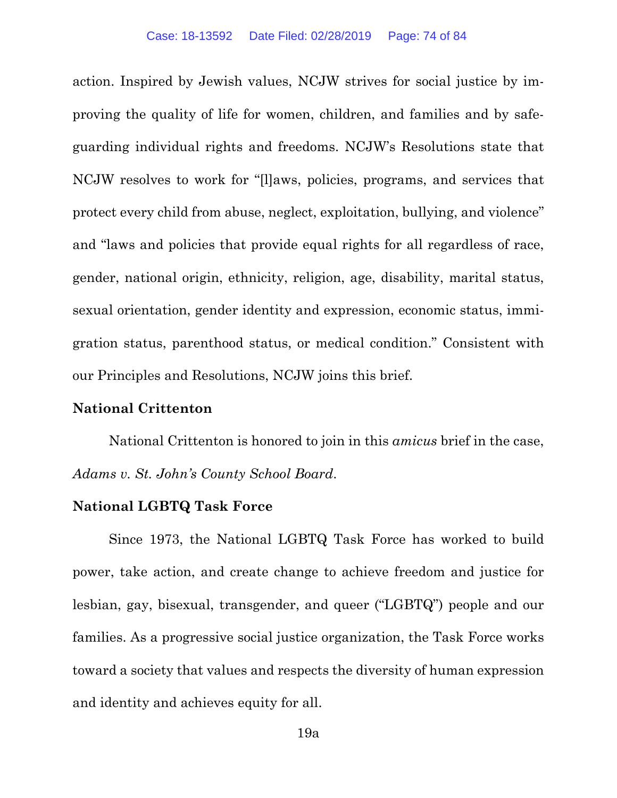action. Inspired by Jewish values, NCJW strives for social justice by improving the quality of life for women, children, and families and by safeguarding individual rights and freedoms. NCJW's Resolutions state that NCJW resolves to work for "[l]aws, policies, programs, and services that protect every child from abuse, neglect, exploitation, bullying, and violence" and "laws and policies that provide equal rights for all regardless of race, gender, national origin, ethnicity, religion, age, disability, marital status, sexual orientation, gender identity and expression, economic status, immigration status, parenthood status, or medical condition." Consistent with our Principles and Resolutions, NCJW joins this brief.

## **National Crittenton**

National Crittenton is honored to join in this *amicus* brief in the case, *Adams v. St. John's County School Board*.

## **National LGBTQ Task Force**

Since 1973, the National LGBTQ Task Force has worked to build power, take action, and create change to achieve freedom and justice for lesbian, gay, bisexual, transgender, and queer ("LGBTQ") people and our families. As a progressive social justice organization, the Task Force works toward a society that values and respects the diversity of human expression and identity and achieves equity for all.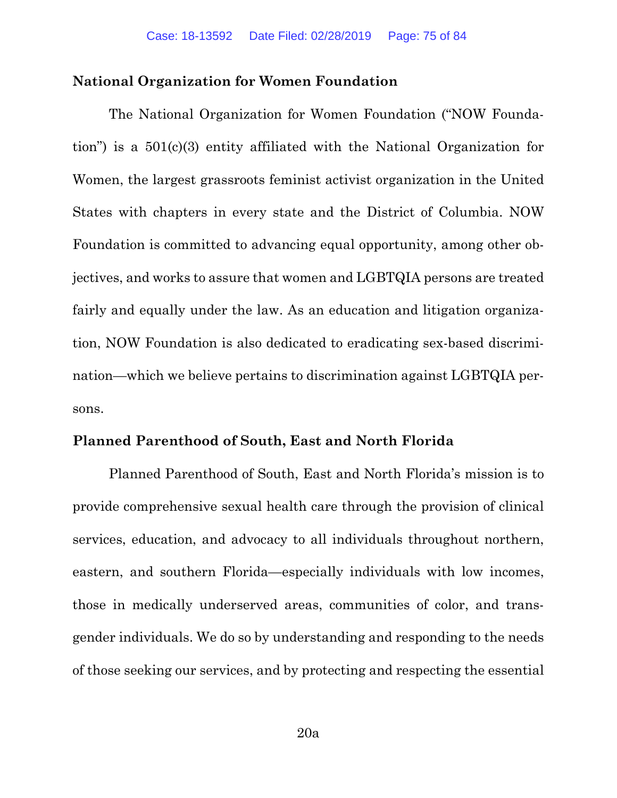## **National Organization for Women Foundation**

The National Organization for Women Foundation ("NOW Foundation") is a 501(c)(3) entity affiliated with the National Organization for Women, the largest grassroots feminist activist organization in the United States with chapters in every state and the District of Columbia. NOW Foundation is committed to advancing equal opportunity, among other objectives, and works to assure that women and LGBTQIA persons are treated fairly and equally under the law. As an education and litigation organization, NOW Foundation is also dedicated to eradicating sex-based discrimination—which we believe pertains to discrimination against LGBTQIA persons.

#### **Planned Parenthood of South, East and North Florida**

Planned Parenthood of South, East and North Florida's mission is to provide comprehensive sexual health care through the provision of clinical services, education, and advocacy to all individuals throughout northern, eastern, and southern Florida—especially individuals with low incomes, those in medically underserved areas, communities of color, and transgender individuals. We do so by understanding and responding to the needs of those seeking our services, and by protecting and respecting the essential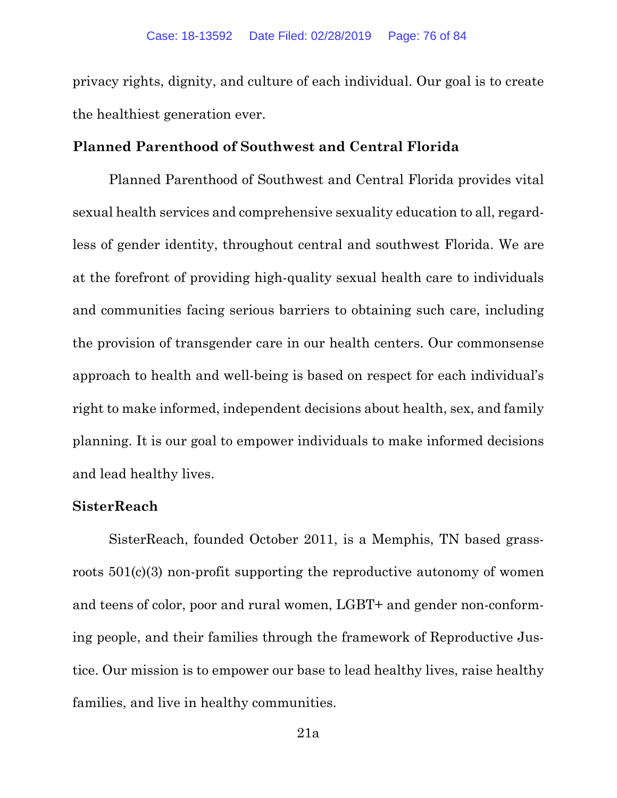privacy rights, dignity, and culture of each individual. Our goal is to create the healthiest generation ever.

## **Planned Parenthood of Southwest and Central Florida**

Planned Parenthood of Southwest and Central Florida provides vital sexual health services and comprehensive sexuality education to all, regardless of gender identity, throughout central and southwest Florida. We are at the forefront of providing high-quality sexual health care to individuals and communities facing serious barriers to obtaining such care, including the provision of transgender care in our health centers. Our commonsense approach to health and well-being is based on respect for each individual's right to make informed, independent decisions about health, sex, and family planning. It is our goal to empower individuals to make informed decisions and lead healthy lives.

## **SisterReach**

SisterReach, founded October 2011, is a Memphis, TN based grassroots 501(c)(3) non-profit supporting the reproductive autonomy of women and teens of color, poor and rural women, LGBT+ and gender non-conforming people, and their families through the framework of Reproductive Justice. Our mission is to empower our base to lead healthy lives, raise healthy families, and live in healthy communities.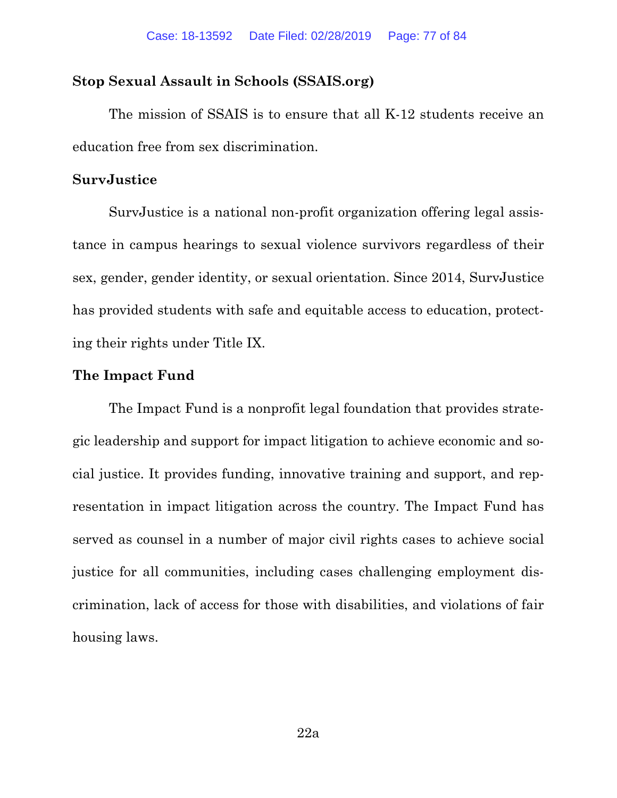## **Stop Sexual Assault in Schools (SSAIS.org)**

The mission of SSAIS is to ensure that all K-12 students receive an education free from sex discrimination.

## **SurvJustice**

SurvJustice is a national non-profit organization offering legal assistance in campus hearings to sexual violence survivors regardless of their sex, gender, gender identity, or sexual orientation. Since 2014, SurvJustice has provided students with safe and equitable access to education, protecting their rights under Title IX.

#### **The Impact Fund**

The Impact Fund is a nonprofit legal foundation that provides strategic leadership and support for impact litigation to achieve economic and social justice. It provides funding, innovative training and support, and representation in impact litigation across the country. The Impact Fund has served as counsel in a number of major civil rights cases to achieve social justice for all communities, including cases challenging employment discrimination, lack of access for those with disabilities, and violations of fair housing laws.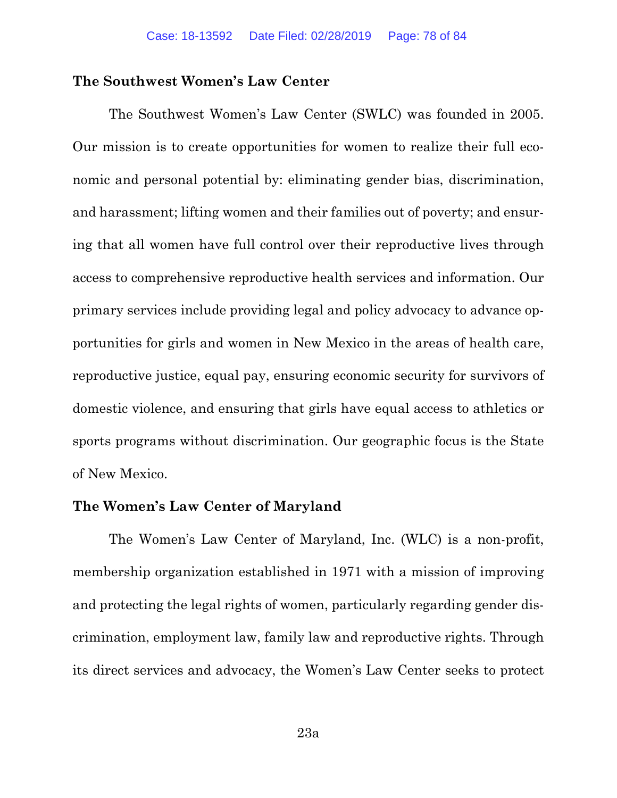## **The Southwest Women's Law Center**

The Southwest Women's Law Center (SWLC) was founded in 2005. Our mission is to create opportunities for women to realize their full economic and personal potential by: eliminating gender bias, discrimination, and harassment; lifting women and their families out of poverty; and ensuring that all women have full control over their reproductive lives through access to comprehensive reproductive health services and information. Our primary services include providing legal and policy advocacy to advance opportunities for girls and women in New Mexico in the areas of health care, reproductive justice, equal pay, ensuring economic security for survivors of domestic violence, and ensuring that girls have equal access to athletics or sports programs without discrimination. Our geographic focus is the State of New Mexico.

## **The Women's Law Center of Maryland**

The Women's Law Center of Maryland, Inc. (WLC) is a non-profit, membership organization established in 1971 with a mission of improving and protecting the legal rights of women, particularly regarding gender discrimination, employment law, family law and reproductive rights. Through its direct services and advocacy, the Women's Law Center seeks to protect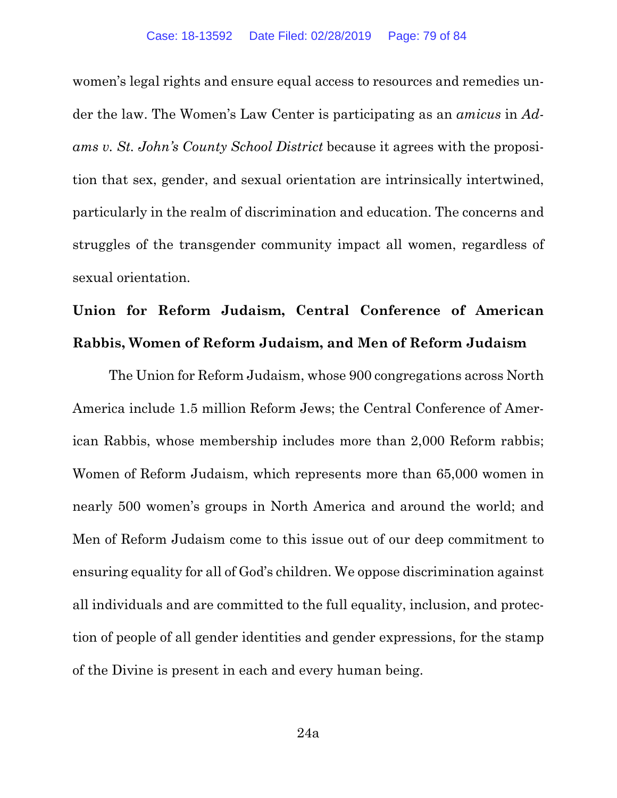women's legal rights and ensure equal access to resources and remedies under the law. The Women's Law Center is participating as an *amicus* in *Adams v. St. John's County School District* because it agrees with the proposition that sex, gender, and sexual orientation are intrinsically intertwined, particularly in the realm of discrimination and education. The concerns and struggles of the transgender community impact all women, regardless of sexual orientation.

# **Union for Reform Judaism, Central Conference of American Rabbis, Women of Reform Judaism, and Men of Reform Judaism**

The Union for Reform Judaism, whose 900 congregations across North America include 1.5 million Reform Jews; the Central Conference of American Rabbis, whose membership includes more than 2,000 Reform rabbis; Women of Reform Judaism, which represents more than 65,000 women in nearly 500 women's groups in North America and around the world; and Men of Reform Judaism come to this issue out of our deep commitment to ensuring equality for all of God's children. We oppose discrimination against all individuals and are committed to the full equality, inclusion, and protection of people of all gender identities and gender expressions, for the stamp of the Divine is present in each and every human being.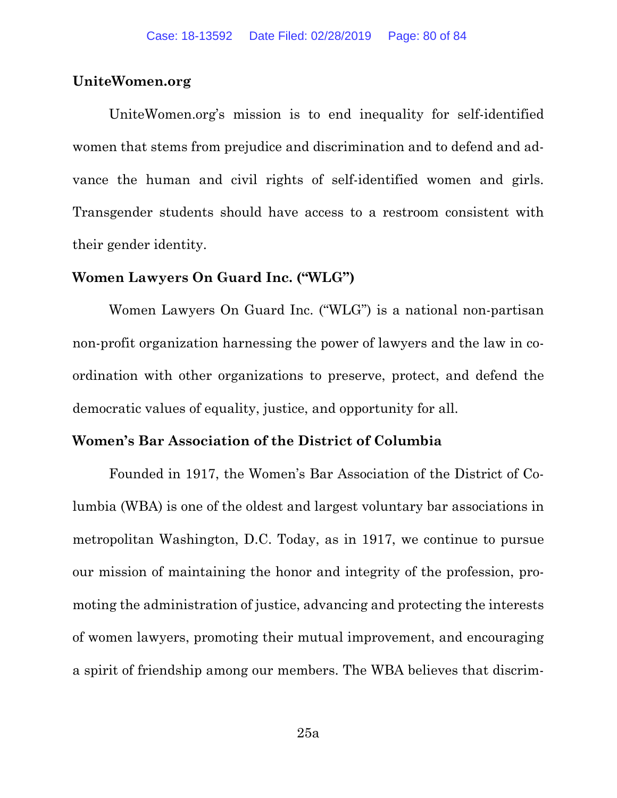## **UniteWomen.org**

UniteWomen.org's mission is to end inequality for self-identified women that stems from prejudice and discrimination and to defend and advance the human and civil rights of self-identified women and girls. Transgender students should have access to a restroom consistent with their gender identity.

## **Women Lawyers On Guard Inc. ("WLG")**

Women Lawyers On Guard Inc. ("WLG") is a national non-partisan non-profit organization harnessing the power of lawyers and the law in coordination with other organizations to preserve, protect, and defend the democratic values of equality, justice, and opportunity for all.

## **Women's Bar Association of the District of Columbia**

Founded in 1917, the Women's Bar Association of the District of Columbia (WBA) is one of the oldest and largest voluntary bar associations in metropolitan Washington, D.C. Today, as in 1917, we continue to pursue our mission of maintaining the honor and integrity of the profession, promoting the administration of justice, advancing and protecting the interests of women lawyers, promoting their mutual improvement, and encouraging a spirit of friendship among our members. The WBA believes that discrim-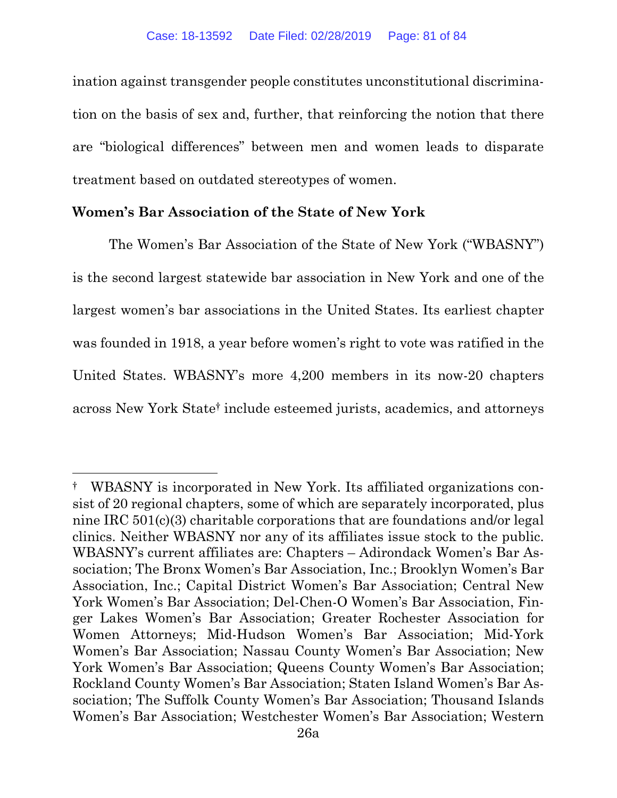ination against transgender people constitutes unconstitutional discrimination on the basis of sex and, further, that reinforcing the notion that there are "biological differences" between men and women leads to disparate treatment based on outdated stereotypes of women.

## **Women's Bar Association of the State of New York**

 $\overline{a}$ 

The Women's Bar Association of the State of New York ("WBASNY") is the second largest statewide bar association in New York and one of the largest women's bar associations in the United States. Its earliest chapter was founded in 1918, a year before women's right to vote was ratified in the United States. WBASNY's more 4,200 members in its now-20 chapters across New York State† include esteemed jurists, academics, and attorneys

<sup>†</sup> WBASNY is incorporated in New York. Its affiliated organizations consist of 20 regional chapters, some of which are separately incorporated, plus nine IRC 501(c)(3) charitable corporations that are foundations and/or legal clinics. Neither WBASNY nor any of its affiliates issue stock to the public. WBASNY's current affiliates are: Chapters – Adirondack Women's Bar Association; The Bronx Women's Bar Association, Inc.; Brooklyn Women's Bar Association, Inc.; Capital District Women's Bar Association; Central New York Women's Bar Association; Del-Chen-O Women's Bar Association, Finger Lakes Women's Bar Association; Greater Rochester Association for Women Attorneys; Mid-Hudson Women's Bar Association; Mid-York Women's Bar Association; Nassau County Women's Bar Association; New York Women's Bar Association; Queens County Women's Bar Association; Rockland County Women's Bar Association; Staten Island Women's Bar Association; The Suffolk County Women's Bar Association; Thousand Islands Women's Bar Association; Westchester Women's Bar Association; Western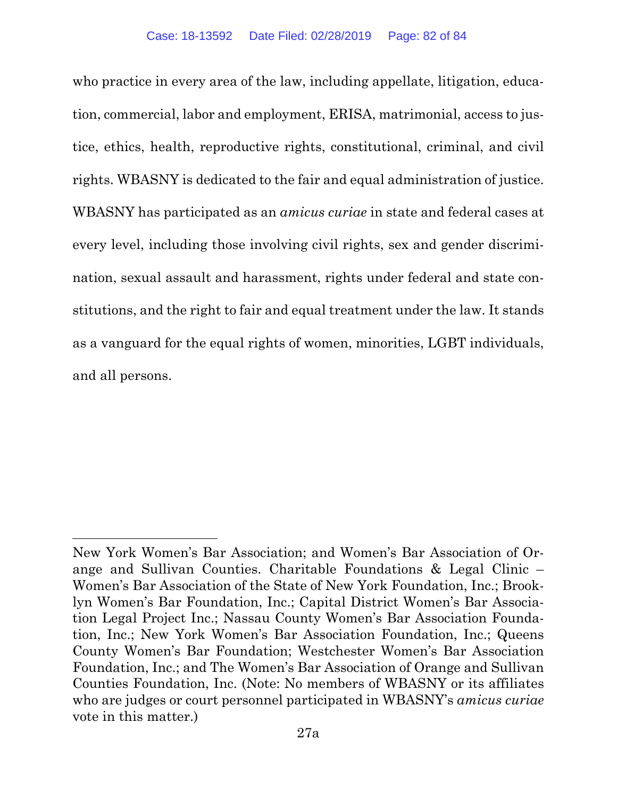who practice in every area of the law, including appellate, litigation, education, commercial, labor and employment, ERISA, matrimonial, access to justice, ethics, health, reproductive rights, constitutional, criminal, and civil rights. WBASNY is dedicated to the fair and equal administration of justice. WBASNY has participated as an *amicus curiae* in state and federal cases at every level, including those involving civil rights, sex and gender discrimination, sexual assault and harassment, rights under federal and state constitutions, and the right to fair and equal treatment under the law. It stands as a vanguard for the equal rights of women, minorities, LGBT individuals, and all persons.

 $\overline{a}$ 

New York Women's Bar Association; and Women's Bar Association of Orange and Sullivan Counties. Charitable Foundations & Legal Clinic – Women's Bar Association of the State of New York Foundation, Inc.; Brooklyn Women's Bar Foundation, Inc.; Capital District Women's Bar Association Legal Project Inc.; Nassau County Women's Bar Association Foundation, Inc.; New York Women's Bar Association Foundation, Inc.; Queens County Women's Bar Foundation; Westchester Women's Bar Association Foundation, Inc.; and The Women's Bar Association of Orange and Sullivan Counties Foundation, Inc. (Note: No members of WBASNY or its affiliates who are judges or court personnel participated in WBASNY's *amicus curiae* vote in this matter.)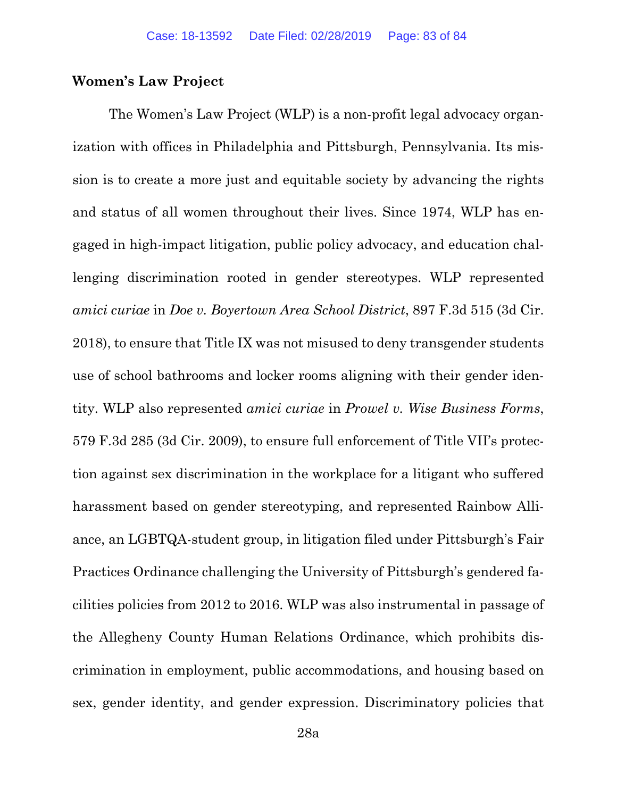## **Women's Law Project**

The Women's Law Project (WLP) is a non-profit legal advocacy organization with offices in Philadelphia and Pittsburgh, Pennsylvania. Its mission is to create a more just and equitable society by advancing the rights and status of all women throughout their lives. Since 1974, WLP has engaged in high-impact litigation, public policy advocacy, and education challenging discrimination rooted in gender stereotypes. WLP represented *amici curiae* in *Doe v. Boyertown Area School District*, 897 F.3d 515 (3d Cir. 2018), to ensure that Title IX was not misused to deny transgender students use of school bathrooms and locker rooms aligning with their gender identity. WLP also represented *amici curiae* in *Prowel v. Wise Business Forms*, 579 F.3d 285 (3d Cir. 2009), to ensure full enforcement of Title VII's protection against sex discrimination in the workplace for a litigant who suffered harassment based on gender stereotyping, and represented Rainbow Alliance, an LGBTQA-student group, in litigation filed under Pittsburgh's Fair Practices Ordinance challenging the University of Pittsburgh's gendered facilities policies from 2012 to 2016. WLP was also instrumental in passage of the Allegheny County Human Relations Ordinance, which prohibits discrimination in employment, public accommodations, and housing based on sex, gender identity, and gender expression. Discriminatory policies that